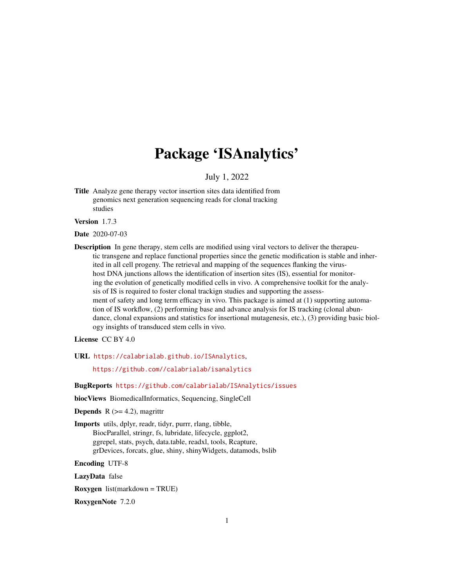# Package 'ISAnalytics'

July 1, 2022

<span id="page-0-0"></span>Title Analyze gene therapy vector insertion sites data identified from genomics next generation sequencing reads for clonal tracking studies

Version 1.7.3

Date 2020-07-03

Description In gene therapy, stem cells are modified using viral vectors to deliver the therapeutic transgene and replace functional properties since the genetic modification is stable and inherited in all cell progeny. The retrieval and mapping of the sequences flanking the virushost DNA junctions allows the identification of insertion sites (IS), essential for monitoring the evolution of genetically modified cells in vivo. A comprehensive toolkit for the analysis of IS is required to foster clonal trackign studies and supporting the assessment of safety and long term efficacy in vivo. This package is aimed at (1) supporting automation of IS workflow, (2) performing base and advance analysis for IS tracking (clonal abundance, clonal expansions and statistics for insertional mutagenesis, etc.), (3) providing basic biology insights of transduced stem cells in vivo.

License CC BY 4.0

URL <https://calabrialab.github.io/ISAnalytics>,

<https://github.com//calabrialab/isanalytics>

BugReports <https://github.com/calabrialab/ISAnalytics/issues>

biocViews BiomedicalInformatics, Sequencing, SingleCell

**Depends** R  $(>= 4.2)$ , magrittr

Imports utils, dplyr, readr, tidyr, purrr, rlang, tibble, BiocParallel, stringr, fs, lubridate, lifecycle, ggplot2, ggrepel, stats, psych, data.table, readxl, tools, Rcapture, grDevices, forcats, glue, shiny, shinyWidgets, datamods, bslib

Encoding UTF-8

LazyData false

Roxygen list(markdown = TRUE)

RoxygenNote 7.2.0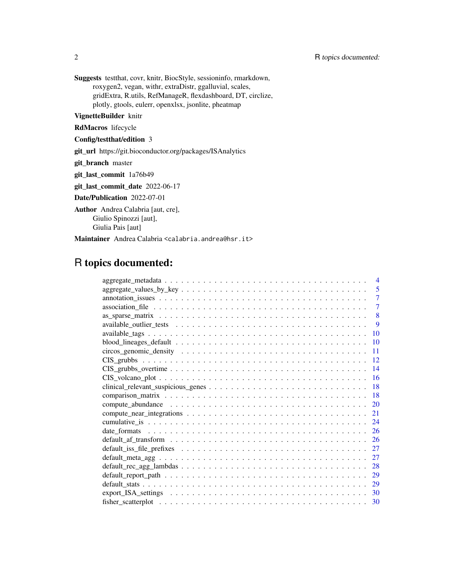Suggests testthat, covr, knitr, BiocStyle, sessioninfo, rmarkdown, roxygen2, vegan, withr, extraDistr, ggalluvial, scales, gridExtra, R.utils, RefManageR, flexdashboard, DT, circlize, plotly, gtools, eulerr, openxlsx, jsonlite, pheatmap

VignetteBuilder knitr

RdMacros lifecycle

Config/testthat/edition 3

git\_url https://git.bioconductor.org/packages/ISAnalytics

git\_branch master

git\_last\_commit 1a76b49

git\_last\_commit\_date 2022-06-17

Date/Publication 2022-07-01

Author Andrea Calabria [aut, cre], Giulio Spinozzi [aut], Giulia Pais [aut]

Maintainer Andrea Calabria <calabria.andrea@hsr.it>

# R topics documented:

| $\overline{4}$                                                                                                           |
|--------------------------------------------------------------------------------------------------------------------------|
| 5                                                                                                                        |
| $\overline{7}$                                                                                                           |
| $\overline{7}$                                                                                                           |
| 8                                                                                                                        |
| 9                                                                                                                        |
| 10                                                                                                                       |
| 10                                                                                                                       |
| 11                                                                                                                       |
| 12                                                                                                                       |
| 14                                                                                                                       |
| 16<br>$CIS_voleano_plot \dots \dots \dots \dots \dots \dots \dots \dots \dots \dots \dots \dots \dots \dots \dots \dots$ |
| 18                                                                                                                       |
| 18                                                                                                                       |
| 20                                                                                                                       |
| 21                                                                                                                       |
|                                                                                                                          |
| 24                                                                                                                       |
| 26                                                                                                                       |
| 26                                                                                                                       |
| 27                                                                                                                       |
| 27                                                                                                                       |
| 28                                                                                                                       |
| 29                                                                                                                       |
| 29                                                                                                                       |
| 30                                                                                                                       |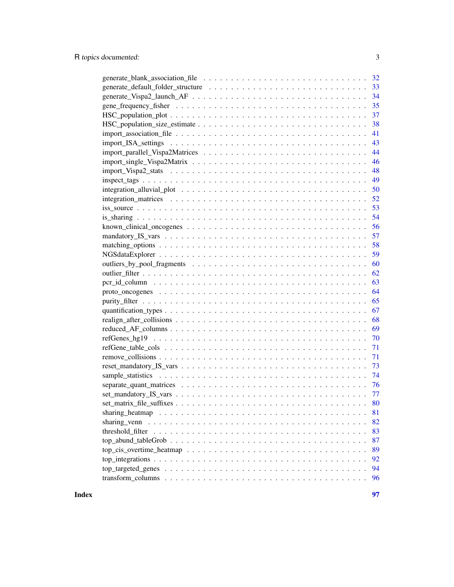| 33                                                                                                                  |
|---------------------------------------------------------------------------------------------------------------------|
|                                                                                                                     |
|                                                                                                                     |
|                                                                                                                     |
| 38                                                                                                                  |
| 41                                                                                                                  |
| 43                                                                                                                  |
| 44                                                                                                                  |
| 46                                                                                                                  |
| 48                                                                                                                  |
| 49                                                                                                                  |
| 50                                                                                                                  |
|                                                                                                                     |
|                                                                                                                     |
|                                                                                                                     |
|                                                                                                                     |
|                                                                                                                     |
|                                                                                                                     |
| 59                                                                                                                  |
| 60                                                                                                                  |
| 62                                                                                                                  |
| 63                                                                                                                  |
| 64                                                                                                                  |
| 65                                                                                                                  |
| 67                                                                                                                  |
| 68                                                                                                                  |
| 69                                                                                                                  |
| 70                                                                                                                  |
| 71                                                                                                                  |
| 71                                                                                                                  |
| $reset\_mandatory_S_vars \dots \dots \dots \dots \dots \dots \dots \dots \dots \dots \dots \dots \dots \dots$<br>73 |
| - 74                                                                                                                |
|                                                                                                                     |
|                                                                                                                     |
|                                                                                                                     |
| 81                                                                                                                  |
| 82                                                                                                                  |
| 83                                                                                                                  |
| 87                                                                                                                  |
| 89                                                                                                                  |
| 92                                                                                                                  |
| 94                                                                                                                  |
| 96                                                                                                                  |
|                                                                                                                     |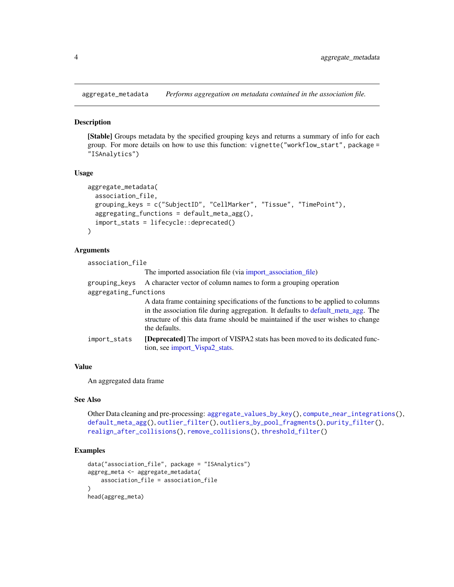<span id="page-3-1"></span><span id="page-3-0"></span>aggregate\_metadata *Performs aggregation on metadata contained in the association file.*

# **Description**

[Stable] Groups metadata by the specified grouping keys and returns a summary of info for each group. For more details on how to use this function: vignette("workflow\_start", package = "ISAnalytics")

#### Usage

```
aggregate_metadata(
  association_file,
  grouping_keys = c("SubjectID", "CellMarker", "Tissue", "TimePoint"),
  aggregating_functions = default_meta_agg(),
  import_stats = lifecycle::deprecated()
\lambda
```
#### Arguments

association\_file

The imported association file (via [import\\_association\\_file\)](#page-40-1)

|                       | grouping keys A character vector of column names to form a grouping operation                                                                                                                                                                                           |
|-----------------------|-------------------------------------------------------------------------------------------------------------------------------------------------------------------------------------------------------------------------------------------------------------------------|
| aggregating functions |                                                                                                                                                                                                                                                                         |
|                       | A data frame containing specifications of the functions to be applied to columns<br>in the association file during aggregation. It defaults to default_meta_agg. The<br>structure of this data frame should be maintained if the user wishes to change<br>the defaults. |
| import_stats          | [Deprecated] The import of VISPA2 stats has been moved to its dedicated func-<br>tion, see import_Vispa2_stats.                                                                                                                                                         |

# Value

An aggregated data frame

# See Also

```
Other Data cleaning and pre-processing: aggregate_values_by_key(), compute_near_integrations(),
default_meta_agg(), outlier_filter(), outliers_by_pool_fragments(), purity_filter(),
realign_after_collisions(), remove_collisions(), threshold_filter()
```
# Examples

```
data("association_file", package = "ISAnalytics")
aggreg_meta <- aggregate_metadata(
    association_file = association_file
\lambdahead(aggreg_meta)
```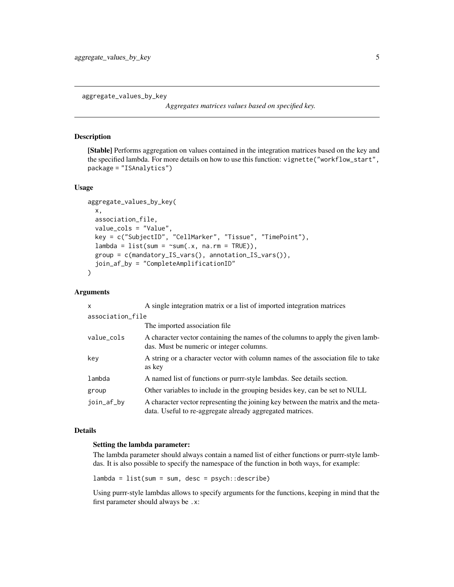<span id="page-4-1"></span><span id="page-4-0"></span>aggregate\_values\_by\_key

*Aggregates matrices values based on specified key.*

#### Description

[Stable] Performs aggregation on values contained in the integration matrices based on the key and the specified lambda. For more details on how to use this function: vignette("workflow\_start", package = "ISAnalytics")

#### Usage

```
aggregate_values_by_key(
  x,
  association_file,
  value_cols = "Value",
  key = c("SubjectID", "CellMarker", "Tissue", "TimePoint"),
  lambda = list(sum = \text{sum}(.x, \text{na}.\text{rm} = \text{TRUE})),group = c(mandatory_IS_vars(), annotation_IS_vars()),
  join_af_by = "CompleteAmplificationID"
)
```
# Arguments

| X                | A single integration matrix or a list of imported integration matrices                                                                        |
|------------------|-----------------------------------------------------------------------------------------------------------------------------------------------|
| association_file |                                                                                                                                               |
|                  | The imported association file.                                                                                                                |
| value_cols       | A character vector containing the names of the columns to apply the given lamb-<br>das. Must be numeric or integer columns.                   |
| key              | A string or a character vector with column names of the association file to take<br>as key                                                    |
| lambda           | A named list of functions or purrr-style lambdas. See details section.                                                                        |
| group            | Other variables to include in the grouping besides key, can be set to NULL                                                                    |
| join_af_by       | A character vector representing the joining key between the matrix and the meta-<br>data. Useful to re-aggregate already aggregated matrices. |

#### Details

#### Setting the lambda parameter:

The lambda parameter should always contain a named list of either functions or purrr-style lambdas. It is also possible to specify the namespace of the function in both ways, for example:

 $lambda = list(sum = sum, desc = psych::describe)$ 

Using purrr-style lambdas allows to specify arguments for the functions, keeping in mind that the first parameter should always be .x: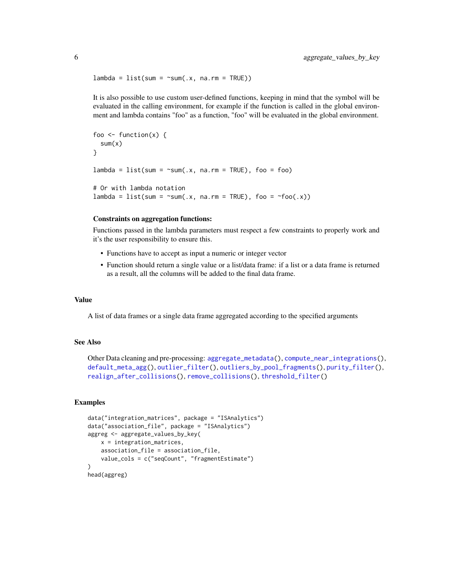```
lambda = list(sum = "sum(.x, na.rm = TRUE))
```
It is also possible to use custom user-defined functions, keeping in mind that the symbol will be evaluated in the calling environment, for example if the function is called in the global environment and lambda contains "foo" as a function, "foo" will be evaluated in the global environment.

```
foo \le function(x) {
  sum(x)}
lambda = list(sum = "sum(.x, na.rm = TRUE), foo = foo)# Or with lambda notation
lambda = list(sum = \simsum(.x, na.rm = TRUE), foo = \simfoo(.x))
```
## Constraints on aggregation functions:

Functions passed in the lambda parameters must respect a few constraints to properly work and it's the user responsibility to ensure this.

- Functions have to accept as input a numeric or integer vector
- Function should return a single value or a list/data frame: if a list or a data frame is returned as a result, all the columns will be added to the final data frame.

#### Value

A list of data frames or a single data frame aggregated according to the specified arguments

# See Also

```
Other Data cleaning and pre-processing: aggregate_metadata(), compute_near_integrations(),
default_meta_agg(), outlier_filter(), outliers_by_pool_fragments(), purity_filter(),
realign_after_collisions(), remove_collisions(), threshold_filter()
```
## Examples

```
data("integration_matrices", package = "ISAnalytics")
data("association_file", package = "ISAnalytics")
aggreg <- aggregate_values_by_key(
   x = integration_matrices,
   association_file = association_file,
   value_cols = c("seqCount", "fragmentEstimate")
)
head(aggreg)
```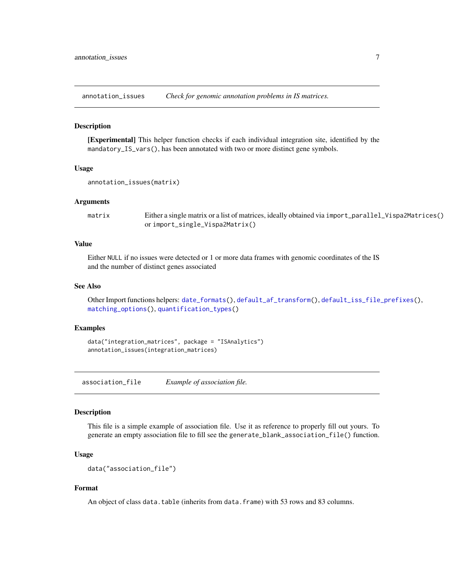<span id="page-6-1"></span><span id="page-6-0"></span>annotation\_issues *Check for genomic annotation problems in IS matrices.*

# Description

[Experimental] This helper function checks if each individual integration site, identified by the mandatory\_IS\_vars(), has been annotated with two or more distinct gene symbols.

#### Usage

```
annotation_issues(matrix)
```
#### Arguments

matrix Either a single matrix or a list of matrices, ideally obtained via import\_parallel\_Vispa2Matrices() or import\_single\_Vispa2Matrix()

#### Value

Either NULL if no issues were detected or 1 or more data frames with genomic coordinates of the IS and the number of distinct genes associated

# See Also

Other Import functions helpers: [date\\_formats\(](#page-25-1)), [default\\_af\\_transform\(](#page-25-2)), [default\\_iss\\_file\\_prefixes\(](#page-26-2)), [matching\\_options\(](#page-57-1)), [quantification\\_types\(](#page-66-1))

#### Examples

data("integration\_matrices", package = "ISAnalytics") annotation\_issues(integration\_matrices)

association\_file *Example of association file.*

#### Description

This file is a simple example of association file. Use it as reference to properly fill out yours. To generate an empty association file to fill see the generate\_blank\_association\_file() function.

#### Usage

```
data("association_file")
```
#### Format

An object of class data.table (inherits from data.frame) with 53 rows and 83 columns.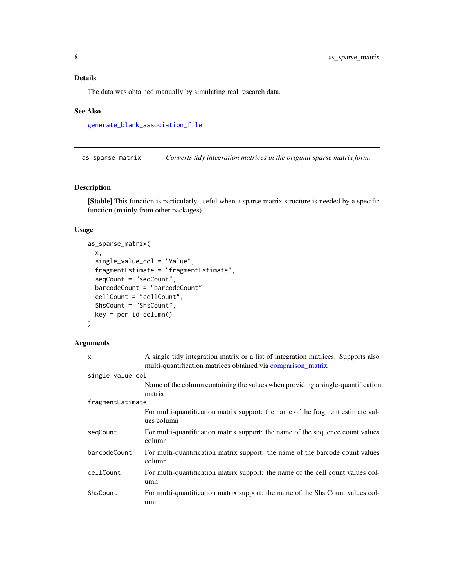<span id="page-7-0"></span>The data was obtained manually by simulating real research data.

#### See Also

[generate\\_blank\\_association\\_file](#page-31-1)

<span id="page-7-1"></span>as\_sparse\_matrix *Converts tidy integration matrices in the original sparse matrix form.*

# Description

[Stable] This function is particularly useful when a sparse matrix structure is needed by a specific function (mainly from other packages).

# Usage

```
as_sparse_matrix(
  x,
  single_value_col = "Value",
  fragmentEstimate = "fragmentEstimate",
  seqCount = "seqCount",
 barcodeCount = "barcodeCount",
  cellCount = "cellCount",
  ShsCount = "ShsCount",
 key = per_id\_column())
```
# Arguments

| $\boldsymbol{\mathsf{x}}$ | A single tidy integration matrix or a list of integration matrices. Supports also<br>multi-quantification matrices obtained via comparison_matrix |
|---------------------------|---------------------------------------------------------------------------------------------------------------------------------------------------|
| single_value_col          |                                                                                                                                                   |
|                           | Name of the column containing the values when providing a single-quantification<br>matrix                                                         |
| fragmentEstimate          |                                                                                                                                                   |
|                           | For multi-quantification matrix support: the name of the fragment estimate val-<br>ues column                                                     |
| seqCount                  | For multi-quantification matrix support: the name of the sequence count values<br>column                                                          |
| barcodeCount              | For multi-quantification matrix support: the name of the barcode count values<br>column                                                           |
| cellCount                 | For multi-quantification matrix support: the name of the cell count values col-<br>umn                                                            |
| ShsCount                  | For multi-quantification matrix support: the name of the Shs Count values col-<br>umn                                                             |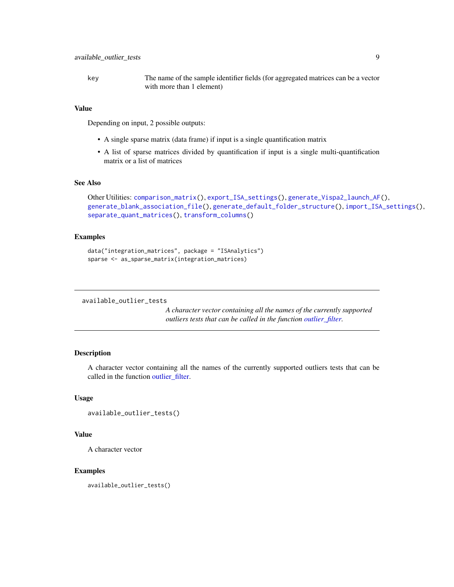<span id="page-8-0"></span>key The name of the sample identifier fields (for aggregated matrices can be a vector with more than 1 element)

#### Value

Depending on input, 2 possible outputs:

- A single sparse matrix (data frame) if input is a single quantification matrix
- A list of sparse matrices divided by quantification if input is a single multi-quantification matrix or a list of matrices

# See Also

```
Other Utilities: comparison_matrix(), export_ISA_settings(), generate_Vispa2_launch_AF(),
generate_blank_association_file(), generate_default_folder_structure(), import_ISA_settings(),
separate_quant_matrices(), transform_columns()
```
# Examples

```
data("integration_matrices", package = "ISAnalytics")
sparse <- as_sparse_matrix(integration_matrices)
```

```
available_outlier_tests
```
*A character vector containing all the names of the currently supported outliers tests that can be called in the function [outlier\\_filter.](#page-61-1)*

# Description

A character vector containing all the names of the currently supported outliers tests that can be called in the function outlier filter.

#### Usage

```
available_outlier_tests()
```
#### Value

A character vector

#### Examples

available\_outlier\_tests()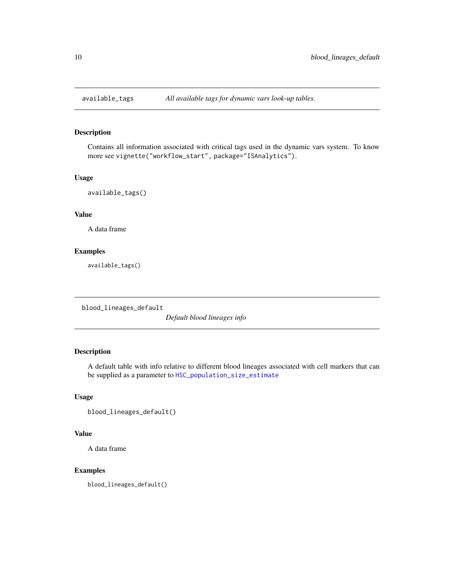<span id="page-9-0"></span>

# Description

Contains all information associated with critical tags used in the dynamic vars system. To know more see vignette("workflow\_start", package="ISAnalytics").

#### Usage

```
available_tags()
```
# Value

A data frame

# Examples

available\_tags()

blood\_lineages\_default

*Default blood lineages info*

# Description

A default table with info relative to different blood lineages associated with cell markers that can be supplied as a parameter to [HSC\\_population\\_size\\_estimate](#page-37-1)

#### Usage

blood\_lineages\_default()

#### Value

A data frame

# Examples

blood\_lineages\_default()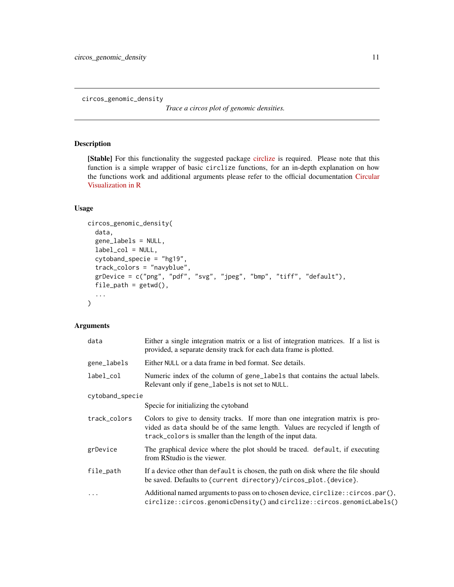<span id="page-10-1"></span><span id="page-10-0"></span>circos\_genomic\_density

*Trace a circos plot of genomic densities.*

# Description

[Stable] For this functionality the suggested package [circlize](https://cran.r-project.org/web/packages/circlize/index.html) is required. Please note that this function is a simple wrapper of basic circlize functions, for an in-depth explanation on how the functions work and additional arguments please refer to the official documentation [Circular](https://jokergoo.github.io/circlize_book/book/) [Visualization in R](https://jokergoo.github.io/circlize_book/book/)

# Usage

```
circos_genomic_density(
  data,
  gene_labels = NULL,
  label_col = NULL,
  cytoband_specie = "hg19",
  track_colors = "navyblue",
  grDevice = c("png", "pdf", "svg", "jpeg", "bmp", "tiff", "default"),
  file\_path = getwd(),
  ...
)
```
# Arguments

| data            | Either a single integration matrix or a list of integration matrices. If a list is<br>provided, a separate density track for each data frame is plotted.                                                                    |
|-----------------|-----------------------------------------------------------------------------------------------------------------------------------------------------------------------------------------------------------------------------|
| gene_labels     | Either NULL or a data frame in bed format. See details.                                                                                                                                                                     |
| label_col       | Numeric index of the column of gene_labels that contains the actual labels.<br>Relevant only if gene_labels is not set to NULL.                                                                                             |
| cytoband_specie |                                                                                                                                                                                                                             |
|                 | Specie for initializing the cytoband                                                                                                                                                                                        |
| track_colors    | Colors to give to density tracks. If more than one integration matrix is pro-<br>vided as data should be of the same length. Values are recycled if length of<br>track_colors is smaller than the length of the input data. |
| grDevice        | The graphical device where the plot should be traced. default, if executing<br>from RStudio is the viewer.                                                                                                                  |
| file_path       | If a device other than default is chosen, the path on disk where the file should<br>be saved. Defaults to {current directory}/circos_plot. {device}.                                                                        |
| $\ddots$ .      | Additional named arguments to pass on to chosen device, circlize: : circos.par(),<br>circlize::circos.genomicDensity() and circlize::circos.genomicLabels()                                                                 |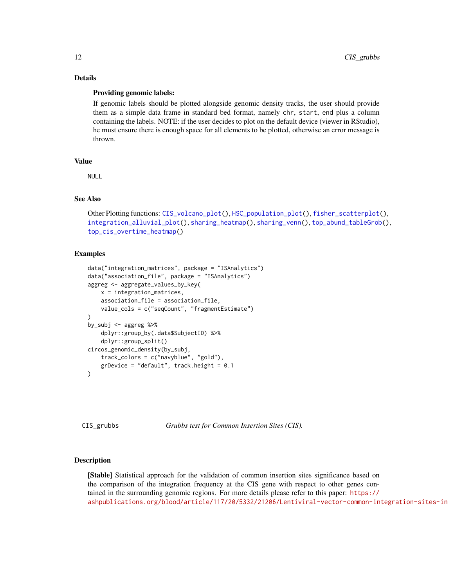# Details

#### Providing genomic labels:

If genomic labels should be plotted alongside genomic density tracks, the user should provide them as a simple data frame in standard bed format, namely chr, start, end plus a column containing the labels. NOTE: if the user decides to plot on the default device (viewer in RStudio), he must ensure there is enough space for all elements to be plotted, otherwise an error message is thrown.

# Value

NULL

#### See Also

```
Other Plotting functions: CIS_volcano_plot(), HSC_population_plot(), fisher_scatterplot(),
integration_alluvial_plot(), sharing_heatmap(), sharing_venn(), top_abund_tableGrob(),
top_cis_overtime_heatmap()
```
#### Examples

```
data("integration_matrices", package = "ISAnalytics")
data("association_file", package = "ISAnalytics")
aggreg <- aggregate_values_by_key(
   x = integration_matrices,
   association_file = association_file,
   value_cols = c("seqCount", "fragmentEstimate")
)
by_subj <- aggreg %>%
    dplyr::group_by(.data$SubjectID) %>%
    dplyr::group_split()
circos_genomic_density(by_subj,
    track_colors = c("navyblue", "gold"),
    grDevice = "default", track.height = 0.1
)
```
<span id="page-11-1"></span>CIS\_grubbs *Grubbs test for Common Insertion Sites (CIS).*

#### Description

[Stable] Statistical approach for the validation of common insertion sites significance based on the comparison of the integration frequency at the CIS gene with respect to other genes contained in the surrounding genomic regions. For more details please refer to this paper: [https://](https://ashpublications.org/blood/article/117/20/5332/21206/Lentiviral-vector-common-integration-sites-in) [ashpublications.org/blood/article/117/20/5332/21206/Lentiviral-vector-common-integration-sites-in](https://ashpublications.org/blood/article/117/20/5332/21206/Lentiviral-vector-common-integration-sites-in)

<span id="page-11-0"></span>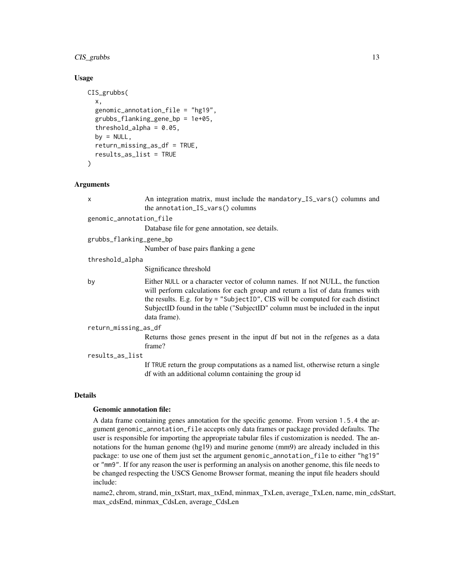# CIS\_grubbs 13

# Usage

```
CIS_grubbs(
  x,
  genomic_annotation_file = "hg19",
  grubbs_flanking_gene_bp = 1e+05,
  threshold_alpha = 0.05,
  by = NULL,return_missing_as_df = TRUE,
  results_as_list = TRUE
\mathcal{E}
```
# Arguments

|                      | X                       | An integration matrix, must include the mandatory_IS_vars() columns and<br>the annotation_IS_vars() columns                                                                                                                                                                                                                                          |
|----------------------|-------------------------|------------------------------------------------------------------------------------------------------------------------------------------------------------------------------------------------------------------------------------------------------------------------------------------------------------------------------------------------------|
|                      | genomic_annotation_file |                                                                                                                                                                                                                                                                                                                                                      |
|                      |                         | Database file for gene annotation, see details.                                                                                                                                                                                                                                                                                                      |
|                      | grubbs_flanking_gene_bp |                                                                                                                                                                                                                                                                                                                                                      |
|                      |                         | Number of base pairs flanking a gene                                                                                                                                                                                                                                                                                                                 |
|                      | threshold_alpha         |                                                                                                                                                                                                                                                                                                                                                      |
|                      |                         | Significance threshold                                                                                                                                                                                                                                                                                                                               |
|                      | by                      | Either NULL or a character vector of column names. If not NULL, the function<br>will perform calculations for each group and return a list of data frames with<br>the results. E.g. for by $=$ "SubjectID", CIS will be computed for each distinct<br>SubjectID found in the table ("SubjectID" column must be included in the input<br>data frame). |
| return_missing_as_df |                         |                                                                                                                                                                                                                                                                                                                                                      |
|                      |                         | Returns those genes present in the input df but not in the refgenes as a data<br>frame?                                                                                                                                                                                                                                                              |
| results_as_list      |                         |                                                                                                                                                                                                                                                                                                                                                      |
|                      |                         | If TRUE return the group computations as a named list, otherwise return a single<br>df with an additional column containing the group id                                                                                                                                                                                                             |
|                      |                         |                                                                                                                                                                                                                                                                                                                                                      |

# Details

#### Genomic annotation file:

A data frame containing genes annotation for the specific genome. From version 1.5.4 the argument genomic\_annotation\_file accepts only data frames or package provided defaults. The user is responsible for importing the appropriate tabular files if customization is needed. The annotations for the human genome (hg19) and murine genome (mm9) are already included in this package: to use one of them just set the argument genomic\_annotation\_file to either "hg19" or "mm9". If for any reason the user is performing an analysis on another genome, this file needs to be changed respecting the USCS Genome Browser format, meaning the input file headers should include:

name2, chrom, strand, min\_txStart, max\_txEnd, minmax\_TxLen, average\_TxLen, name, min\_cdsStart, max\_cdsEnd, minmax\_CdsLen, average\_CdsLen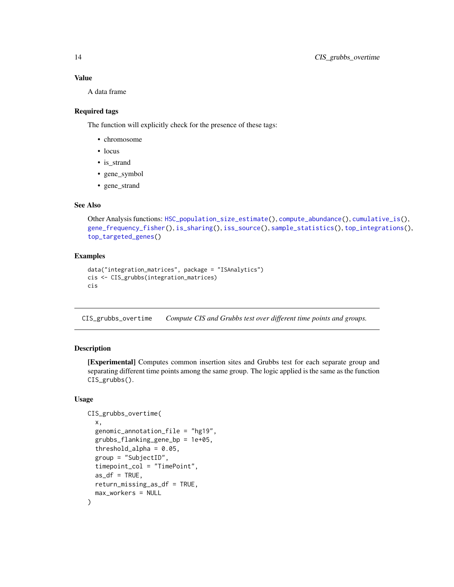# Value

A data frame

# Required tags

The function will explicitly check for the presence of these tags:

- chromosome
- locus
- is\_strand
- gene\_symbol
- gene\_strand

#### See Also

```
Other Analysis functions: HSC_population_size_estimate(), compute_abundance(), cumulative_is(),
gene_frequency_fisher(), is_sharing(), iss_source(), sample_statistics(), top_integrations(),
top_targeted_genes()
```
# Examples

```
data("integration_matrices", package = "ISAnalytics")
cis <- CIS_grubbs(integration_matrices)
cis
```
CIS\_grubbs\_overtime *Compute CIS and Grubbs test over different time points and groups.*

# Description

[Experimental] Computes common insertion sites and Grubbs test for each separate group and separating different time points among the same group. The logic applied is the same as the function CIS\_grubbs().

#### Usage

```
CIS_grubbs_overtime(
  x,
  genomic_annotation_file = "hg19",
  grubbs_flanking_gene_bp = 1e+05,
  threshold_alpha = 0.05,
  group = "SubjectID",
  timepoint_col = "TimePoint",
  as_d f = TRUE,
  return_missing_as_df = TRUE,
  max_workers = NULL
)
```
<span id="page-13-0"></span>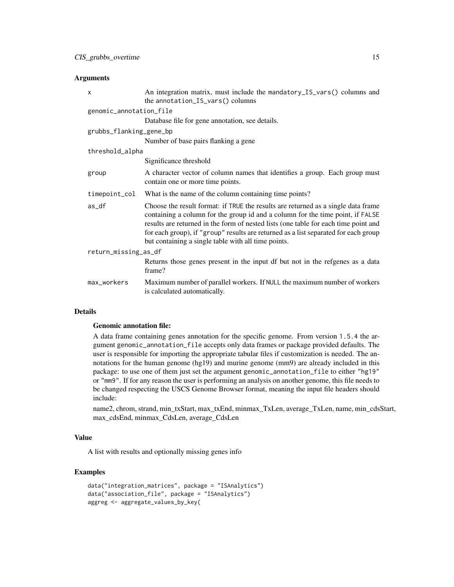#### **Arguments**

| $\times$                | An integration matrix, must include the mandatory_IS_vars() columns and<br>the annotation_IS_vars() columns                                                                                                                                                                                                                                                                                              |
|-------------------------|----------------------------------------------------------------------------------------------------------------------------------------------------------------------------------------------------------------------------------------------------------------------------------------------------------------------------------------------------------------------------------------------------------|
| genomic_annotation_file |                                                                                                                                                                                                                                                                                                                                                                                                          |
|                         | Database file for gene annotation, see details.                                                                                                                                                                                                                                                                                                                                                          |
| grubbs_flanking_gene_bp |                                                                                                                                                                                                                                                                                                                                                                                                          |
|                         | Number of base pairs flanking a gene                                                                                                                                                                                                                                                                                                                                                                     |
| threshold_alpha         |                                                                                                                                                                                                                                                                                                                                                                                                          |
|                         | Significance threshold                                                                                                                                                                                                                                                                                                                                                                                   |
| group                   | A character vector of column names that identifies a group. Each group must<br>contain one or more time points.                                                                                                                                                                                                                                                                                          |
| timepoint_col           | What is the name of the column containing time points?                                                                                                                                                                                                                                                                                                                                                   |
| as_df                   | Choose the result format: if TRUE the results are returned as a single data frame<br>containing a column for the group id and a column for the time point, if FALSE<br>results are returned in the form of nested lists (one table for each time point and<br>for each group), if "group" results are returned as a list separated for each group<br>but containing a single table with all time points. |
| return_missing_as_df    |                                                                                                                                                                                                                                                                                                                                                                                                          |
|                         | Returns those genes present in the input df but not in the refgenes as a data<br>frame?                                                                                                                                                                                                                                                                                                                  |
| max_workers             | Maximum number of parallel workers. If NULL the maximum number of workers<br>is calculated automatically.                                                                                                                                                                                                                                                                                                |

# Details

#### Genomic annotation file:

A data frame containing genes annotation for the specific genome. From version 1.5.4 the argument genomic\_annotation\_file accepts only data frames or package provided defaults. The user is responsible for importing the appropriate tabular files if customization is needed. The annotations for the human genome (hg19) and murine genome (mm9) are already included in this package: to use one of them just set the argument genomic\_annotation\_file to either "hg19" or "mm9". If for any reason the user is performing an analysis on another genome, this file needs to be changed respecting the USCS Genome Browser format, meaning the input file headers should include:

name2, chrom, strand, min\_txStart, max\_txEnd, minmax\_TxLen, average\_TxLen, name, min\_cdsStart, max\_cdsEnd, minmax\_CdsLen, average\_CdsLen

# Value

A list with results and optionally missing genes info

# Examples

```
data("integration_matrices", package = "ISAnalytics")
data("association_file", package = "ISAnalytics")
aggreg <- aggregate_values_by_key(
```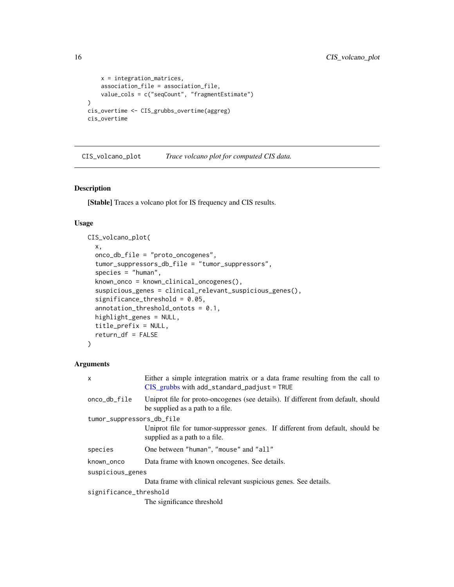```
x = integration_matrices,
    association_file = association_file,
    value_cols = c("seqCount", "fragmentEstimate")
\mathcal{L}cis_overtime <- CIS_grubbs_overtime(aggreg)
cis_overtime
```
<span id="page-15-1"></span>CIS\_volcano\_plot *Trace volcano plot for computed CIS data.*

# Description

[Stable] Traces a volcano plot for IS frequency and CIS results.

#### Usage

```
CIS_volcano_plot(
  x,
  onco_db_file = "proto_oncogenes",
  tumor_suppressors_db_file = "tumor_suppressors",
  species = "human",
  known_onco = known_clinical_oncogenes(),
  suspicious_genes = clinical_relevant_suspicious_genes(),
  significance_threshold = 0.05,
  annotation_threshold_ontots = 0.1,
  highlight_genes = NULL,
  title_prefix = NULL,
  return_df = FALSE
\mathcal{L}
```
#### Arguments

| $\mathsf{x}$              | Either a simple integration matrix or a data frame resulting from the call to<br>$CIS$ <sub>_grubbs</sub> with add_standard_padjust = TRUE |  |
|---------------------------|--------------------------------------------------------------------------------------------------------------------------------------------|--|
| onco_db_file              | Uniprot file for proto-oncogenes (see details). If different from default, should<br>be supplied as a path to a file.                      |  |
| tumor_suppressors_db_file |                                                                                                                                            |  |
|                           | Uniprot file for tumor-suppressor genes. If different from default, should be<br>supplied as a path to a file.                             |  |
| species                   | One between "human", "mouse" and "all"                                                                                                     |  |
| known_onco                | Data frame with known oncogenes. See details.                                                                                              |  |
| suspicious_genes          |                                                                                                                                            |  |
|                           | Data frame with clinical relevant suspicious genes. See details.                                                                           |  |
| significance_threshold    |                                                                                                                                            |  |

The significance threshold

<span id="page-15-0"></span>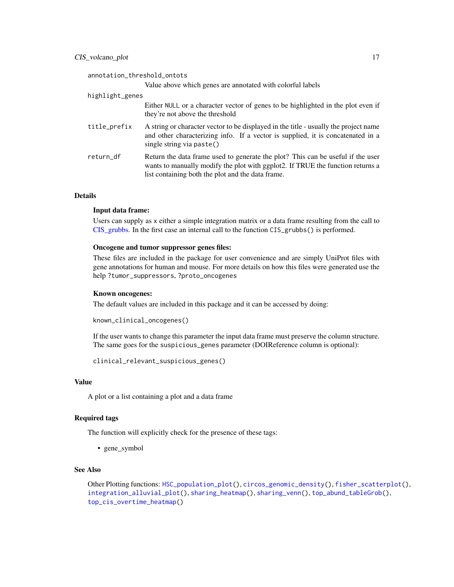# CIS\_volcano\_plot 17

| annotation_threshold_ontots                                                                                                                                                                                            |
|------------------------------------------------------------------------------------------------------------------------------------------------------------------------------------------------------------------------|
| Value above which genes are annotated with colorful labels                                                                                                                                                             |
| highlight_genes                                                                                                                                                                                                        |
| Either NULL or a character vector of genes to be highlighted in the plot even if<br>they're not above the threshold                                                                                                    |
| A string or character vector to be displayed in the title - usually the project name<br>and other characterizing info. If a vector is supplied, it is concatenated in a<br>single string via paste()                   |
| Return the data frame used to generate the plot? This can be useful if the user<br>wants to manually modify the plot with ggplot2. If TRUE the function returns a<br>list containing both the plot and the data frame. |
|                                                                                                                                                                                                                        |

# **Details**

#### Input data frame:

Users can supply as x either a simple integration matrix or a data frame resulting from the call to [CIS\\_grubbs.](#page-11-1) In the first case an internal call to the function CIS\_grubbs() is performed.

#### Oncogene and tumor suppressor genes files:

These files are included in the package for user convenience and are simply UniProt files with gene annotations for human and mouse. For more details on how this files were generated use the help ?tumor\_suppressors, ?proto\_oncogenes

# Known oncogenes:

The default values are included in this package and it can be accessed by doing:

```
known_clinical_oncogenes()
```
If the user wants to change this parameter the input data frame must preserve the column structure. The same goes for the suspicious\_genes parameter (DOIReference column is optional):

```
clinical_relevant_suspicious_genes()
```
# Value

A plot or a list containing a plot and a data frame

#### Required tags

The function will explicitly check for the presence of these tags:

• gene\_symbol

# See Also

Other Plotting functions: [HSC\\_population\\_plot\(](#page-36-1)), [circos\\_genomic\\_density\(](#page-10-1)), [fisher\\_scatterplot\(](#page-29-2)), [integration\\_alluvial\\_plot\(](#page-49-1)), [sharing\\_heatmap\(](#page-80-1)), [sharing\\_venn\(](#page-81-1)), [top\\_abund\\_tableGrob\(](#page-86-1)), [top\\_cis\\_overtime\\_heatmap\(](#page-88-1))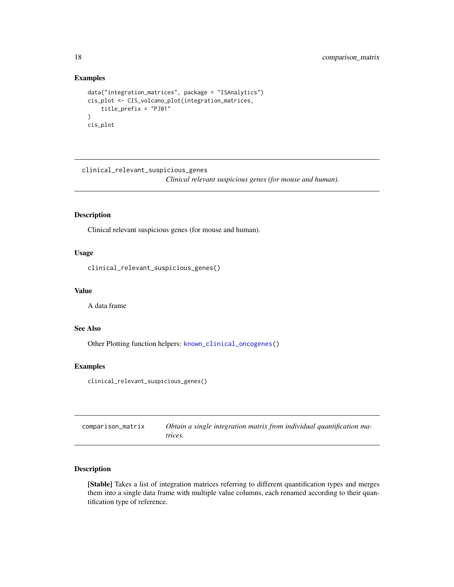#### Examples

```
data("integration_matrices", package = "ISAnalytics")
cis_plot <- CIS_volcano_plot(integration_matrices,
   title_prefix = "PJ01"
)
cis_plot
```
clinical\_relevant\_suspicious\_genes *Clinical relevant suspicious genes (for mouse and human).*

# Description

Clinical relevant suspicious genes (for mouse and human).

# Usage

clinical\_relevant\_suspicious\_genes()

# Value

A data frame

#### See Also

Other Plotting function helpers: [known\\_clinical\\_oncogenes\(](#page-55-1))

# Examples

clinical\_relevant\_suspicious\_genes()

<span id="page-17-1"></span>

| comparison_matrix | Obtain a single integration matrix from individual quantification ma- |
|-------------------|-----------------------------------------------------------------------|
|                   | trices.                                                               |

# Description

[Stable] Takes a list of integration matrices referring to different quantification types and merges them into a single data frame with multiple value columns, each renamed according to their quantification type of reference.

<span id="page-17-0"></span>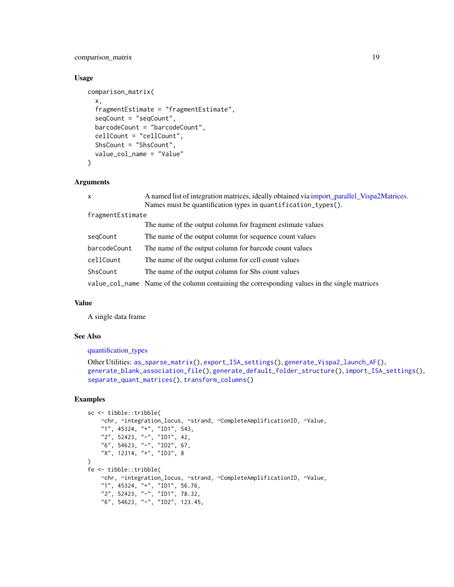# comparison\_matrix 19

# Usage

```
comparison_matrix(
  x,
  fragmentEstimate = "fragmentEstimate",
  seqCount = "seqCount",
  barcodeCount = "barcodeCount",
  cellCount = "cellCount",
  ShsCount = "ShsCount",
  value_col_name = "Value"
)
```
# Arguments

| $\mathsf{x}$     | A named list of integration matrices, ideally obtained via import_parallel_Vispa2Matrices.   |  |
|------------------|----------------------------------------------------------------------------------------------|--|
|                  | Names must be quantification types in quantification_types().                                |  |
| fragmentEstimate |                                                                                              |  |
|                  | The name of the output column for fragment estimate values                                   |  |
| segCount         | The name of the output column for sequence count values                                      |  |
| barcodeCount     | The name of the output column for barcode count values                                       |  |
| cellCount        | The name of the output column for cell count values                                          |  |
| ShsCount         | The name of the output column for Shs count values                                           |  |
|                  | value_col_name Name of the column containing the corresponding values in the single matrices |  |

# Value

A single data frame

#### See Also

[quantification\\_types](#page-66-1)

```
Other Utilities: as_sparse_matrix(), export_ISA_settings(), generate_Vispa2_launch_AF(),
generate_blank_association_file(), generate_default_folder_structure(), import_ISA_settings(),
separate_quant_matrices(), transform_columns()
```
# Examples

```
sc <- tibble::tribble(
   ~chr, ~integration_locus, ~strand, ~CompleteAmplificationID, ~Value,
    "1", 45324, "+", "ID1", 543,
    "2", 52423, "-", "ID1", 42,
   "6", 54623, "-", "ID2", 67,
    "X", 12314, "+", "ID3", 8
)
fe <- tibble::tribble(
   ~chr, ~integration_locus, ~strand, ~CompleteAmplificationID, ~Value,
    "1", 45324, "+", "ID1", 56.76,
    "2", 52423, "-", "ID1", 78.32,
    "6", 54623, "-", "ID2", 123.45,
```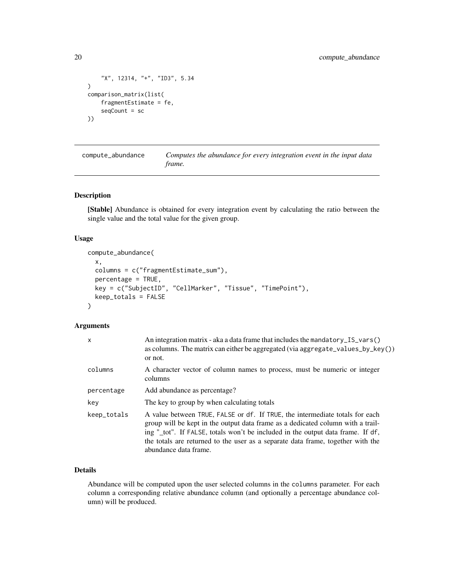```
"X", 12314, "+", "ID3", 5.34
\mathcal{L}comparison_matrix(list(
    fragmentEstimate = fe,
    seqCount = sc
))
```
<span id="page-19-1"></span>compute\_abundance *Computes the abundance for every integration event in the input data frame.*

#### Description

[Stable] Abundance is obtained for every integration event by calculating the ratio between the single value and the total value for the given group.

#### Usage

```
compute_abundance(
  x,
 columns = c("fragmentEstimate_sum"),
 percentage = TRUE,
 key = c("SubjectID", "CellMarker", "Tissue", "TimePoint"),
 keep_totals = FALSE
)
```
#### Arguments

| $\mathsf{x}$ | An integration matrix - aka a data frame that includes the mandatory_IS_vars()<br>as columns. The matrix can either be aggregated (via aggregate_values_by_key())<br>or not.                                                                                                                                                                                   |
|--------------|----------------------------------------------------------------------------------------------------------------------------------------------------------------------------------------------------------------------------------------------------------------------------------------------------------------------------------------------------------------|
| columns      | A character vector of column names to process, must be numeric or integer<br>columns                                                                                                                                                                                                                                                                           |
| percentage   | Add abundance as percentage?                                                                                                                                                                                                                                                                                                                                   |
| key          | The key to group by when calculating totals                                                                                                                                                                                                                                                                                                                    |
| keep_totals  | A value between TRUE, FALSE or df. If TRUE, the intermediate totals for each<br>group will be kept in the output data frame as a dedicated column with a trail-<br>ing "_tot". If FALSE, totals won't be included in the output data frame. If df,<br>the totals are returned to the user as a separate data frame, together with the<br>abundance data frame. |

# Details

Abundance will be computed upon the user selected columns in the columns parameter. For each column a corresponding relative abundance column (and optionally a percentage abundance column) will be produced.

<span id="page-19-0"></span>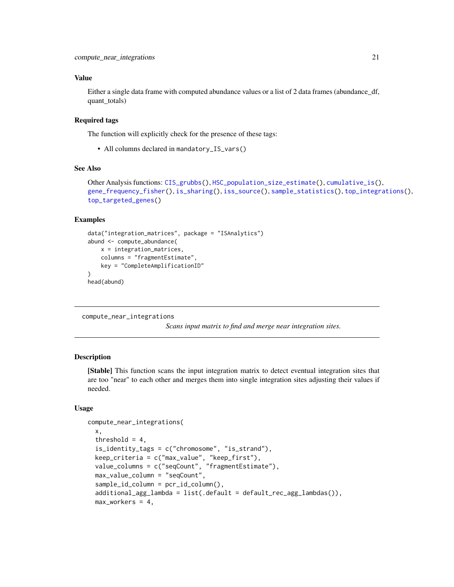# <span id="page-20-0"></span>Value

Either a single data frame with computed abundance values or a list of 2 data frames (abundance df, quant\_totals)

# Required tags

The function will explicitly check for the presence of these tags:

• All columns declared in mandatory\_IS\_vars()

# See Also

```
Other Analysis functions: CIS_grubbs(), HSC_population_size_estimate(), cumulative_is(),
gene_frequency_fisher(), is_sharing(), iss_source(), sample_statistics(), top_integrations(),
top_targeted_genes()
```
#### Examples

```
data("integration_matrices", package = "ISAnalytics")
abund <- compute_abundance(
   x = integration_matrices,
   columns = "fragmentEstimate",
   key = "CompleteAmplificationID"
)
head(abund)
```
<span id="page-20-1"></span>compute\_near\_integrations

*Scans input matrix to find and merge near integration sites.*

# Description

[Stable] This function scans the input integration matrix to detect eventual integration sites that are too "near" to each other and merges them into single integration sites adjusting their values if needed.

#### Usage

```
compute_near_integrations(
  x,
  threshold = 4,
  is_identity_tags = c("chromosome", "is_strand"),
  keep_criteria = c("max_value", "keep_first"),
  value_columns = c("seqCount", "fragmentEstimate"),
  max_value_column = "seqCount",
  sample_id_column = pcr_id_column(),
  additional_agg_lambda = list(.default = default_rec_agg_lambdas()),
  max_workers = 4,
```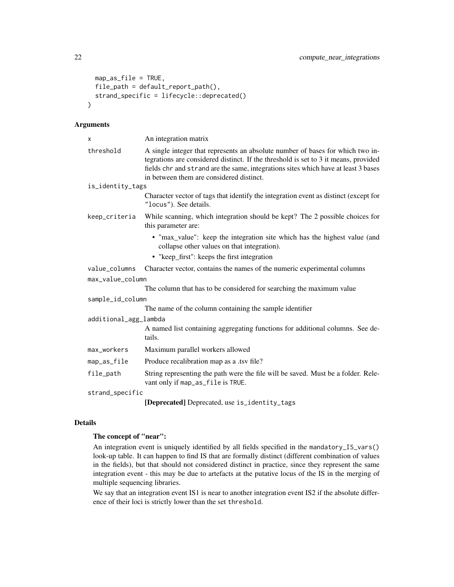```
map_as_file = TRUE,
  file_path = default_report_path(),
  strand_specific = lifecycle::deprecated()
\lambda
```
#### Arguments

| X                     | An integration matrix                                                                                                                                                                                                                                                                                   |  |  |  |
|-----------------------|---------------------------------------------------------------------------------------------------------------------------------------------------------------------------------------------------------------------------------------------------------------------------------------------------------|--|--|--|
| threshold             | A single integer that represents an absolute number of bases for which two in-<br>tegrations are considered distinct. If the threshold is set to 3 it means, provided<br>fields chr and strand are the same, integrations sites which have at least 3 bases<br>in between them are considered distinct. |  |  |  |
| is_identity_tags      |                                                                                                                                                                                                                                                                                                         |  |  |  |
|                       | Character vector of tags that identify the integration event as distinct (except for<br>"locus"). See details.                                                                                                                                                                                          |  |  |  |
| keep_criteria         | While scanning, which integration should be kept? The 2 possible choices for<br>this parameter are:                                                                                                                                                                                                     |  |  |  |
|                       | • "max_value": keep the integration site which has the highest value (and<br>collapse other values on that integration).                                                                                                                                                                                |  |  |  |
|                       | • "keep_first": keeps the first integration                                                                                                                                                                                                                                                             |  |  |  |
| value_columns         | Character vector, contains the names of the numeric experimental columns                                                                                                                                                                                                                                |  |  |  |
| max_value_column      |                                                                                                                                                                                                                                                                                                         |  |  |  |
|                       | The column that has to be considered for searching the maximum value                                                                                                                                                                                                                                    |  |  |  |
| sample_id_column      |                                                                                                                                                                                                                                                                                                         |  |  |  |
|                       | The name of the column containing the sample identifier                                                                                                                                                                                                                                                 |  |  |  |
| additional_agg_lambda |                                                                                                                                                                                                                                                                                                         |  |  |  |
|                       | A named list containing aggregating functions for additional columns. See de-<br>tails.                                                                                                                                                                                                                 |  |  |  |
| max_workers           | Maximum parallel workers allowed                                                                                                                                                                                                                                                                        |  |  |  |
| map_as_file           | Produce recalibration map as a .tsv file?                                                                                                                                                                                                                                                               |  |  |  |
| file_path             | String representing the path were the file will be saved. Must be a folder. Rele-<br>vant only if map_as_file is TRUE.                                                                                                                                                                                  |  |  |  |
| strand_specific       |                                                                                                                                                                                                                                                                                                         |  |  |  |
|                       | [Deprecated] Deprecated, use is_identity_tags                                                                                                                                                                                                                                                           |  |  |  |

# Details

#### The concept of "near":

An integration event is uniquely identified by all fields specified in the mandatory\_IS\_vars() look-up table. It can happen to find IS that are formally distinct (different combination of values in the fields), but that should not considered distinct in practice, since they represent the same integration event - this may be due to artefacts at the putative locus of the IS in the merging of multiple sequencing libraries.

We say that an integration event IS1 is near to another integration event IS2 if the absolute difference of their loci is strictly lower than the set threshold.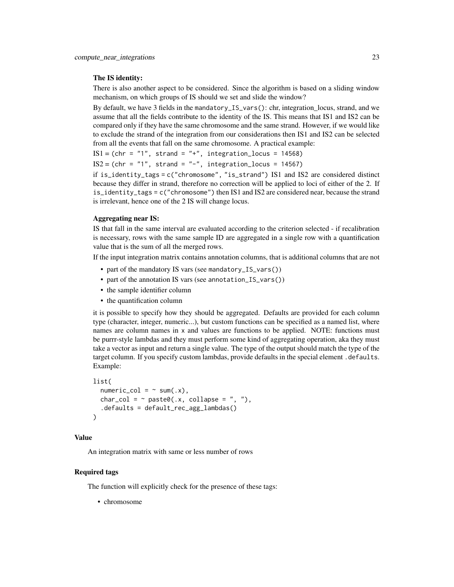#### The IS identity:

There is also another aspect to be considered. Since the algorithm is based on a sliding window mechanism, on which groups of IS should we set and slide the window?

By default, we have 3 fields in the mandatory\_IS\_vars(): chr, integration\_locus, strand, and we assume that all the fields contribute to the identity of the IS. This means that IS1 and IS2 can be compared only if they have the same chromosome and the same strand. However, if we would like to exclude the strand of the integration from our considerations then IS1 and IS2 can be selected from all the events that fall on the same chromosome. A practical example:

 $IS1 = (chr = "1", strand = "+", integration\_locus = 14568)$  $IS2 = (chr = "1", strand = "-", integration_loss = 14567)$ 

if is\_identity\_tags = c("chromosome", "is\_strand") IS1 and IS2 are considered distinct because they differ in strand, therefore no correction will be applied to loci of either of the 2. If is\_identity\_tags = c("chromosome") then IS1 and IS2 are considered near, because the strand is irrelevant, hence one of the 2 IS will change locus.

#### Aggregating near IS:

IS that fall in the same interval are evaluated according to the criterion selected - if recalibration is necessary, rows with the same sample ID are aggregated in a single row with a quantification value that is the sum of all the merged rows.

If the input integration matrix contains annotation columns, that is additional columns that are not

- part of the mandatory IS vars (see mandatory\_IS\_vars())
- part of the annotation IS vars (see annotation\_IS\_vars())
- the sample identifier column
- the quantification column

it is possible to specify how they should be aggregated. Defaults are provided for each column type (character, integer, numeric...), but custom functions can be specified as a named list, where names are column names in x and values are functions to be applied. NOTE: functions must be purrr-style lambdas and they must perform some kind of aggregating operation, aka they must take a vector as input and return a single value. The type of the output should match the type of the target column. If you specify custom lambdas, provide defaults in the special element .defaults. Example:

```
list(
  numeric\_col = ~ x sum(.x),
  char_col = \sim paste0(.x, collapse = ", "),
  .defaults = default_rec_agg_lambdas()
\lambda
```
# Value

An integration matrix with same or less number of rows

# Required tags

The function will explicitly check for the presence of these tags:

• chromosome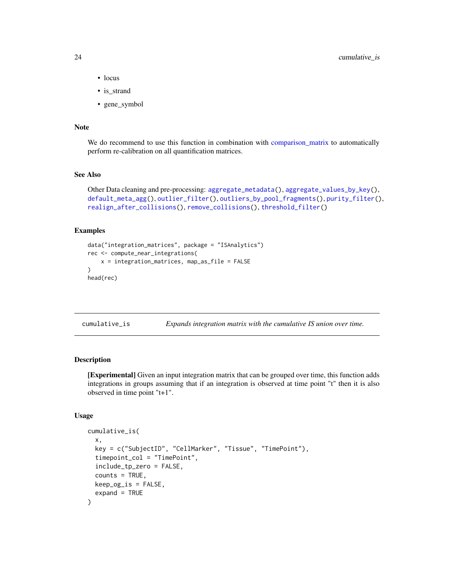- <span id="page-23-0"></span>• locus
- is strand
- gene\_symbol

# Note

We do recommend to use this function in combination with [comparison\\_matrix](#page-17-1) to automatically perform re-calibration on all quantification matrices.

#### See Also

```
Other Data cleaning and pre-processing: aggregate_metadata(), aggregate_values_by_key(),
default_meta_agg(), outlier_filter(), outliers_by_pool_fragments(), purity_filter(),
realign_after_collisions(), remove_collisions(), threshold_filter()
```
#### Examples

```
data("integration_matrices", package = "ISAnalytics")
rec <- compute_near_integrations(
   x = integration_matrices, map_as_file = FALSE
)
head(rec)
```
<span id="page-23-1"></span>

| cumulative_is | Expands integration matrix with the cumulative IS union over time. |  |  |  |
|---------------|--------------------------------------------------------------------|--|--|--|
|---------------|--------------------------------------------------------------------|--|--|--|

# Description

[Experimental] Given an input integration matrix that can be grouped over time, this function adds integrations in groups assuming that if an integration is observed at time point "t" then it is also observed in time point "t+1".

# Usage

```
cumulative_is(
  x,
  key = c("SubjectID", "CellMarker", "Tissue", "TimePoint"),
  timepoint_col = "TimePoint",
  include_tp_zero = FALSE,
  counts = TRUE,keep_og_is = FALSE,
  expand = TRUE)
```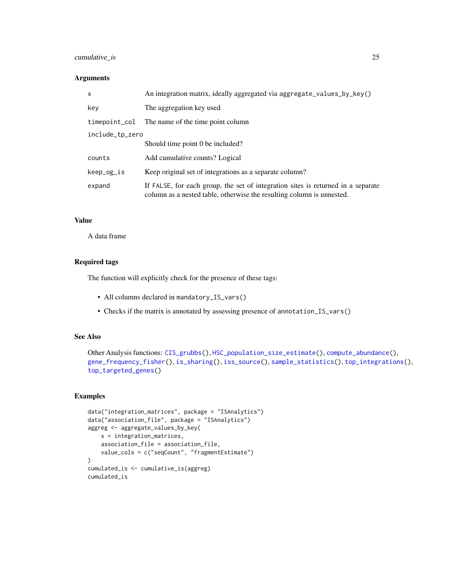# cumulative\_is 25

# Arguments

| X               | An integration matrix, ideally aggregated via aggregate_values_by_key()                                                                                   |  |  |  |
|-----------------|-----------------------------------------------------------------------------------------------------------------------------------------------------------|--|--|--|
| key             | The aggregation key used                                                                                                                                  |  |  |  |
| timepoint_col   | The name of the time point column                                                                                                                         |  |  |  |
| include_tp_zero |                                                                                                                                                           |  |  |  |
|                 | Should time point 0 be included?                                                                                                                          |  |  |  |
| counts          | Add cumulative counts? Logical                                                                                                                            |  |  |  |
| keep_og_is      | Keep original set of integrations as a separate column?                                                                                                   |  |  |  |
| expand          | If FALSE, for each group, the set of integration sites is returned in a separate<br>column as a nested table, otherwise the resulting column is unnested. |  |  |  |

# Value

A data frame

# Required tags

The function will explicitly check for the presence of these tags:

- All columns declared in mandatory\_IS\_vars()
- Checks if the matrix is annotated by assessing presence of annotation\_IS\_vars()

#### See Also

```
Other Analysis functions: CIS_grubbs(), HSC_population_size_estimate(), compute_abundance(),
gene_frequency_fisher(), is_sharing(), iss_source(), sample_statistics(), top_integrations(),
top_targeted_genes()
```
# Examples

```
data("integration_matrices", package = "ISAnalytics")
data("association_file", package = "ISAnalytics")
aggreg <- aggregate_values_by_key(
   x = integration_matrices,
   association_file = association_file,
   value_cols = c("seqCount", "fragmentEstimate")
\mathcal{L}cumulated_is <- cumulative_is(aggreg)
cumulated_is
```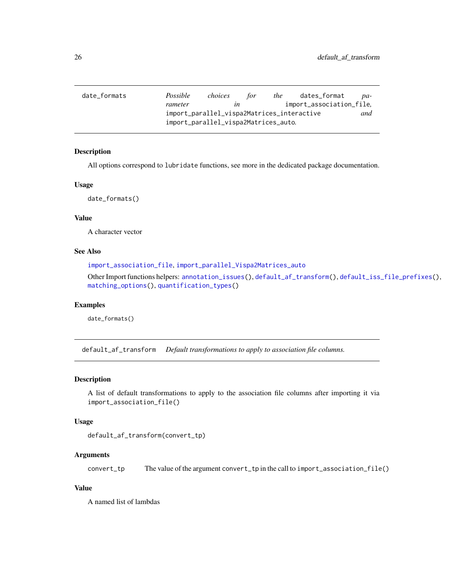<span id="page-25-1"></span><span id="page-25-0"></span>

| date_formats | Possible                             | choices                                           | for | the | dates_format             | pa- |  |
|--------------|--------------------------------------|---------------------------------------------------|-----|-----|--------------------------|-----|--|
|              | rameter                              | ın                                                |     |     | import_association_file. |     |  |
|              |                                      | import_parallel_vispa2Matrices_interactive<br>and |     |     |                          |     |  |
|              | import_parallel_vispa2Matrices_auto. |                                                   |     |     |                          |     |  |

# Description

All options correspond to lubridate functions, see more in the dedicated package documentation.

#### Usage

date\_formats()

# Value

A character vector

#### See Also

[import\\_association\\_file](#page-40-1), [import\\_parallel\\_Vispa2Matrices\\_auto](#page-0-0)

Other Import functions helpers: [annotation\\_issues\(](#page-6-1)), [default\\_af\\_transform\(](#page-25-2)), [default\\_iss\\_file\\_prefixes\(](#page-26-2)), [matching\\_options\(](#page-57-1)), [quantification\\_types\(](#page-66-1))

# Examples

date\_formats()

<span id="page-25-2"></span>default\_af\_transform *Default transformations to apply to association file columns.*

# Description

A list of default transformations to apply to the association file columns after importing it via import\_association\_file()

#### Usage

```
default_af_transform(convert_tp)
```
#### Arguments

convert\_tp The value of the argument convert\_tp in the call to import\_association\_file()

# Value

A named list of lambdas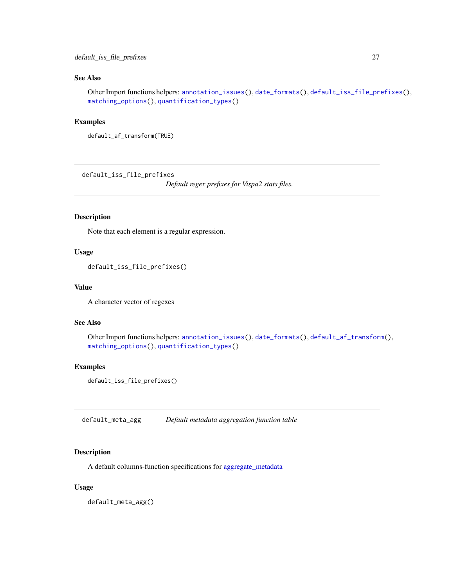# <span id="page-26-0"></span>See Also

Other Import functions helpers: [annotation\\_issues\(](#page-6-1)), [date\\_formats\(](#page-25-1)), [default\\_iss\\_file\\_prefixes\(](#page-26-2)), [matching\\_options\(](#page-57-1)), [quantification\\_types\(](#page-66-1))

# Examples

```
default_af_transform(TRUE)
```
<span id="page-26-2"></span>default\_iss\_file\_prefixes

*Default regex prefixes for Vispa2 stats files.*

#### Description

Note that each element is a regular expression.

#### Usage

default\_iss\_file\_prefixes()

#### Value

A character vector of regexes

#### See Also

Other Import functions helpers: [annotation\\_issues\(](#page-6-1)), [date\\_formats\(](#page-25-1)), [default\\_af\\_transform\(](#page-25-2)), [matching\\_options\(](#page-57-1)), [quantification\\_types\(](#page-66-1))

# Examples

default\_iss\_file\_prefixes()

<span id="page-26-1"></span>default\_meta\_agg *Default metadata aggregation function table*

# Description

A default columns-function specifications for [aggregate\\_metadata](#page-3-1)

#### Usage

default\_meta\_agg()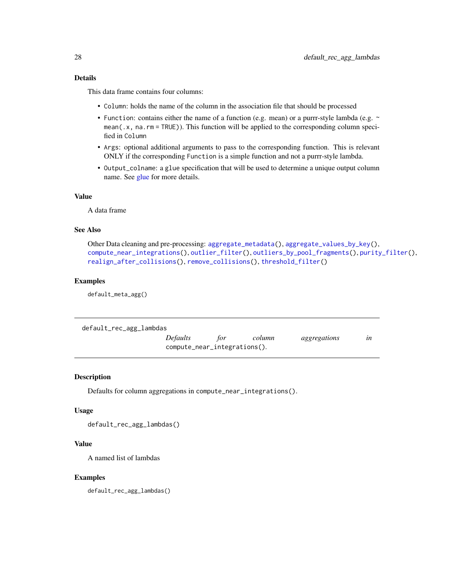## <span id="page-27-0"></span>Details

This data frame contains four columns:

- Column: holds the name of the column in the association file that should be processed
- Function: contains either the name of a function (e.g. mean) or a purrr-style lambda (e.g. ~ mean(.x, na.rm = TRUE)). This function will be applied to the corresponding column specified in Column
- Args: optional additional arguments to pass to the corresponding function. This is relevant ONLY if the corresponding Function is a simple function and not a purrr-style lambda.
- Output\_colname: a glue specification that will be used to determine a unique output column name. See [glue](#page-0-0) for more details.

# Value

A data frame

# See Also

```
Other Data cleaning and pre-processing: aggregate_metadata(), aggregate_values_by_key(),
compute_near_integrations(), outlier_filter(), outliers_by_pool_fragments(), purity_filter(),
realign_after_collisions(), remove_collisions(), threshold_filter()
```
# Examples

default\_meta\_agg()

| default_rec_agg_lambdas |                              |     |        |              |           |
|-------------------------|------------------------------|-----|--------|--------------|-----------|
|                         | <i>Defaults</i>              | tor | column | aggregations | $\iota$ n |
|                         | compute_near_integrations(). |     |        |              |           |

# Description

Defaults for column aggregations in compute\_near\_integrations().

#### Usage

default\_rec\_agg\_lambdas()

# Value

A named list of lambdas

#### Examples

default\_rec\_agg\_lambdas()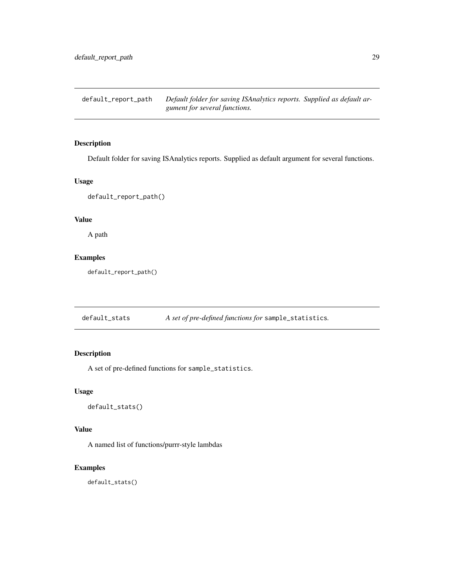<span id="page-28-0"></span>default\_report\_path *Default folder for saving ISAnalytics reports. Supplied as default argument for several functions.*

# Description

Default folder for saving ISAnalytics reports. Supplied as default argument for several functions.

#### Usage

default\_report\_path()

# Value

A path

# Examples

default\_report\_path()

default\_stats *A set of pre-defined functions for* sample\_statistics*.*

# Description

A set of pre-defined functions for sample\_statistics.

# Usage

default\_stats()

# Value

A named list of functions/purrr-style lambdas

# Examples

default\_stats()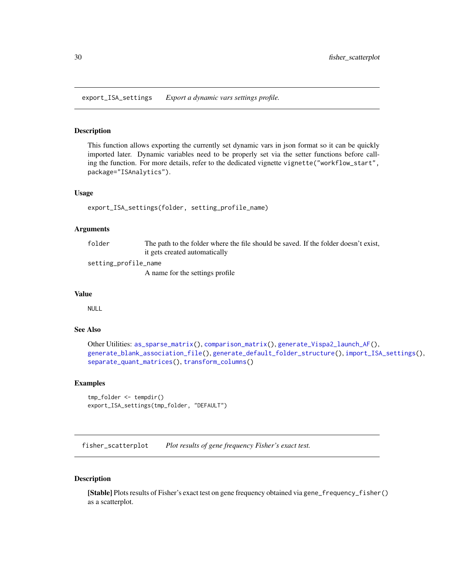<span id="page-29-1"></span><span id="page-29-0"></span>export\_ISA\_settings *Export a dynamic vars settings profile.*

#### Description

This function allows exporting the currently set dynamic vars in json format so it can be quickly imported later. Dynamic variables need to be properly set via the setter functions before calling the function. For more details, refer to the dedicated vignette vignette("workflow\_start", package="ISAnalytics").

#### Usage

```
export_ISA_settings(folder, setting_profile_name)
```
#### Arguments

folder The path to the folder where the file should be saved. If the folder doesn't exist, it gets created automatically

setting\_profile\_name

A name for the settings profile

# Value

NULL

# See Also

```
Other Utilities: as_sparse_matrix(), comparison_matrix(), generate_Vispa2_launch_AF(),
generate_blank_association_file(), generate_default_folder_structure(), import_ISA_settings(),
separate_quant_matrices(), transform_columns()
```
#### Examples

```
tmp_folder <- tempdir()
export_ISA_settings(tmp_folder, "DEFAULT")
```
<span id="page-29-2"></span>fisher\_scatterplot *Plot results of gene frequency Fisher's exact test.*

#### Description

[Stable] Plots results of Fisher's exact test on gene frequency obtained via gene\_frequency\_fisher() as a scatterplot.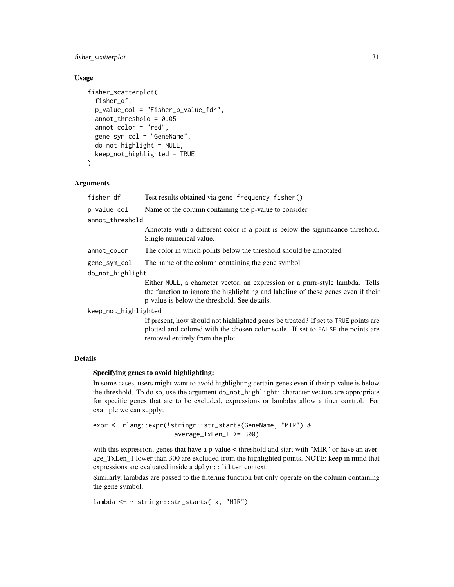# fisher\_scatterplot 31

# Usage

```
fisher_scatterplot(
  fisher_df,
  p_value_col = "Fisher_p_value_fdr",
  annot_{\text{threshold}} = 0.05,
  annot_color = "red",
  gene_sym_col = "GeneName",
  do_not_highlight = NULL,
  keep_not_highlighted = TRUE
\mathcal{L}
```
#### Arguments

| fisher_df            | Test results obtained via gene_frequency_fisher()                                                                                                                                                                  |  |  |  |  |
|----------------------|--------------------------------------------------------------------------------------------------------------------------------------------------------------------------------------------------------------------|--|--|--|--|
| p_value_col          | Name of the column containing the p-value to consider                                                                                                                                                              |  |  |  |  |
| annot_threshold      |                                                                                                                                                                                                                    |  |  |  |  |
|                      | Annotate with a different color if a point is below the significance threshold.<br>Single numerical value.                                                                                                         |  |  |  |  |
| annot_color          | The color in which points below the threshold should be annotated                                                                                                                                                  |  |  |  |  |
| gene_sym_col         | The name of the column containing the gene symbol                                                                                                                                                                  |  |  |  |  |
| do_not_highlight     |                                                                                                                                                                                                                    |  |  |  |  |
|                      | Either NULL, a character vector, an expression or a purrr-style lambda. Tells<br>the function to ignore the highlighting and labeling of these genes even if their<br>p-value is below the threshold. See details. |  |  |  |  |
| keep_not_highlighted |                                                                                                                                                                                                                    |  |  |  |  |
|                      | If present, how should not highlighted genes be treated? If set to TRUE points are<br>plotted and colored with the chosen color scale. If set to FALSE the points are<br>removed entirely from the plot.           |  |  |  |  |

# Details

# Specifying genes to avoid highlighting:

In some cases, users might want to avoid highlighting certain genes even if their p-value is below the threshold. To do so, use the argument do\_not\_highlight: character vectors are appropriate for specific genes that are to be excluded, expressions or lambdas allow a finer control. For example we can supply:

expr <- rlang::expr(!stringr::str\_starts(GeneName, "MIR") & average\_TxLen\_1 >= 300)

with this expression, genes that have a p-value < threshold and start with "MIR" or have an average\_TxLen\_1 lower than 300 are excluded from the highlighted points. NOTE: keep in mind that expressions are evaluated inside a dplyr::filter context.

Similarly, lambdas are passed to the filtering function but only operate on the column containing the gene symbol.

```
lambda <- ~ stringr::str_starts(.x, "MIR")
```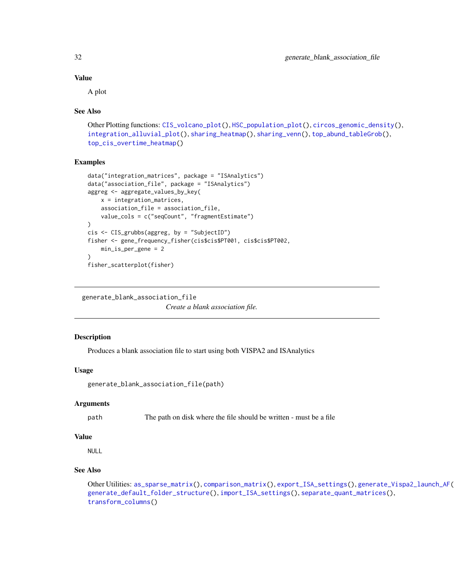# Value

A plot

#### See Also

```
Other Plotting functions: CIS_volcano_plot(), HSC_population_plot(), circos_genomic_density(),
integration_alluvial_plot(), sharing_heatmap(), sharing_venn(), top_abund_tableGrob(),
top_cis_overtime_heatmap()
```
# Examples

```
data("integration_matrices", package = "ISAnalytics")
data("association_file", package = "ISAnalytics")
aggreg <- aggregate_values_by_key(
    x = integration_matrices,
    association_file = association_file,
    value_cols = c("seqCount", "fragmentEstimate")
)
cis <- CIS_grubbs(aggreg, by = "SubjectID")
fisher <- gene_frequency_fisher(cis$cis$PT001, cis$cis$PT002,
    min_is_per_gene = 2
\lambdafisher_scatterplot(fisher)
```
<span id="page-31-1"></span>generate\_blank\_association\_file

*Create a blank association file.*

# Description

Produces a blank association file to start using both VISPA2 and ISAnalytics

# Usage

generate\_blank\_association\_file(path)

# **Arguments**

path The path on disk where the file should be written - must be a file

# Value

NULL<sub>1</sub>

# See Also

Other Utilities: [as\\_sparse\\_matrix\(](#page-7-1)), [comparison\\_matrix\(](#page-17-1)), [export\\_ISA\\_settings\(](#page-29-1)), [generate\\_Vispa2\\_launch\\_AF\(](#page-33-1)), [generate\\_default\\_folder\\_structure\(](#page-32-1)), [import\\_ISA\\_settings\(](#page-42-1)), [separate\\_quant\\_matrices\(](#page-75-1)), [transform\\_columns\(](#page-95-1))

<span id="page-31-0"></span>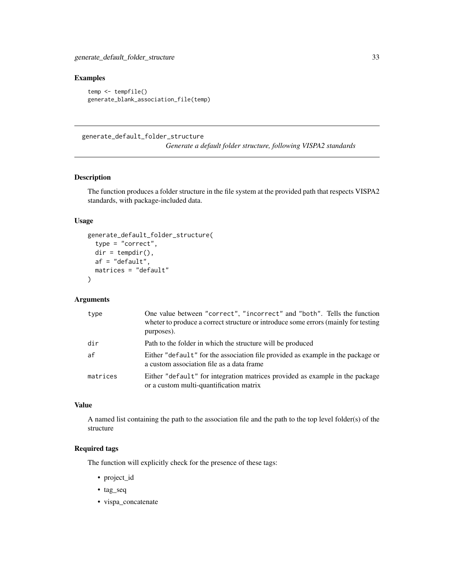# <span id="page-32-0"></span>Examples

```
temp <- tempfile()
generate_blank_association_file(temp)
```
<span id="page-32-1"></span>generate\_default\_folder\_structure

*Generate a default folder structure, following VISPA2 standards*

#### Description

The function produces a folder structure in the file system at the provided path that respects VISPA2 standards, with package-included data.

#### Usage

```
generate_default_folder_structure(
  type = "correct",
 dir = tempdir(),
 af = "default",
 matrices = "default"
)
```
#### Arguments

| type     | One value between "correct", "incorrect" and "both". Tells the function<br>wheter to produce a correct structure or introduce some errors (mainly for testing<br>purposes). |
|----------|-----------------------------------------------------------------------------------------------------------------------------------------------------------------------------|
| dir      | Path to the folder in which the structure will be produced                                                                                                                  |
| af       | Either "default" for the association file provided as example in the package or<br>a custom association file as a data frame                                                |
| matrices | Either "default" for integration matrices provided as example in the package<br>or a custom multi-quantification matrix                                                     |

# Value

A named list containing the path to the association file and the path to the top level folder(s) of the structure

# Required tags

The function will explicitly check for the presence of these tags:

- project\_id
- tag\_seq
- vispa\_concatenate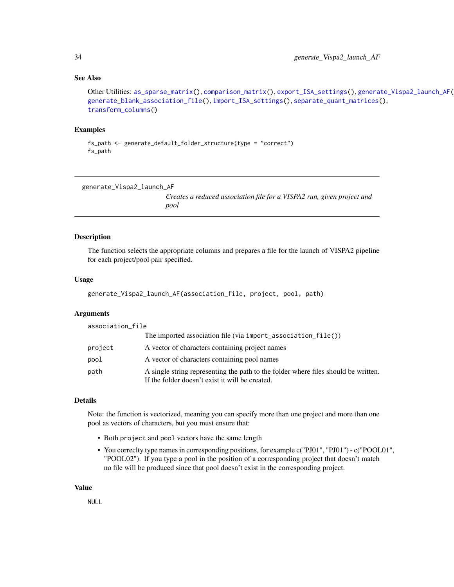#### <span id="page-33-0"></span>See Also

```
Other Utilities: as_sparse_matrix(), comparison_matrix(), export_ISA_settings(), generate_Vispa2_launch_AF(),
generate_blank_association_file(), import_ISA_settings(), separate_quant_matrices(),
transform_columns()
```
#### Examples

```
fs_path <- generate_default_folder_structure(type = "correct")
fs_path
```
<span id="page-33-1"></span>generate\_Vispa2\_launch\_AF

*Creates a reduced association file for a VISPA2 run, given project and pool*

#### Description

The function selects the appropriate columns and prepares a file for the launch of VISPA2 pipeline for each project/pool pair specified.

#### Usage

```
generate_Vispa2_launch_AF(association_file, project, pool, path)
```
# **Arguments**

| association_file |                                                                                                                                       |
|------------------|---------------------------------------------------------------------------------------------------------------------------------------|
|                  | The imported association file (via $import_$ association $_file()$ )                                                                  |
| project          | A vector of characters containing project names                                                                                       |
| pool             | A vector of characters containing pool names                                                                                          |
| path             | A single string representing the path to the folder where files should be written.<br>If the folder doesn't exist it will be created. |

# Details

Note: the function is vectorized, meaning you can specify more than one project and more than one pool as vectors of characters, but you must ensure that:

- Both project and pool vectors have the same length
- You correclty type names in corresponding positions, for example c("PJ01", "PJ01") c("POOL01", "POOL02"). If you type a pool in the position of a corresponding project that doesn't match no file will be produced since that pool doesn't exist in the corresponding project.

#### Value

NULL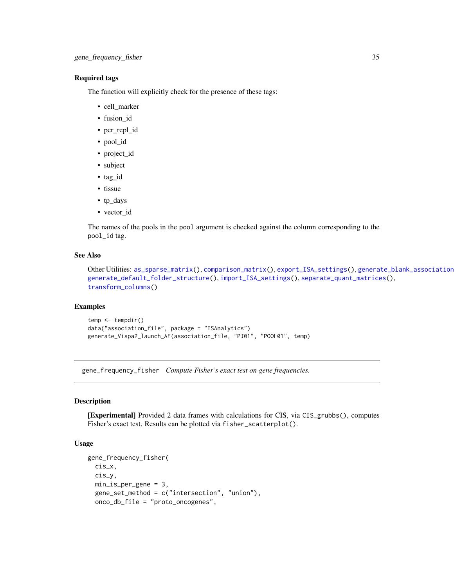# <span id="page-34-0"></span>Required tags

The function will explicitly check for the presence of these tags:

- cell\_marker
- fusion\_id
- pcr\_repl\_id
- pool\_id
- project\_id
- subject
- tag\_id
- tissue
- tp\_days
- vector\_id

The names of the pools in the pool argument is checked against the column corresponding to the pool\_id tag.

# See Also

```
as_sparse_matrix(comparison_matrix(export_ISA_settings(), generate_blank_association
generate_default_folder_structure(), import_ISA_settings(), separate_quant_matrices(),
transform_columns()
```
#### Examples

```
temp <- tempdir()
data("association_file", package = "ISAnalytics")
generate_Vispa2_launch_AF(association_file, "PJ01", "POOL01", temp)
```
<span id="page-34-1"></span>gene\_frequency\_fisher *Compute Fisher's exact test on gene frequencies.*

#### Description

[Experimental] Provided 2 data frames with calculations for CIS, via CIS\_grubbs(), computes Fisher's exact test. Results can be plotted via fisher\_scatterplot().

# Usage

```
gene_frequency_fisher(
 cis_x,
 cis_y,
 min_is_per_gene = 3,
 gene_set_method = c("intersection", "union"),
 onco_db_file = "proto_oncogenes",
```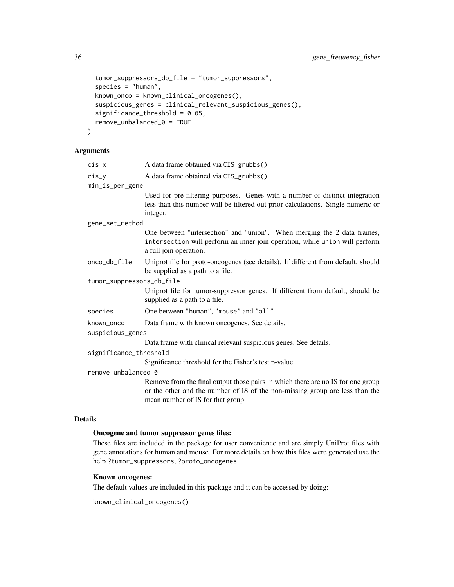```
tumor_suppressors_db_file = "tumor_suppressors",
species = "human",
known_onco = known_clinical_oncogenes(),
suspicious_genes = clinical_relevant_suspicious_genes(),
significance_threshold = 0.05,
remove_unbalanced_0 = TRUE
```
#### Arguments

)

| $CIS_X$ |  |  | A data frame obtained via CIS_grubbs() |  |  |  |  |
|---------|--|--|----------------------------------------|--|--|--|--|
|---------|--|--|----------------------------------------|--|--|--|--|

- cis\_y A data frame obtained via CIS\_grubbs()
- min\_is\_per\_gene

Used for pre-filtering purposes. Genes with a number of distinct integration less than this number will be filtered out prior calculations. Single numeric or integer.

gene\_set\_method

One between "intersection" and "union". When merging the 2 data frames, intersection will perform an inner join operation, while union will perform a full join operation.

onco\_db\_file Uniprot file for proto-oncogenes (see details). If different from default, should be supplied as a path to a file.

tumor\_suppressors\_db\_file

Uniprot file for tumor-suppressor genes. If different from default, should be supplied as a path to a file.

species One between "human", "mouse" and "all"

- known\_onco Data frame with known oncogenes. See details.
- suspicious\_genes

Data frame with clinical relevant suspicious genes. See details.

significance\_threshold

Significance threshold for the Fisher's test p-value

#### remove\_unbalanced\_0

Remove from the final output those pairs in which there are no IS for one group or the other and the number of IS of the non-missing group are less than the mean number of IS for that group

#### Details

#### Oncogene and tumor suppressor genes files:

These files are included in the package for user convenience and are simply UniProt files with gene annotations for human and mouse. For more details on how this files were generated use the help ?tumor\_suppressors, ?proto\_oncogenes

# Known oncogenes:

The default values are included in this package and it can be accessed by doing:

```
known_clinical_oncogenes()
```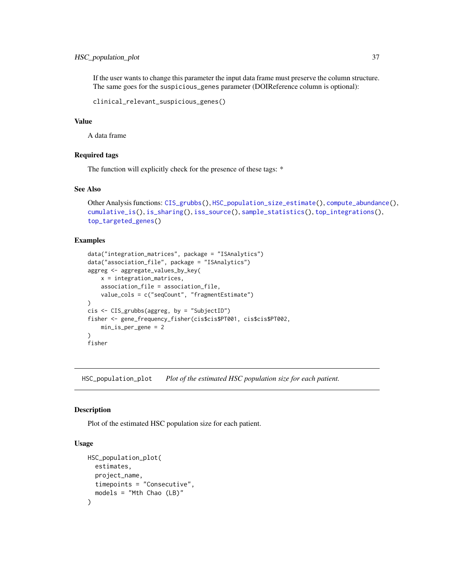# HSC\_population\_plot 37

If the user wants to change this parameter the input data frame must preserve the column structure. The same goes for the suspicious\_genes parameter (DOIReference column is optional):

```
clinical_relevant_suspicious_genes()
```
## Value

A data frame

## Required tags

The function will explicitly check for the presence of these tags: \*

### See Also

```
Other Analysis functions: CIS_grubbs(), HSC_population_size_estimate(), compute_abundance(),
cumulative_is(), is_sharing(), iss_source(), sample_statistics(), top_integrations(),
top_targeted_genes()
```
# Examples

```
data("integration_matrices", package = "ISAnalytics")
data("association_file", package = "ISAnalytics")
aggreg <- aggregate_values_by_key(
    x = integration_matrices,
    association_file = association_file,
    value_cols = c("seqCount", "fragmentEstimate")
\mathcal{L}cis <- CIS_grubbs(aggreg, by = "SubjectID")
fisher <- gene_frequency_fisher(cis$cis$PT001, cis$cis$PT002,
    min_is_per_gene = 2
)
fisher
```
<span id="page-36-0"></span>HSC\_population\_plot *Plot of the estimated HSC population size for each patient.*

## Description

Plot of the estimated HSC population size for each patient.

## Usage

```
HSC_population_plot(
  estimates,
 project_name,
 timepoints = "Consecutive",
  models = "Mth Chao (LB)"
)
```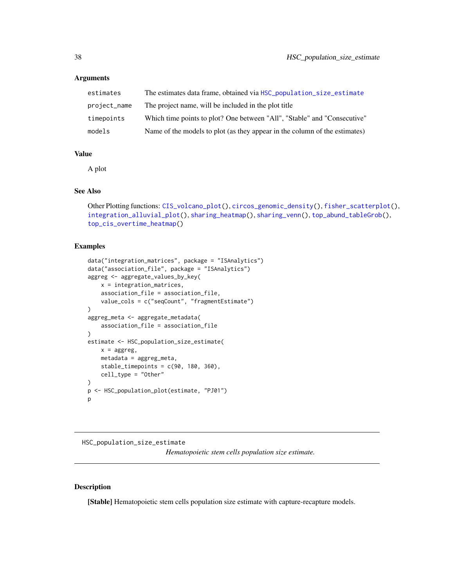### Arguments

| estimates    | The estimates data frame, obtained via HSC_population_size_estimate        |
|--------------|----------------------------------------------------------------------------|
| project_name | The project name, will be included in the plot title                       |
| timepoints   | Which time points to plot? One between "All", "Stable" and "Consecutive"   |
| models       | Name of the models to plot (as they appear in the column of the estimates) |

### Value

A plot

# See Also

```
Other Plotting functions: CIS_volcano_plot(), circos_genomic_density(), fisher_scatterplot(),
integration_alluvial_plot(), sharing_heatmap(), sharing_venn(), top_abund_tableGrob(),
top_cis_overtime_heatmap()
```
### Examples

```
data("integration_matrices", package = "ISAnalytics")
data("association_file", package = "ISAnalytics")
aggreg <- aggregate_values_by_key(
   x = integration_matrices,
   association_file = association_file,
   value_cols = c("seqCount", "fragmentEstimate")
)
aggreg_meta <- aggregate_metadata(
   association_file = association_file
)
estimate <- HSC_population_size_estimate(
   x =aggreg,
   metadata = aggreg_meta,
   stable_timepoints = c(90, 180, 360),
   cell_type = "Other"
\mathcal{L}p <- HSC_population_plot(estimate, "PJ01")
p
```
<span id="page-37-0"></span>HSC\_population\_size\_estimate *Hematopoietic stem cells population size estimate.*

### Description

[Stable] Hematopoietic stem cells population size estimate with capture-recapture models.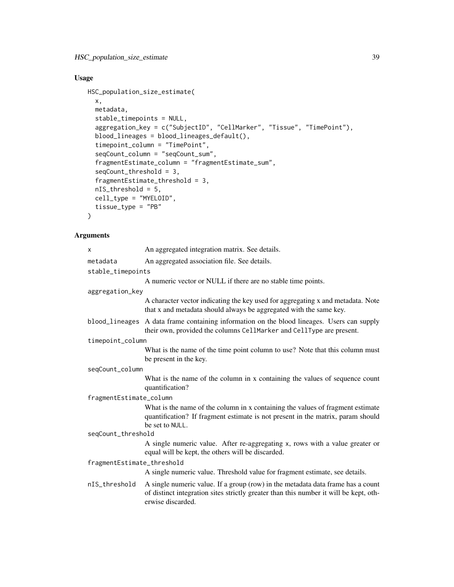# Usage

```
HSC_population_size_estimate(
 x,
 metadata,
 stable_timepoints = NULL,
  aggregation_key = c("SubjectID", "CellMarker", "Tissue", "TimePoint"),
 blood_lineages = blood_lineages_default(),
  timepoint_column = "TimePoint",
  seqCount_column = "seqCount_sum",
  fragmentEstimate_column = "fragmentEstimate_sum",
  seqCount_threshold = 3,
  fragmentEstimate_threshold = 3,
 nIS_threshold = 5,
 cell_type = "MYELOID",
  tissue_type = "PB"
)
```
# Arguments

| X                          | An aggregated integration matrix. See details.                                                                                                                                                |  |
|----------------------------|-----------------------------------------------------------------------------------------------------------------------------------------------------------------------------------------------|--|
| metadata                   | An aggregated association file. See details.                                                                                                                                                  |  |
| stable_timepoints          |                                                                                                                                                                                               |  |
|                            | A numeric vector or NULL if there are no stable time points.                                                                                                                                  |  |
| aggregation_key            |                                                                                                                                                                                               |  |
|                            | A character vector indicating the key used for aggregating x and metadata. Note<br>that x and metadata should always be aggregated with the same key.                                         |  |
|                            | blood_lineages A data frame containing information on the blood lineages. Users can supply<br>their own, provided the columns CellMarker and CellType are present.                            |  |
| timepoint_column           |                                                                                                                                                                                               |  |
|                            | What is the name of the time point column to use? Note that this column must<br>be present in the key.                                                                                        |  |
| seqCount_column            |                                                                                                                                                                                               |  |
|                            | What is the name of the column in x containing the values of sequence count<br>quantification?                                                                                                |  |
| fragmentEstimate_column    |                                                                                                                                                                                               |  |
|                            | What is the name of the column in x containing the values of fragment estimate<br>quantification? If fragment estimate is not present in the matrix, param should<br>be set to NULL.          |  |
| seqCount_threshold         |                                                                                                                                                                                               |  |
|                            | A single numeric value. After re-aggregating x, rows with a value greater or<br>equal will be kept, the others will be discarded.                                                             |  |
| fragmentEstimate_threshold |                                                                                                                                                                                               |  |
|                            | A single numeric value. Threshold value for fragment estimate, see details.                                                                                                                   |  |
| nIS_threshold              | A single numeric value. If a group (row) in the metadata data frame has a count<br>of distinct integration sites strictly greater than this number it will be kept, oth-<br>erwise discarded. |  |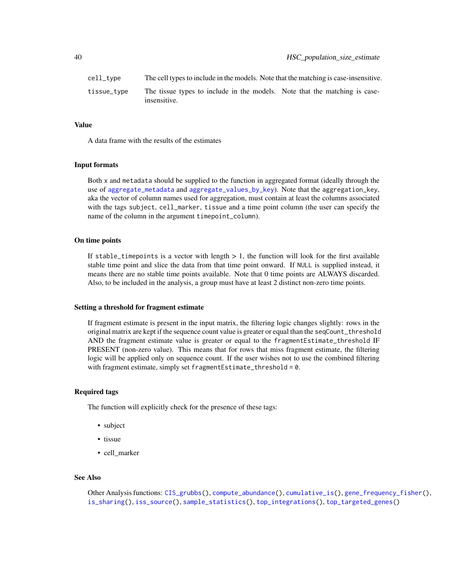| cell_type   | The cell types to include in the models. Note that the matching is case-insensitive.       |  |
|-------------|--------------------------------------------------------------------------------------------|--|
| tissue_type | The tissue types to include in the models. Note that the matching is case-<br>insensitive. |  |

#### Value

A data frame with the results of the estimates

### Input formats

Both x and metadata should be supplied to the function in aggregated format (ideally through the use of [aggregate\\_metadata](#page-3-0) and [aggregate\\_values\\_by\\_key](#page-4-0)). Note that the aggregation\_key, aka the vector of column names used for aggregation, must contain at least the columns associated with the tags subject, cell\_marker, tissue and a time point column (the user can specify the name of the column in the argument timepoint\_column).

### On time points

If stable\_timepoints is a vector with length  $> 1$ , the function will look for the first available stable time point and slice the data from that time point onward. If NULL is supplied instead, it means there are no stable time points available. Note that 0 time points are ALWAYS discarded. Also, to be included in the analysis, a group must have at least 2 distinct non-zero time points.

#### Setting a threshold for fragment estimate

If fragment estimate is present in the input matrix, the filtering logic changes slightly: rows in the original matrix are kept if the sequence count value is greater or equal than the seqCount\_threshold AND the fragment estimate value is greater or equal to the fragmentEstimate\_threshold IF PRESENT (non-zero value). This means that for rows that miss fragment estimate, the filtering logic will be applied only on sequence count. If the user wishes not to use the combined filtering with fragment estimate, simply set fragmentEstimate\_threshold = 0.

## Required tags

The function will explicitly check for the presence of these tags:

- subject
- tissue
- cell\_marker

#### See Also

```
Other Analysis functions: CIS_grubbs(), compute_abundance(), cumulative_is(), gene_frequency_fisher(),
is_sharing(), iss_source(), sample_statistics(), top_integrations(), top_targeted_genes()
```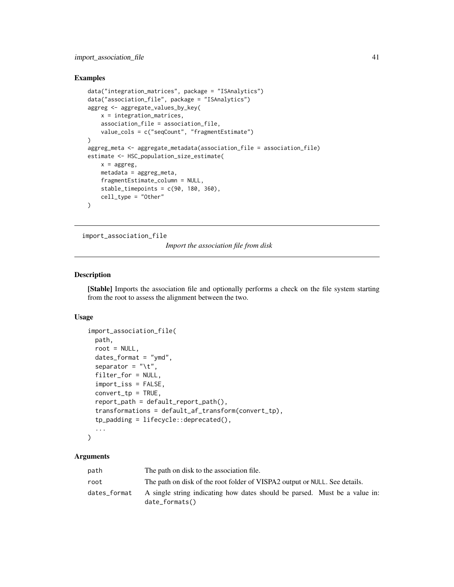## Examples

```
data("integration_matrices", package = "ISAnalytics")
data("association_file", package = "ISAnalytics")
aggreg <- aggregate_values_by_key(
   x = integration_matrices,
   association_file = association_file,
   value_cols = c("seqCount", "fragmentEstimate")
\mathcal{L}aggreg_meta <- aggregate_metadata(association_file = association_file)
estimate <- HSC_population_size_estimate(
   x =aggreg,
   metadata = aggreg_meta,
   fragmentEstimate_column = NULL,
   stable_timepoints = c(90, 180, 360),
   cell_type = "Other"
)
```
<span id="page-40-0"></span>import\_association\_file

*Import the association file from disk*

## Description

[Stable] Imports the association file and optionally performs a check on the file system starting from the root to assess the alignment between the two.

## Usage

```
import_association_file(
 path,
  root = NULL,
  dates_format = "ymd",
  separator = "\iota",
  filter_for = NULL,
  import_iss = FALSE,
  convert_tp = TRUE,
  report_path = default_report_path(),
  transformations = default_af_transform(convert_tp),
  tp_padding = lifecycle::deprecated(),
  ...
```

```
)
```
## Arguments

| path         | The path on disk to the association file.                                                                |  |
|--------------|----------------------------------------------------------------------------------------------------------|--|
| root         | The path on disk of the root folder of VISPA2 output or NULL. See details.                               |  |
| dates_format | A single string indicating how dates should be parsed. Must be a value in:<br>$date_{\text{-}formats()}$ |  |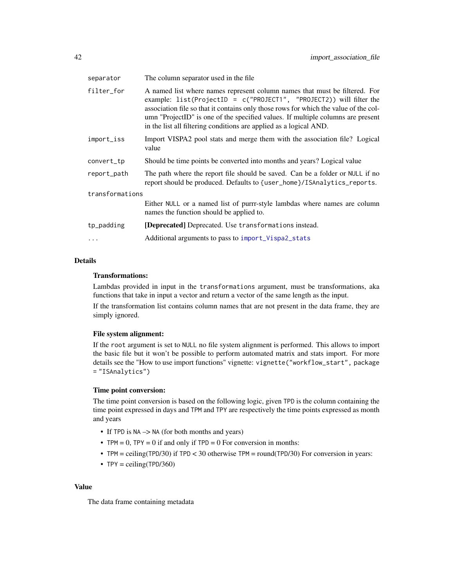| separator       | The column separator used in the file                                                                                                                                                                                                                                                                                                                                                              |  |
|-----------------|----------------------------------------------------------------------------------------------------------------------------------------------------------------------------------------------------------------------------------------------------------------------------------------------------------------------------------------------------------------------------------------------------|--|
| filter_for      | A named list where names represent column names that must be filtered. For<br>example: list(ProjectID = c("PROJECT1", "PROJECT2)) will filter the<br>association file so that it contains only those rows for which the value of the col-<br>umn "ProjectID" is one of the specified values. If multiple columns are present<br>in the list all filtering conditions are applied as a logical AND. |  |
| import_iss      | Import VISPA2 pool stats and merge them with the association file? Logical<br>value                                                                                                                                                                                                                                                                                                                |  |
| convert_tp      | Should be time points be converted into months and years? Logical value                                                                                                                                                                                                                                                                                                                            |  |
| report_path     | The path where the report file should be saved. Can be a folder or NULL if no<br>report should be produced. Defaults to {user_home}/ISAnalytics_reports.                                                                                                                                                                                                                                           |  |
| transformations |                                                                                                                                                                                                                                                                                                                                                                                                    |  |
|                 | Either NULL or a named list of purrr-style lambdas where names are column<br>names the function should be applied to.                                                                                                                                                                                                                                                                              |  |
| tp_padding      | [Deprecated] Deprecated. Use transformations instead.                                                                                                                                                                                                                                                                                                                                              |  |
| $\ddots$ .      | Additional arguments to pass to import_Vispa2_stats                                                                                                                                                                                                                                                                                                                                                |  |

# Details

### Transformations:

Lambdas provided in input in the transformations argument, must be transformations, aka functions that take in input a vector and return a vector of the same length as the input.

If the transformation list contains column names that are not present in the data frame, they are simply ignored.

## File system alignment:

If the root argument is set to NULL no file system alignment is performed. This allows to import the basic file but it won't be possible to perform automated matrix and stats import. For more details see the "How to use import functions" vignette: vignette("workflow\_start", package = "ISAnalytics")

### Time point conversion:

The time point conversion is based on the following logic, given TPD is the column containing the time point expressed in days and TPM and TPY are respectively the time points expressed as month and years

- If TPD is NA  $\rightarrow$  NA (for both months and years)
- TPM = 0, TPY = 0 if and only if  $TPD = 0$  For conversion in months:
- TPM = ceiling(TPD/30) if TPD < 30 otherwise TPM = round(TPD/30) For conversion in years:
- TPY = ceiling(TPD/360)

#### Value

The data frame containing metadata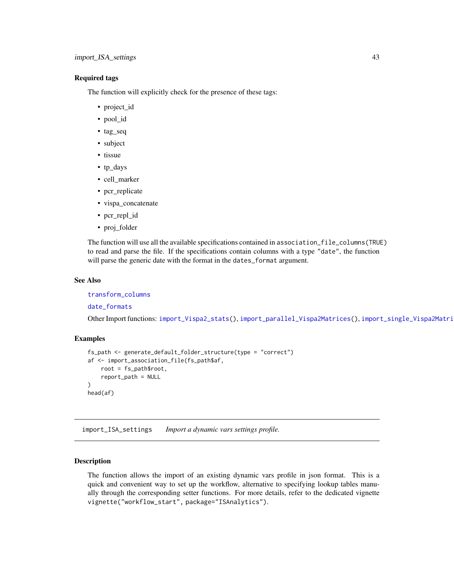## Required tags

The function will explicitly check for the presence of these tags:

- project\_id
- pool\_id
- tag\_seq
- subject
- tissue
- tp\_days
- cell\_marker
- pcr\_replicate
- vispa\_concatenate
- pcr\_repl\_id
- proj\_folder

The function will use all the available specifications contained in association\_file\_columns(TRUE) to read and parse the file. If the specifications contain columns with a type "date", the function will parse the generic date with the format in the dates\_format argument.

# See Also

[transform\\_columns](#page-95-0)

[date\\_formats](#page-25-0)

Other Import functions: [import\\_Vispa2\\_stats\(](#page-47-0)), [import\\_parallel\\_Vispa2Matrices\(](#page-43-0)), [import\\_single\\_Vispa2Matrix\(](#page-45-0))

## Examples

```
fs_path <- generate_default_folder_structure(type = "correct")
af <- import_association_file(fs_path$af,
    root = fs_path$root,
    report_path = NULL
\lambdahead(af)
```
import\_ISA\_settings *Import a dynamic vars settings profile.*

### Description

The function allows the import of an existing dynamic vars profile in json format. This is a quick and convenient way to set up the workflow, alternative to specifying lookup tables manually through the corresponding setter functions. For more details, refer to the dedicated vignette vignette("workflow\_start", package="ISAnalytics").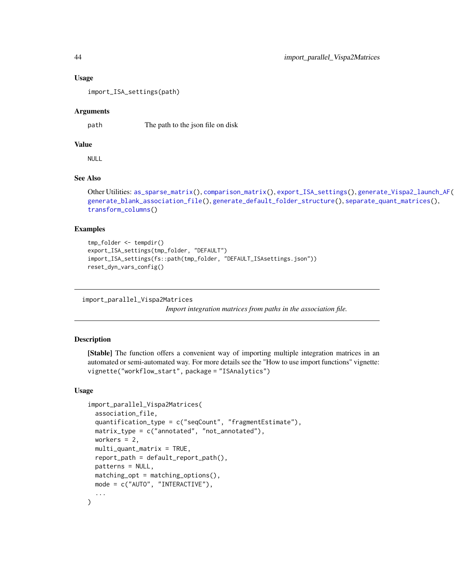#### Usage

import\_ISA\_settings(path)

#### Arguments

path The path to the json file on disk

## Value

NULL

# See Also

```
Other Utilities: as_sparse_matrix(), comparison_matrix(), export_ISA_settings(), generate_Vispa2_launch_AF(),
generate_blank_association_file(), generate_default_folder_structure(), separate_quant_matrices(),
transform_columns()
```
### Examples

```
tmp_folder <- tempdir()
export_ISA_settings(tmp_folder, "DEFAULT")
import_ISA_settings(fs::path(tmp_folder, "DEFAULT_ISAsettings.json"))
reset_dyn_vars_config()
```
<span id="page-43-0"></span>import\_parallel\_Vispa2Matrices

*Import integration matrices from paths in the association file.*

### Description

[Stable] The function offers a convenient way of importing multiple integration matrices in an automated or semi-automated way. For more details see the "How to use import functions" vignette: vignette("workflow\_start", package = "ISAnalytics")

### Usage

```
import_parallel_Vispa2Matrices(
  association_file,
  quantification_type = c("seqCount", "fragmentEstimate"),
 matrix_type = c("annotated", "not_annotated"),
 workers = 2,
 multi_quant_matrix = TRUE,
  report_path = default_report_path(),
 patterns = NULL,
 matching\_opt = matching\_options(),mode = c("AUTO", "INTERACTIVE"),
  ...
)
```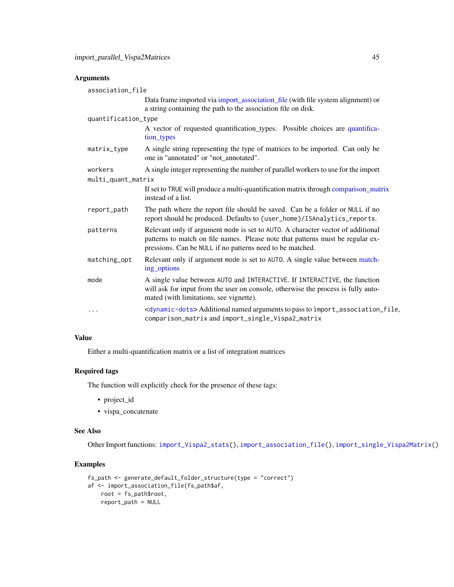# Arguments

| association_file    |                                                                                                                                                                                                                                |
|---------------------|--------------------------------------------------------------------------------------------------------------------------------------------------------------------------------------------------------------------------------|
|                     | Data frame imported via <i>import_association_file</i> (with file system alignment) or<br>a string containing the path to the association file on disk.                                                                        |
| quantification_type |                                                                                                                                                                                                                                |
|                     | A vector of requested quantification_types. Possible choices are quantifica-<br>tion types                                                                                                                                     |
| matrix_type         | A single string representing the type of matrices to be imported. Can only be<br>one in "annotated" or "not_annotated".                                                                                                        |
| workers             | A single integer representing the number of parallel workers to use for the import                                                                                                                                             |
| multi_quant_matrix  |                                                                                                                                                                                                                                |
|                     | If set to TRUE will produce a multi-quantification matrix through comparison_matrix<br>instead of a list.                                                                                                                      |
| report_path         | The path where the report file should be saved. Can be a folder or NULL if no<br>report should be produced. Defaults to {user_home}/ISAnalytics_reports.                                                                       |
| patterns            | Relevant only if argument mode is set to AUTO. A character vector of additional<br>patterns to match on file names. Please note that patterns must be regular ex-<br>pressions. Can be NULL if no patterns need to be matched. |
| matching_opt        | Relevant only if argument mode is set to AUTO. A single value between match-<br>ing_options                                                                                                                                    |
| mode                | A single value between AUTO and INTERACTIVE. If INTERACTIVE, the function<br>will ask for input from the user on console, otherwise the process is fully auto-<br>mated (with limitations, see vignette).                      |
| $\cdots$            | <dynamic-dots> Additional named arguments to pass to import_association_file,<br/>comparison_matrix and import_single_Vispa2_matrix</dynamic-dots>                                                                             |

## Value

Either a multi-quantification matrix or a list of integration matrices

# Required tags

The function will explicitly check for the presence of these tags:

- project\_id
- vispa\_concatenate

# See Also

Other Import functions: [import\\_Vispa2\\_stats\(](#page-47-0)), [import\\_association\\_file\(](#page-40-0)), [import\\_single\\_Vispa2Matrix\(](#page-45-0))

# Examples

```
fs_path <- generate_default_folder_structure(type = "correct")
af <- import_association_file(fs_path$af,
   root = fs_path$root,
   report_path = NULL
```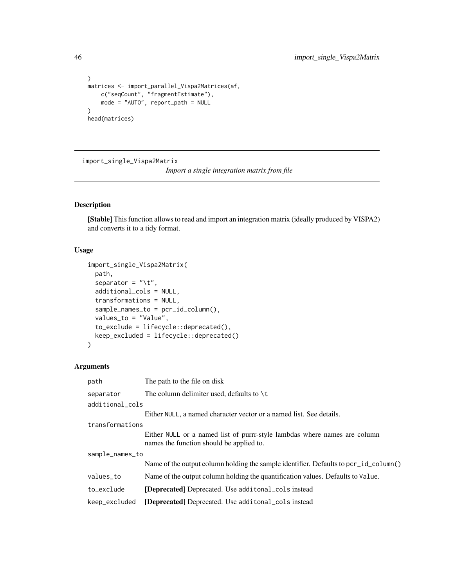```
)
matrices <- import_parallel_Vispa2Matrices(af,
    c("seqCount", "fragmentEstimate"),
    mode = "AUTO", report_path = NULL
)
head(matrices)
```
<span id="page-45-0"></span>import\_single\_Vispa2Matrix

*Import a single integration matrix from file*

# Description

[Stable] This function allows to read and import an integration matrix (ideally produced by VISPA2) and converts it to a tidy format.

## Usage

```
import_single_Vispa2Matrix(
 path,
  separator = "\t t",additional_cols = NULL,
  transformations = NULL,
  sample_names_to = pcr_id_column(),
  values_to = "Value",
  to_exclude = lifecycle::deprecated(),
 keep_excluded = lifecycle::deprecated()
)
```
# Arguments

| path            | The path to the file on disk                                                                                          |  |
|-----------------|-----------------------------------------------------------------------------------------------------------------------|--|
| separator       | The column delimiter used, defaults to $\setminus t$                                                                  |  |
| additional_cols |                                                                                                                       |  |
|                 | Either NULL, a named character vector or a named list. See details.                                                   |  |
| transformations |                                                                                                                       |  |
|                 | Either NULL or a named list of purrr-style lambdas where names are column<br>names the function should be applied to. |  |
| sample_names_to |                                                                                                                       |  |
|                 | Name of the output column holding the sample identifier. Defaults to pcr_id_column()                                  |  |
| values_to       | Name of the output column holding the quantification values. Defaults to Value.                                       |  |
| to_exclude      | <b>[Deprecated]</b> Deprecated. Use additional cols instead                                                           |  |
| keep_excluded   | [Deprecated] Deprecated. Use additional_cols instead                                                                  |  |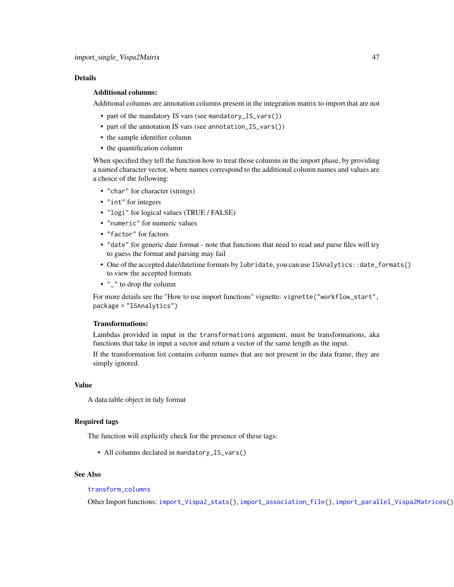## Details

## Additional columns:

Additional columns are annotation columns present in the integration matrix to import that are not

- part of the mandatory IS vars (see mandatory\_IS\_vars())
- part of the annotation IS vars (see annotation\_IS\_vars())
- the sample identifier column
- the quantification column

When specified they tell the function how to treat those columns in the import phase, by providing a named character vector, where names correspond to the additional column names and values are a choice of the following:

- "char" for character (strings)
- "int" for integers
- "logi" for logical values (TRUE / FALSE)
- "numeric" for numeric values
- "factor" for factors
- "date" for generic date format note that functions that need to read and parse files will try to guess the format and parsing may fail
- One of the accepted date/datetime formats by lubridate, you can use ISAnalytics::date\_formats() to view the accepted formats
- "\_" to drop the column

For more details see the "How to use import functions" vignette: vignette("workflow\_start", package = "ISAnalytics")

## Transformations:

Lambdas provided in input in the transformations argument, must be transformations, aka functions that take in input a vector and return a vector of the same length as the input.

If the transformation list contains column names that are not present in the data frame, they are simply ignored.

### Value

A data.table object in tidy format

## Required tags

The function will explicitly check for the presence of these tags:

• All columns declared in mandatory\_IS\_vars()

## See Also

# [transform\\_columns](#page-95-0)

Other Import functions: [import\\_Vispa2\\_stats\(](#page-47-0)), [import\\_association\\_file\(](#page-40-0)), [import\\_parallel\\_Vispa2Matrices\(](#page-43-0))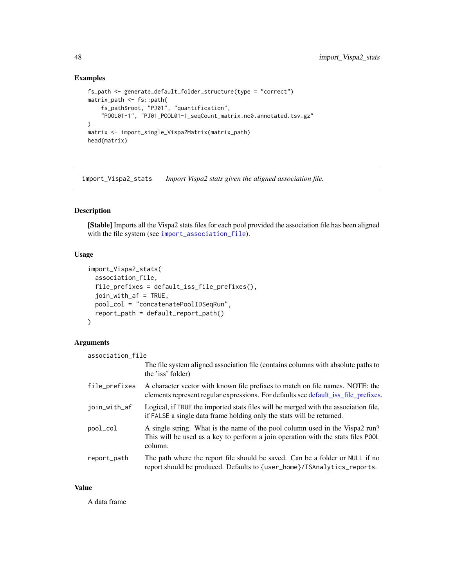# Examples

```
fs_path <- generate_default_folder_structure(type = "correct")
matrix_path <- fs::path(
    fs_path$root, "PJ01", "quantification",
    "POOL01-1", "PJ01_POOL01-1_seqCount_matrix.no0.annotated.tsv.gz"
\mathcal{L}matrix <- import_single_Vispa2Matrix(matrix_path)
head(matrix)
```
<span id="page-47-0"></span>import\_Vispa2\_stats *Import Vispa2 stats given the aligned association file.*

### Description

[Stable] Imports all the Vispa2 stats files for each pool provided the association file has been aligned with the file system (see [import\\_association\\_file](#page-40-0)).

### Usage

```
import_Vispa2_stats(
  association_file,
  file_prefixes = default_iss_file_prefixes(),
  join_with_af = TRUE,
 pool_col = "concatenatePoolIDSeqRun",
  report_path = default_report_path()
)
```
# Arguments

| association_file |                                                                                                                                                                             |
|------------------|-----------------------------------------------------------------------------------------------------------------------------------------------------------------------------|
|                  | The file system aligned association file (contains columns with absolute paths to<br>the 'iss' folder)                                                                      |
| file_prefixes    | A character vector with known file prefixes to match on file names. NOTE: the<br>elements represent regular expressions. For defaults see default_iss_file_prefixes.        |
| join_with_af     | Logical, if TRUE the imported stats files will be merged with the association file,<br>if FALSE a single data frame holding only the stats will be returned.                |
| pool_col         | A single string. What is the name of the pool column used in the Vispa2 run?<br>This will be used as a key to perform a join operation with the stats files POOL<br>column. |
| report_path      | The path where the report file should be saved. Can be a folder or NULL if no<br>report should be produced. Defaults to {user_home}/ISAnalytics_reports.                    |

## Value

A data frame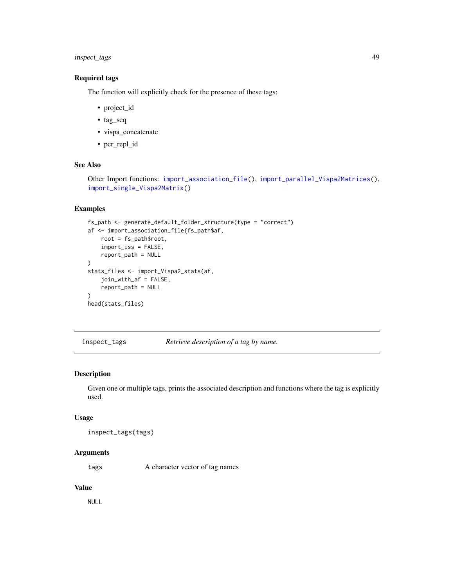# inspect\_tags 49

# Required tags

The function will explicitly check for the presence of these tags:

- project\_id
- tag\_seq
- vispa\_concatenate
- pcr\_repl\_id

# See Also

```
Other Import functions: import_association_file(), import_parallel_Vispa2Matrices(),
import_single_Vispa2Matrix()
```
## Examples

```
fs_path <- generate_default_folder_structure(type = "correct")
af <- import_association_file(fs_path$af,
    root = fs_path$root,
    import_iss = FALSE,
    report_path = NULL
)
stats_files <- import_Vispa2_stats(af,
    join_with_af = FALSE,
    report_path = NULL
\lambdahead(stats_files)
```
<span id="page-48-0"></span>inspect\_tags *Retrieve description of a tag by name.*

### Description

Given one or multiple tags, prints the associated description and functions where the tag is explicitly used.

### Usage

```
inspect_tags(tags)
```
# Arguments

tags A character vector of tag names

## Value

NULL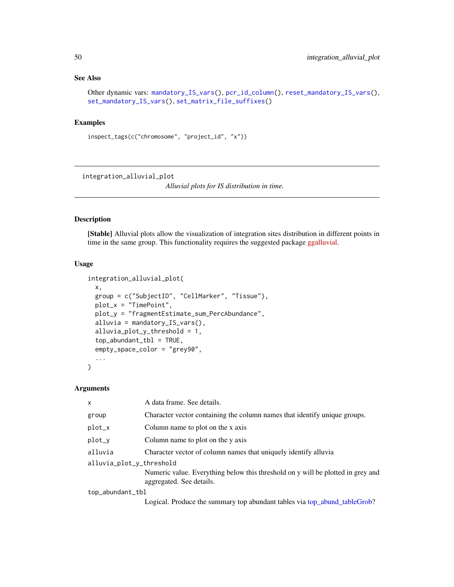## See Also

```
Other dynamic vars: mandatory_IS_vars(), pcr_id_column(), reset_mandatory_IS_vars(),
set_mandatory_IS_vars(), set_matrix_file_suffixes()
```
# Examples

```
inspect_tags(c("chromosome", "project_id", "x"))
```
<span id="page-49-0"></span>integration\_alluvial\_plot

*Alluvial plots for IS distribution in time.*

## Description

[Stable] Alluvial plots allow the visualization of integration sites distribution in different points in time in the same group. This functionality requires the suggested package [ggalluvial.](https://corybrunson.github.io/ggalluvial/)

### Usage

```
integration_alluvial_plot(
 x,
 group = c("SubjectID", "CellMarker", "Tissue"),
 plot_x = "TimePoint",
 plot_y = "fragmentEstimate_sum_PercAbundance",
  alluvia = mandatory_IS_vars(),
 alluvia_plot_y_threshold = 1,
  top_abundant_tbl = TRUE,
  empty_space_color = "grey90",
  ...
\mathcal{L}
```
### Arguments

| X                        | A data frame. See details.                                                                                  |
|--------------------------|-------------------------------------------------------------------------------------------------------------|
| group                    | Character vector containing the column names that identify unique groups.                                   |
| plot_x                   | Column name to plot on the x axis                                                                           |
| $plot_y$                 | Column name to plot on the y axis                                                                           |
| alluvia                  | Character vector of column names that uniquely identify alluvia                                             |
| alluvia_plot_y_threshold |                                                                                                             |
|                          | Numeric value. Everything below this threshold on y will be plotted in grey and<br>aggregated. See details. |
| top_abundant_tbl         |                                                                                                             |
|                          | Logical. Produce the summary top abundant tables via top_abund_tableGrob?                                   |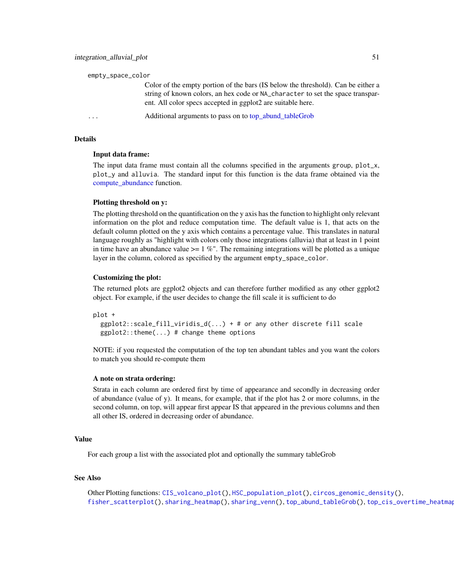| empty_space_color                                                                                                                                                                                                                 |
|-----------------------------------------------------------------------------------------------------------------------------------------------------------------------------------------------------------------------------------|
| Color of the empty portion of the bars (IS below the threshold). Can be either a<br>string of known colors, an hex code or NA_character to set the space transpar-<br>ent. All color specs accepted in ggplot2 are suitable here. |
| Additional arguments to pass on to top_abund_tableGrob<br>$\cdots$                                                                                                                                                                |

# Details

### Input data frame:

The input data frame must contain all the columns specified in the arguments group, plot\_x, plot\_y and alluvia. The standard input for this function is the data frame obtained via the [compute\\_abundance](#page-19-0) function.

### Plotting threshold on y:

The plotting threshold on the quantification on the y axis has the function to highlight only relevant information on the plot and reduce computation time. The default value is 1, that acts on the default column plotted on the y axis which contains a percentage value. This translates in natural language roughly as "highlight with colors only those integrations (alluvia) that at least in 1 point in time have an abundance value  $>= 1 \%$ ". The remaining integrations will be plotted as a unique layer in the column, colored as specified by the argument empty\_space\_color.

### Customizing the plot:

The returned plots are ggplot2 objects and can therefore further modified as any other ggplot2 object. For example, if the user decides to change the fill scale it is sufficient to do

```
plot +
```

```
ggplot2::scale_fill\_viridis_d(...) + # or any other discrete fill scaleggplot2::theme(...) # change theme options
```
NOTE: if you requested the computation of the top ten abundant tables and you want the colors to match you should re-compute them

### A note on strata ordering:

Strata in each column are ordered first by time of appearance and secondly in decreasing order of abundance (value of y). It means, for example, that if the plot has 2 or more columns, in the second column, on top, will appear first appear IS that appeared in the previous columns and then all other IS, ordered in decreasing order of abundance.

## Value

For each group a list with the associated plot and optionally the summary tableGrob

### See Also

Other Plotting functions: [CIS\\_volcano\\_plot\(](#page-15-0)), [HSC\\_population\\_plot\(](#page-36-0)), [circos\\_genomic\\_density\(](#page-10-0)), [fisher\\_scatterplot\(](#page-29-0)), [sharing\\_heatmap\(](#page-80-0)), [sharing\\_venn\(](#page-81-0)), [top\\_abund\\_tableGrob\(](#page-86-0)), [top\\_cis\\_overtime\\_heatmap\(](#page-88-0))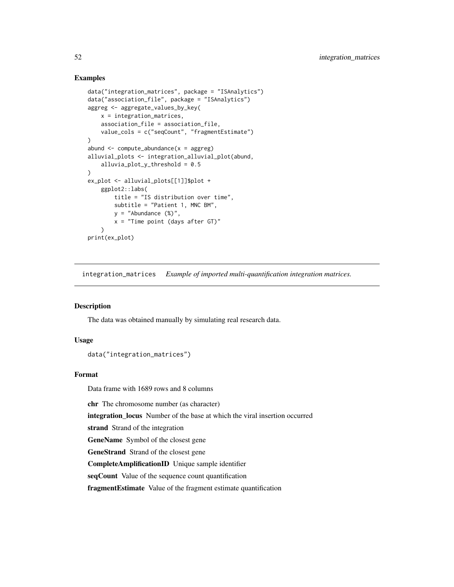## Examples

```
data("integration_matrices", package = "ISAnalytics")
data("association_file", package = "ISAnalytics")
aggreg <- aggregate_values_by_key(
   x = integration_matrices,
   association_file = association_file,
   value_cols = c("seqCount", "fragmentEstimate")
\lambdaabund \leq compute_abundance(x =aggreg)
alluvial_plots <- integration_alluvial_plot(abund,
   alluvia_plot_y_threshold = 0.5
)
ex_plot <- alluvial_plots[[1]]$plot +
   ggplot2::labs(
       title = "IS distribution over time",
       subtitle = "Patient 1, MNC BM",
       y ="Abundance (\%)",
       x = "Time point (days after GT)"
   \lambdaprint(ex_plot)
```
integration\_matrices *Example of imported multi-quantification integration matrices.*

# Description

The data was obtained manually by simulating real research data.

### Usage

data("integration\_matrices")

## Format

Data frame with 1689 rows and 8 columns

chr The chromosome number (as character)

integration\_locus Number of the base at which the viral insertion occurred

strand Strand of the integration

GeneName Symbol of the closest gene

GeneStrand Strand of the closest gene

CompleteAmplificationID Unique sample identifier

seqCount Value of the sequence count quantification

fragmentEstimate Value of the fragment estimate quantification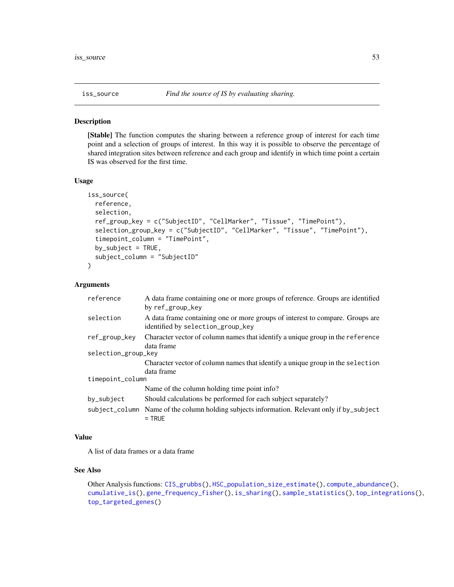<span id="page-52-0"></span>

## Description

[Stable] The function computes the sharing between a reference group of interest for each time point and a selection of groups of interest. In this way it is possible to observe the percentage of shared integration sites between reference and each group and identify in which time point a certain IS was observed for the first time.

### Usage

```
iss_source(
  reference,
  selection,
  ref_group_key = c("SubjectID", "CellMarker", "Tissue", "TimePoint"),
  selection_group_key = c("SubjectID", "CellMarker", "Tissue", "TimePoint"),
  timepoint_column = "TimePoint",
  by_subject = TRUE,
  subject_column = "SubjectID"
)
```
### Arguments

| reference           | A data frame containing one or more groups of reference. Groups are identified<br>by ref_group_key                 |  |
|---------------------|--------------------------------------------------------------------------------------------------------------------|--|
| selection           | A data frame containing one or more groups of interest to compare. Groups are<br>identified by selection_group_key |  |
| ref_group_key       | Character vector of column names that identify a unique group in the reference<br>data frame                       |  |
| selection_group_key |                                                                                                                    |  |
|                     | Character vector of column names that identify a unique group in the selection                                     |  |
|                     | data frame                                                                                                         |  |
| timepoint_column    |                                                                                                                    |  |
|                     | Name of the column holding time point info?                                                                        |  |
| by_subject          | Should calculations be performed for each subject separately?                                                      |  |
|                     | subject_column Name of the column holding subjects information. Relevant only if by_subject<br>$=$ TRUE            |  |

### Value

A list of data frames or a data frame

## See Also

Other Analysis functions: [CIS\\_grubbs\(](#page-11-0)), [HSC\\_population\\_size\\_estimate\(](#page-37-0)), [compute\\_abundance\(](#page-19-0)), [cumulative\\_is\(](#page-23-0)), [gene\\_frequency\\_fisher\(](#page-34-0)), [is\\_sharing\(](#page-53-0)), [sample\\_statistics\(](#page-73-0)), [top\\_integrations\(](#page-91-0)), [top\\_targeted\\_genes\(](#page-93-0))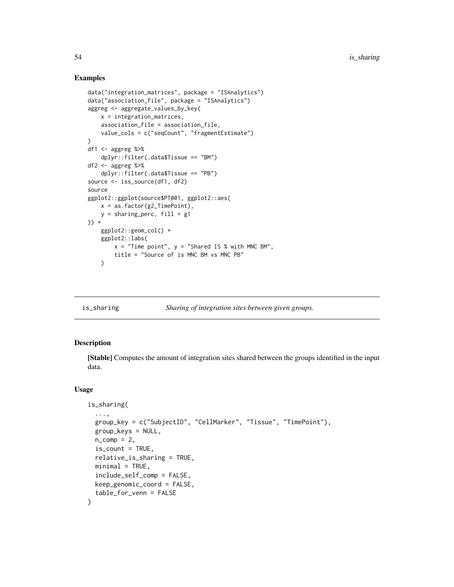## Examples

```
data("integration_matrices", package = "ISAnalytics")
data("association_file", package = "ISAnalytics")
aggreg <- aggregate_values_by_key(
   x = integration_matrices,
   association_file = association_file,
    value_cols = c("seqCount", "fragmentEstimate")
)
df1 <- aggreg %>%
    dplyr::filter(.data$Tissue == "BM")
df2 < - aggreg %>%
    dplyr::filter(.data$Tissue == "PB")
source <- iss_source(df1, df2)
source
ggplot2::ggplot(source$PT001, ggplot2::aes(
   x = as.factor(g2_TimePoint),
   y = sharing\_perc, fill = g1)) +
    ggplot2::geom_col() +
   ggplot2::labs(
        x = "Time point", y = "Shared IS % with MNC BM",
        title = "Source of is MNC BM vs MNC PB"
    )
```
<span id="page-53-0"></span>

#### is\_sharing *Sharing of integration sites between given groups.*

### Description

[Stable] Computes the amount of integration sites shared between the groups identified in the input data.

### Usage

```
is_sharing(
  ...,
  group_key = c("SubjectID", "CellMarker", "Tissue", "TimePoint"),
 group_keys = NULL,
 n_{\text{comp}} = 2,
  is\_count = TRUE,relative_is_sharing = TRUE,
 minimal = TRUE,include_self_comp = FALSE,
 keep_genomic_coord = FALSE,
  table_for_venn = FALSE
)
```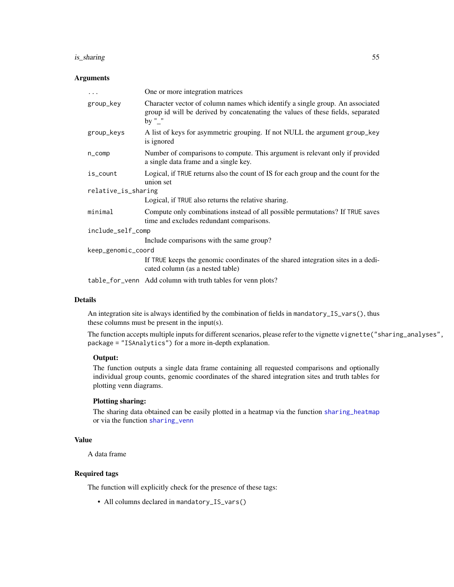# is\_sharing 55

### Arguments

| $\ddots$ .          | One or more integration matrices                                                                                                                                           |  |
|---------------------|----------------------------------------------------------------------------------------------------------------------------------------------------------------------------|--|
| group_key           | Character vector of column names which identify a single group. An associated<br>group id will be derived by concatenating the values of these fields, separated<br>by "_" |  |
| group_keys          | A list of keys for asymmetric grouping. If not NULL the argument group_key<br>is ignored                                                                                   |  |
| $n_{\text{-}}$ comp | Number of comparisons to compute. This argument is relevant only if provided<br>a single data frame and a single key.                                                      |  |
| is_count            | Logical, if TRUE returns also the count of IS for each group and the count for the<br>union set                                                                            |  |
| relative_is_sharing |                                                                                                                                                                            |  |
|                     | Logical, if TRUE also returns the relative sharing.                                                                                                                        |  |
| minimal             | Compute only combinations instead of all possible permutations? If TRUE saves<br>time and excludes redundant comparisons.                                                  |  |
| include_self_comp   |                                                                                                                                                                            |  |
|                     | Include comparisons with the same group?                                                                                                                                   |  |
| keep_genomic_coord  |                                                                                                                                                                            |  |
|                     | If TRUE keeps the genomic coordinates of the shared integration sites in a dedi-<br>cated column (as a nested table)                                                       |  |
|                     | table_for_venn Add column with truth tables for venn plots?                                                                                                                |  |

## Details

An integration site is always identified by the combination of fields in mandatory\_IS\_vars(), thus these columns must be present in the input(s).

The function accepts multiple inputs for different scenarios, please refer to the vignette vignette("sharing\_analyses", package = "ISAnalytics") for a more in-depth explanation.

## Output:

The function outputs a single data frame containing all requested comparisons and optionally individual group counts, genomic coordinates of the shared integration sites and truth tables for plotting venn diagrams.

## Plotting sharing:

The sharing data obtained can be easily plotted in a heatmap via the function [sharing\\_heatmap](#page-80-0) or via the function [sharing\\_venn](#page-81-0)

## Value

A data frame

# Required tags

The function will explicitly check for the presence of these tags:

• All columns declared in mandatory\_IS\_vars()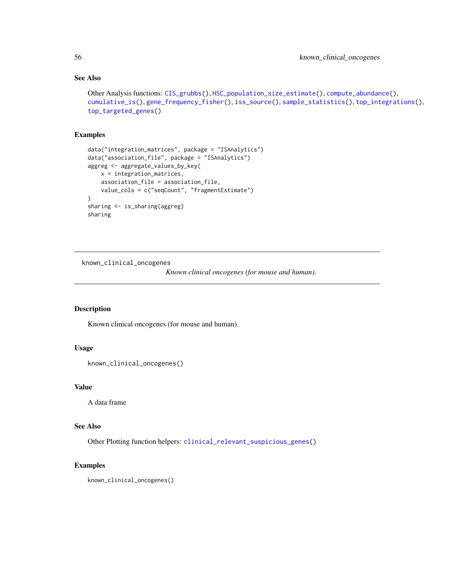# See Also

```
Other Analysis functions: CIS_grubbs(), HSC_population_size_estimate(), compute_abundance(),
cumulative_is(), gene_frequency_fisher(), iss_source(), sample_statistics(), top_integrations(),
top_targeted_genes()
```
# Examples

```
data("integration_matrices", package = "ISAnalytics")
data("association_file", package = "ISAnalytics")
aggreg <- aggregate_values_by_key(
   x = integration_matrices,
   association_file = association_file,
   value_cols = c("seqCount", "fragmentEstimate")
)
sharing <- is_sharing(aggreg)
sharing
```
known\_clinical\_oncogenes

*Known clinical oncogenes (for mouse and human).*

### Description

Known clinical oncogenes (for mouse and human).

## Usage

```
known_clinical_oncogenes()
```
# Value

A data frame

# See Also

Other Plotting function helpers: [clinical\\_relevant\\_suspicious\\_genes\(](#page-17-1))

## Examples

```
known_clinical_oncogenes()
```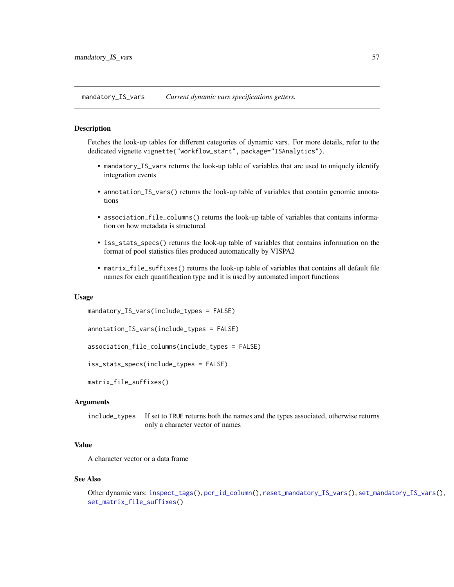<span id="page-56-0"></span>mandatory\_IS\_vars *Current dynamic vars specifications getters.*

### **Description**

Fetches the look-up tables for different categories of dynamic vars. For more details, refer to the dedicated vignette vignette("workflow\_start", package="ISAnalytics").

- mandatory\_IS\_vars returns the look-up table of variables that are used to uniquely identify integration events
- annotation\_IS\_vars() returns the look-up table of variables that contain genomic annotations
- association\_file\_columns() returns the look-up table of variables that contains information on how metadata is structured
- iss\_stats\_specs() returns the look-up table of variables that contains information on the format of pool statistics files produced automatically by VISPA2
- matrix\_file\_suffixes() returns the look-up table of variables that contains all default file names for each quantification type and it is used by automated import functions

### Usage

```
mandatory_IS_vars(include_types = FALSE)
```

```
annotation_IS_vars(include_types = FALSE)
```

```
association_file_columns(include_types = FALSE)
```

```
iss_stats_specs(include_types = FALSE)
```

```
matrix_file_suffixes()
```
## Arguments

include\_types If set to TRUE returns both the names and the types associated, otherwise returns only a character vector of names

# Value

A character vector or a data frame

#### See Also

```
Other dynamic vars: inspect_tags(), pcr_id_column(), reset_mandatory_IS_vars(), set_mandatory_IS_vars(),
set_matrix_file_suffixes()
```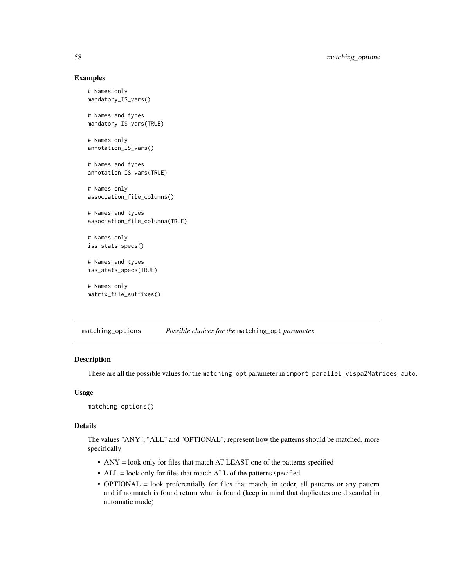## Examples

```
# Names only
mandatory_IS_vars()
# Names and types
mandatory_IS_vars(TRUE)
# Names only
annotation_IS_vars()
# Names and types
annotation_IS_vars(TRUE)
# Names only
association_file_columns()
# Names and types
association_file_columns(TRUE)
# Names only
iss_stats_specs()
# Names and types
iss_stats_specs(TRUE)
# Names only
matrix_file_suffixes()
```
<span id="page-57-0"></span>matching\_options *Possible choices for the* matching\_opt *parameter.*

### Description

These are all the possible values for the matching\_opt parameter in import\_parallel\_vispa2Matrices\_auto.

### Usage

```
matching_options()
```
### Details

The values "ANY", "ALL" and "OPTIONAL", represent how the patterns should be matched, more specifically

- ANY = look only for files that match AT LEAST one of the patterns specified
- ALL = look only for files that match ALL of the patterns specified
- OPTIONAL = look preferentially for files that match, in order, all patterns or any pattern and if no match is found return what is found (keep in mind that duplicates are discarded in automatic mode)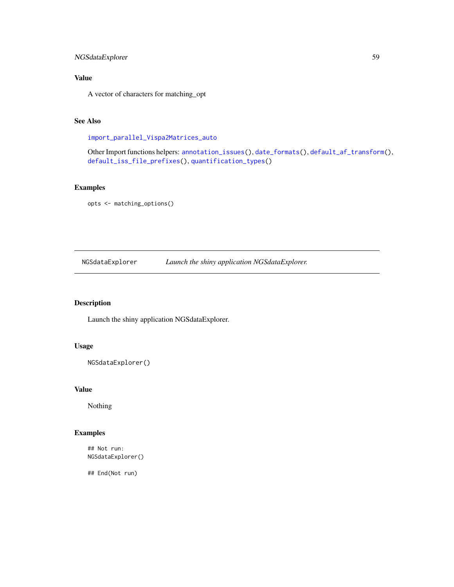# NGSdataExplorer 59

# Value

A vector of characters for matching\_opt

# See Also

[import\\_parallel\\_Vispa2Matrices\\_auto](#page-0-0)

Other Import functions helpers: [annotation\\_issues\(](#page-6-0)), [date\\_formats\(](#page-25-0)), [default\\_af\\_transform\(](#page-25-1)), [default\\_iss\\_file\\_prefixes\(](#page-26-0)), [quantification\\_types\(](#page-66-0))

# Examples

```
opts <- matching_options()
```
NGSdataExplorer *Launch the shiny application NGSdataExplorer.*

# Description

Launch the shiny application NGSdataExplorer.

# Usage

```
NGSdataExplorer()
```
## Value

Nothing

## Examples

## Not run: NGSdataExplorer()

## End(Not run)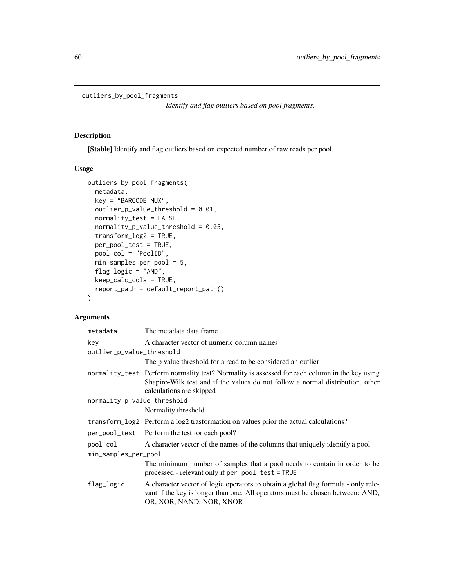<span id="page-59-0"></span>outliers\_by\_pool\_fragments

*Identify and flag outliers based on pool fragments.*

# Description

[Stable] Identify and flag outliers based on expected number of raw reads per pool.

# Usage

```
outliers_by_pool_fragments(
  metadata,
 key = "BARCODE_MUX",
 outlier_p_value_threshold = 0.01,
  normality_test = FALSE,
  normality\_p_value\_threshold = 0.05,
  transform_log2 = TRUE,
 per_pool_test = TRUE,
 pool_col = "PoolID",
 min_samples_per_pool = 5,
  flag_logic = "AND",
 keep_calc_cols = TRUE,
  report_path = default_report_path()
\mathcal{L}
```
# Arguments

| metadata                    | The metadata data frame                                                                                                                                                                                     |
|-----------------------------|-------------------------------------------------------------------------------------------------------------------------------------------------------------------------------------------------------------|
| key                         | A character vector of numeric column names                                                                                                                                                                  |
| outlier_p_value_threshold   |                                                                                                                                                                                                             |
|                             | The p value threshold for a read to be considered an outlier                                                                                                                                                |
|                             | normality_test Perform normality test? Normality is assessed for each column in the key using<br>Shapiro-Wilk test and if the values do not follow a normal distribution, other<br>calculations are skipped |
| normality_p_value_threshold |                                                                                                                                                                                                             |
|                             | Normality threshold                                                                                                                                                                                         |
|                             | transform_log2 Perform a log2 trasformation on values prior the actual calculations?                                                                                                                        |
|                             | per_pool_test Perform the test for each pool?                                                                                                                                                               |
| pool_col                    | A character vector of the names of the columns that uniquely identify a pool                                                                                                                                |
| min_samples_per_pool        |                                                                                                                                                                                                             |
|                             | The minimum number of samples that a pool needs to contain in order to be<br>processed - relevant only if per_pool_test = TRUE                                                                              |
| flag_logic                  | A character vector of logic operators to obtain a global flag formula - only rele-<br>vant if the key is longer than one. All operators must be chosen between: AND,<br>OR, XOR, NAND, NOR, XNOR            |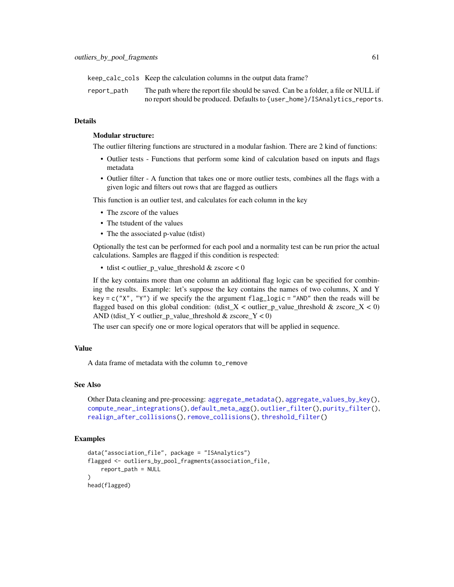keep\_calc\_cols Keep the calculation columns in the output data frame?

report\_path The path where the report file should be saved. Can be a folder, a file or NULL if no report should be produced. Defaults to {user\_home}/ISAnalytics\_reports.

### Details

### Modular structure:

The outlier filtering functions are structured in a modular fashion. There are 2 kind of functions:

- Outlier tests Functions that perform some kind of calculation based on inputs and flags metadata
- Outlier filter A function that takes one or more outlier tests, combines all the flags with a given logic and filters out rows that are flagged as outliers

This function is an outlier test, and calculates for each column in the key

- The zscore of the values
- The tstudent of the values
- The the associated p-value (tdist)

Optionally the test can be performed for each pool and a normality test can be run prior the actual calculations. Samples are flagged if this condition is respected:

• tdist < outlier\_p\_value\_threshold & zscore < 0

If the key contains more than one column an additional flag logic can be specified for combining the results. Example: let's suppose the key contains the names of two columns, X and Y key = c("X", "Y") if we specify the the argument  $flag\_logic = "AND"$  then the reads will be flagged based on this global condition: (tdist\_X < outlier\_p\_value\_threshold & zscore\_X < 0) AND (tdist\_Y < outlier\_p\_value\_threshold  $\&$  zscore\_Y < 0)

The user can specify one or more logical operators that will be applied in sequence.

### Value

A data frame of metadata with the column to\_remove

### See Also

```
Other Data cleaning and pre-processing: aggregate_metadata(), aggregate_values_by_key(),
compute_near_integrations(), default_meta_agg(), outlier_filter(), purity_filter(),
realign_after_collisions(), remove_collisions(), threshold_filter()
```
### Examples

```
data("association_file", package = "ISAnalytics")
flagged <- outliers_by_pool_fragments(association_file,
    report_path = NULL
)
head(flagged)
```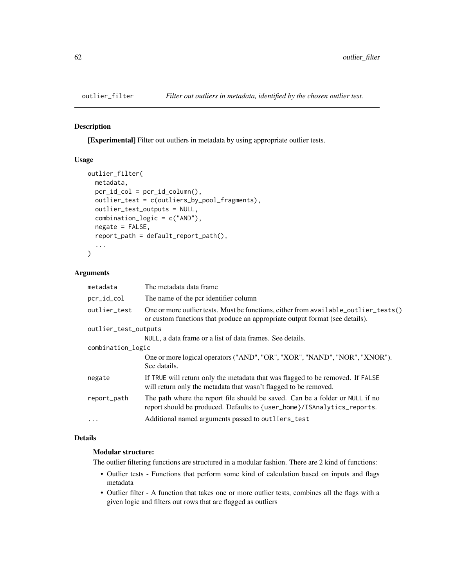<span id="page-61-0"></span>

# Description

[Experimental] Filter out outliers in metadata by using appropriate outlier tests.

### Usage

```
outlier_filter(
 metadata,
 pcr_id_col = pcr_id_column(),
  outlier_test = c(outliers_by_pool_fragments),
  outlier_test_outputs = NULL,
  combination_logic = c("AND"),
  negate = FALSE,
  report_path = default_report_path(),
  ...
\mathcal{L}
```
# Arguments

| metadata             | The metadata data frame                                                                                                                                             |  |
|----------------------|---------------------------------------------------------------------------------------------------------------------------------------------------------------------|--|
| pcr_id_col           | The name of the pcr identifier column                                                                                                                               |  |
| outlier_test         | One or more outlier tests. Must be functions, either from available_outlier_tests()<br>or custom functions that produce an appropriate output format (see details). |  |
| outlier_test_outputs |                                                                                                                                                                     |  |
|                      | NULL, a data frame or a list of data frames. See details.                                                                                                           |  |
| combination_logic    |                                                                                                                                                                     |  |
|                      | One or more logical operators ("AND", "OR", "XOR", "NAND", "NOR", "XNOR").<br>See datails.                                                                          |  |
| negate               | If TRUE will return only the metadata that was flagged to be removed. If FALSE<br>will return only the metadata that wasn't flagged to be removed.                  |  |
| report_path          | The path where the report file should be saved. Can be a folder or NULL if no<br>report should be produced. Defaults to {user_home}/ISAnalytics_reports.            |  |
| $\ddotsc$            | Additional named arguments passed to outliers_test                                                                                                                  |  |

## Details

# Modular structure:

The outlier filtering functions are structured in a modular fashion. There are 2 kind of functions:

- Outlier tests Functions that perform some kind of calculation based on inputs and flags metadata
- Outlier filter A function that takes one or more outlier tests, combines all the flags with a given logic and filters out rows that are flagged as outliers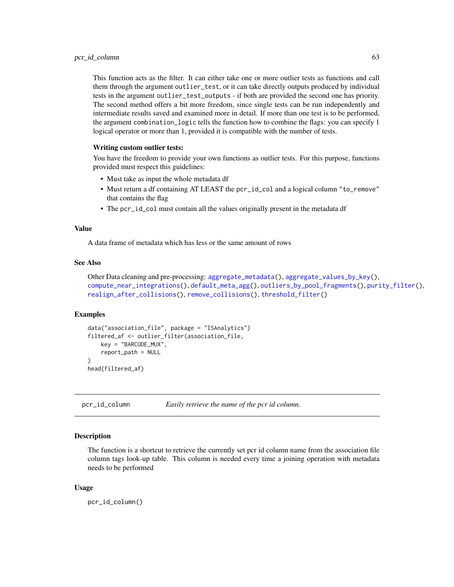This function acts as the filter. It can either take one or more outlier tests as functions and call them through the argument outlier\_test, or it can take directly outputs produced by individual tests in the argument outlier\_test\_outputs - if both are provided the second one has priority. The second method offers a bit more freedom, since single tests can be run independently and intermediate results saved and examined more in detail. If more than one test is to be performed, the argument combination\_logic tells the function how to combine the flags: you can specify 1 logical operator or more than 1, provided it is compatible with the number of tests.

### Writing custom outlier tests:

You have the freedom to provide your own functions as outlier tests. For this purpose, functions provided must respect this guidelines:

- Must take as input the whole metadata df
- Must return a df containing AT LEAST the pcr\_id\_col and a logical column "to\_remove" that contains the flag
- The pcr\_id\_col must contain all the values originally present in the metadata df

### Value

A data frame of metadata which has less or the same amount of rows

### See Also

```
Other Data cleaning and pre-processing: aggregate_metadata(), aggregate_values_by_key(),
compute_near_integrations(), default_meta_agg(), outliers_by_pool_fragments(), purity_filter(),
realign_after_collisions(), remove_collisions(), threshold_filter()
```
### Examples

```
data("association_file", package = "ISAnalytics")
filtered_af <- outlier_filter(association_file,
    key = "BARCODE_MUX",
    report_path = NULL
\lambdahead(filtered_af)
```
<span id="page-62-0"></span>pcr\_id\_column *Easily retrieve the name of the pcr id column.*

### Description

The function is a shortcut to retrieve the currently set pcr id column name from the association file column tags look-up table. This column is needed every time a joining operation with metadata needs to be performed

#### Usage

pcr\_id\_column()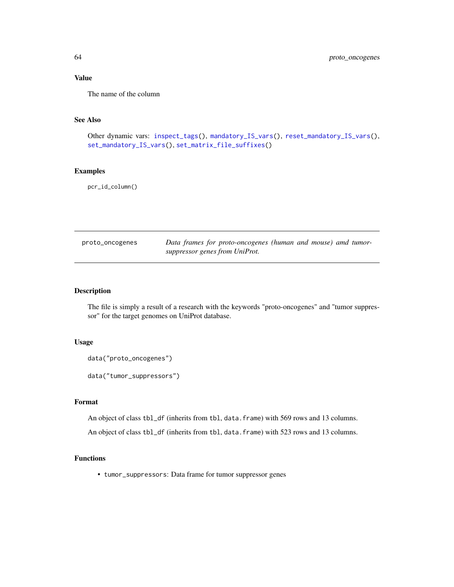# Value

The name of the column

## See Also

```
Other dynamic vars: inspect_tags(), mandatory_IS_vars(), reset_mandatory_IS_vars(),
set_mandatory_IS_vars(), set_matrix_file_suffixes()
```
# Examples

pcr\_id\_column()

| proto_oncogenes | Data frames for proto-oncogenes (human and mouse) amd tumor- |
|-----------------|--------------------------------------------------------------|
|                 | suppressor genes from UniProt.                               |

### Description

The file is simply a result of a research with the keywords "proto-oncogenes" and "tumor suppressor" for the target genomes on UniProt database.

# Usage

```
data("proto_oncogenes")
```
data("tumor\_suppressors")

## Format

An object of class tbl\_df (inherits from tbl, data.frame) with 569 rows and 13 columns.

An object of class tbl\_df (inherits from tbl, data.frame) with 523 rows and 13 columns.

## Functions

• tumor\_suppressors: Data frame for tumor suppressor genes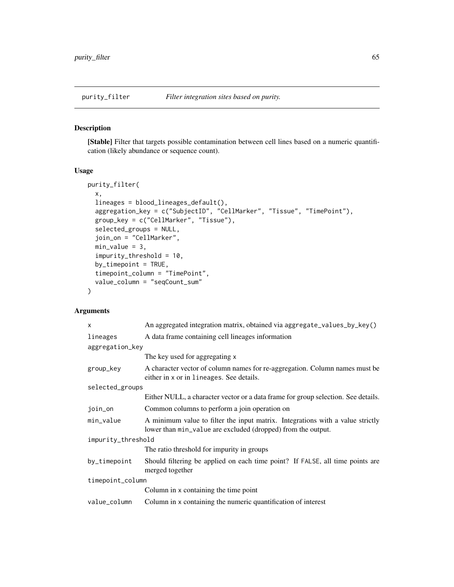# <span id="page-64-0"></span>Description

[Stable] Filter that targets possible contamination between cell lines based on a numeric quantification (likely abundance or sequence count).

# Usage

```
purity_filter(
 x,
 lineages = blood_lineages_default(),
 aggregation_key = c("SubjectID", "CellMarker", "Tissue", "TimePoint"),
 group_key = c("CellMarker", "Tissue"),
  selected_groups = NULL,
  join_on = "CellMarker",
 min_value = 3,impurity_threshold = 10,
 by_timepoint = TRUE,
  timepoint_column = "TimePoint",
  value_column = "seqCount_sum"
)
```
## Arguments

| X                  | An aggregated integration matrix, obtained via aggregate_values_by_key()                                                                       |
|--------------------|------------------------------------------------------------------------------------------------------------------------------------------------|
| lineages           | A data frame containing cell lineages information                                                                                              |
| aggregation_key    |                                                                                                                                                |
|                    | The key used for aggregating x                                                                                                                 |
| group_key          | A character vector of column names for re-aggregation. Column names must be<br>either in x or in lineages. See details.                        |
| selected_groups    |                                                                                                                                                |
|                    | Either NULL, a character vector or a data frame for group selection. See details.                                                              |
| join_on            | Common columns to perform a join operation on                                                                                                  |
| min_value          | A minimum value to filter the input matrix. Integrations with a value strictly<br>lower than min_value are excluded (dropped) from the output. |
| impurity_threshold |                                                                                                                                                |
|                    | The ratio threshold for impurity in groups                                                                                                     |
| by_timepoint       | Should filtering be applied on each time point? If FALSE, all time points are<br>merged together                                               |
| timepoint_column   |                                                                                                                                                |
|                    | Column in x containing the time point                                                                                                          |
| value_column       | Column in x containing the numeric quantification of interest                                                                                  |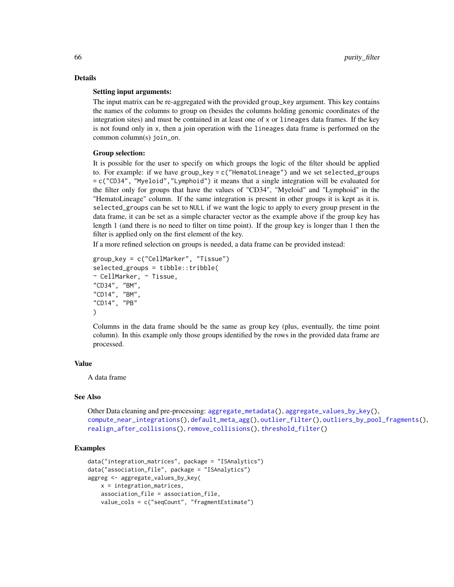# Details

#### Setting input arguments:

The input matrix can be re-aggregated with the provided group\_key argument. This key contains the names of the columns to group on (besides the columns holding genomic coordinates of the integration sites) and must be contained in at least one of x or lineages data frames. If the key is not found only in x, then a join operation with the lineages data frame is performed on the common column(s) join\_on.

#### Group selection:

It is possible for the user to specify on which groups the logic of the filter should be applied to. For example: if we have group\_key =  $c$  ("HematoLineage") and we set selected\_groups = c("CD34", "Myeloid","Lymphoid") it means that a single integration will be evaluated for the filter only for groups that have the values of "CD34", "Myeloid" and "Lymphoid" in the "HematoLineage" column. If the same integration is present in other groups it is kept as it is. selected\_groups can be set to NULL if we want the logic to apply to every group present in the data frame, it can be set as a simple character vector as the example above if the group key has length 1 (and there is no need to filter on time point). If the group key is longer than 1 then the filter is applied only on the first element of the key.

If a more refined selection on groups is needed, a data frame can be provided instead:

```
group_key = c("CellMarker", "Tissue")
selected_groups = tibble::tribble(
~ CellMarker, ~ Tissue,
"CD34", "BM",
"CD14", "BM",
"CD14", "PB"
)
```
Columns in the data frame should be the same as group key (plus, eventually, the time point column). In this example only those groups identified by the rows in the provided data frame are processed.

### Value

A data frame

### See Also

```
aggregate_metadata(aggregate_values_by_key(),
compute_near_integrations(), default_meta_agg(), outlier_filter(), outliers_by_pool_fragments(),
realign_after_collisions(), remove_collisions(), threshold_filter()
```
## Examples

```
data("integration_matrices", package = "ISAnalytics")
data("association_file", package = "ISAnalytics")
aggreg <- aggregate_values_by_key(
   x = integration_matrices,
   association_file = association_file,
   value_cols = c("seqCount", "fragmentEstimate")
```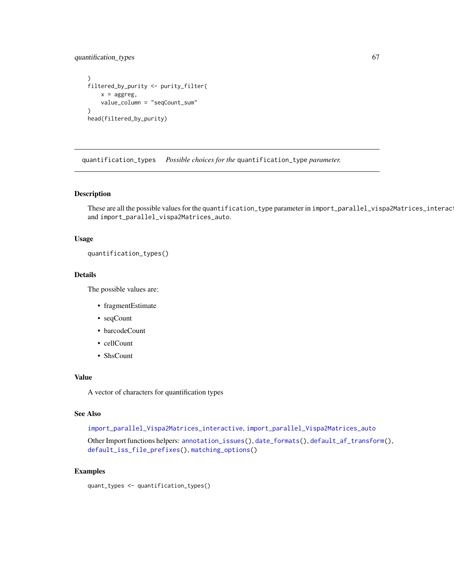# quantification\_types 67

```
)
filtered_by_purity <- purity_filter(
   x =aggreg,
   value_column = "seqCount_sum"
)
head(filtered_by_purity)
```
<span id="page-66-0"></span>quantification\_types *Possible choices for the* quantification\_type *parameter.*

### Description

These are all the possible values for the quantification\_type parameter in import\_parallel\_vispa2Matrices\_interac and import\_parallel\_vispa2Matrices\_auto.

## Usage

```
quantification_types()
```
## Details

The possible values are:

- fragmentEstimate
- seqCount
- barcodeCount
- cellCount
- ShsCount

#### Value

A vector of characters for quantification types

## See Also

[import\\_parallel\\_Vispa2Matrices\\_interactive](#page-0-0), [import\\_parallel\\_Vispa2Matrices\\_auto](#page-0-0)

Other Import functions helpers: [annotation\\_issues\(](#page-6-0)), [date\\_formats\(](#page-25-0)), [default\\_af\\_transform\(](#page-25-1)), [default\\_iss\\_file\\_prefixes\(](#page-26-0)), [matching\\_options\(](#page-57-0))

### Examples

quant\_types <- quantification\_types()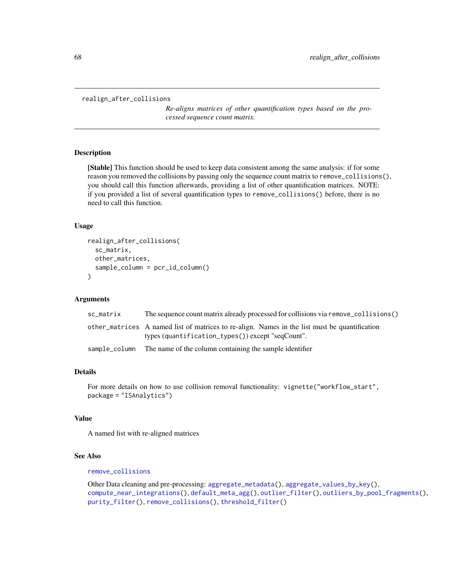```
realign_after_collisions
```
*Re-aligns matrices of other quantification types based on the processed sequence count matrix.*

### Description

[Stable] This function should be used to keep data consistent among the same analysis: if for some reason you removed the collisions by passing only the sequence count matrix to remove\_collisions(), you should call this function afterwards, providing a list of other quantification matrices. NOTE: if you provided a list of several quantification types to remove\_collisions() before, there is no need to call this function.

### Usage

```
realign_after_collisions(
  sc_matrix,
 other_matrices,
  sample_column = pcr_id_column()
\lambda
```
### Arguments

| sc_matrix | The sequence count matrix already processed for collisions via remove_collisions()                                                                 |
|-----------|----------------------------------------------------------------------------------------------------------------------------------------------------|
|           | other matrices A named list of matrices to re-align. Names in the list must be quantification<br>types (quantification_types()) except "seqCount". |
|           | sample_column The name of the column containing the sample identifier                                                                              |

### Details

For more details on how to use collision removal functionality: vignette("workflow\_start", package = "ISAnalytics")

## Value

A named list with re-aligned matrices

# See Also

[remove\\_collisions](#page-70-0)

Other Data cleaning and pre-processing: [aggregate\\_metadata\(](#page-3-0)), [aggregate\\_values\\_by\\_key\(](#page-4-0)), [compute\\_near\\_integrations\(](#page-20-0)), [default\\_meta\\_agg\(](#page-26-1)), [outlier\\_filter\(](#page-61-0)), [outliers\\_by\\_pool\\_fragments\(](#page-59-0)), [purity\\_filter\(](#page-64-0)), [remove\\_collisions\(](#page-70-0)), [threshold\\_filter\(](#page-82-0))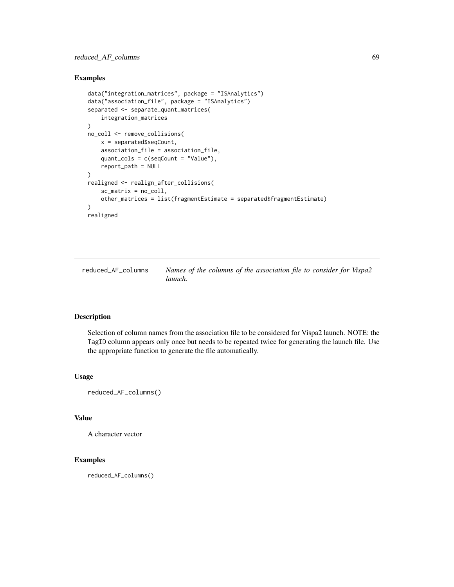# reduced\_AF\_columns 69

## Examples

```
data("integration_matrices", package = "ISAnalytics")
data("association_file", package = "ISAnalytics")
separated <- separate_quant_matrices(
    integration_matrices
\mathcal{L}no_coll <- remove_collisions(
   x = separated$seqCount,
   association_file = association_file,
    quant_cols = c(seqCount = "Value"),
    report_path = NULL
\mathcal{L}realigned <- realign_after_collisions(
    sc_matrix = no_coll,
    other_matrices = list(fragmentEstimate = separated$fragmentEstimate)
)
realigned
```
reduced\_AF\_columns *Names of the columns of the association file to consider for Vispa2 launch.*

### Description

Selection of column names from the association file to be considered for Vispa2 launch. NOTE: the TagID column appears only once but needs to be repeated twice for generating the launch file. Use the appropriate function to generate the file automatically.

### Usage

reduced\_AF\_columns()

### Value

A character vector

## Examples

reduced\_AF\_columns()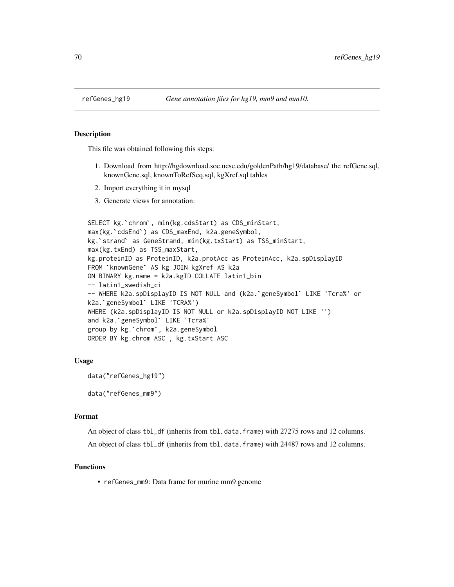## Description

This file was obtained following this steps:

- 1. Download from http://hgdownload.soe.ucsc.edu/goldenPath/hg19/database/ the refGene.sql, knownGene.sql, knownToRefSeq.sql, kgXref.sql tables
- 2. Import everything it in mysql
- 3. Generate views for annotation:

```
3. Generate views for annotation:<br>SELECT kg.`chrom`, min(kg.cdsStart) as CDS_minStart,
s. Generate views for annotation:<br>SELECT kg.`chrom`, min(kg.cdsStart) as CDS_minS<br>max(kg.`cdsEnd`) as CDS_maxEnd, k2a.geneSymbol,
SELECT kg.`chrom`, min(kg.cdsStart) as CDS_minStart,<br>max(kg.`cdsEnd`) as CDS_maxEnd, k2a.geneSymbol,<br>kg.`strand` as GeneStrand, min(kg.txStart) as TSS_minStart,
max(kg.txEnd) as TSS_maxStart,
kg.proteinID as ProteinID, k2a.protAcc as ProteinAcc, k2a.spDisplayID
kg.`strand` as GeneStrand, min(kg.txStart<br>max(kg.txEnd) as TSS_maxStart,<br>kg.proteinID as ProteinID, k2a.protAcc as<br>FROM `knownGene` AS kg JOIN kgXref AS k2a
ON BINARY kg.name = k2a.kgID COLLATE latin1_bin<br>-- latin1_swedish_ci<br>-- WHERE k2a.spDisplayID IS NOT NULL and (k2a.`<br>k2a.`geneSymbol` LIKE 'TCRA%')
-- latin1_swedish_ci
FROM `knownGene` AS kg JOIN kgXref AS k2a<br>ON BINARY kg.name = k2a.kgID COLLATE latin1_bin<br>-- latin1_swedish_ci<br>-- WHERE k2a.spDisplayID IS NOT NULL and (k2a.`geneSymbol` LIKE 'Tcra%' or
WHERE (k2a.spDisplayID IS NOT NULL or k2a.spDisplayID NOT LIKE '')
-- WHERE k2a.spDisplayID IS NOT N<br>k2a.`geneSymbol` LIKE 'TCRA%')<br>WHERE (k2a.spDisplayID IS NOT NUL<br>and k2a.`geneSymbol` LIKE 'Tcra%'
k2a.`geneSymbol` LIKE 'TCRA%')<br>WHERE (k2a.spDisplayID IS NOT NULL<br>and k2a.`geneSymbol` LIKE 'Tcra%'<br>group by kg.`chrom`, k2a.geneSymbol
ORDER BY kg.chrom ASC , kg.txStart ASC
```
#### Usage

```
data("refGenes_hg19")
```
data("refGenes\_mm9")

### Format

An object of class tbl\_df (inherits from tbl, data.frame) with 27275 rows and 12 columns. An object of class tbl\_df (inherits from tbl, data.frame) with 24487 rows and 12 columns.

## Functions

• refGenes\_mm9: Data frame for murine mm9 genome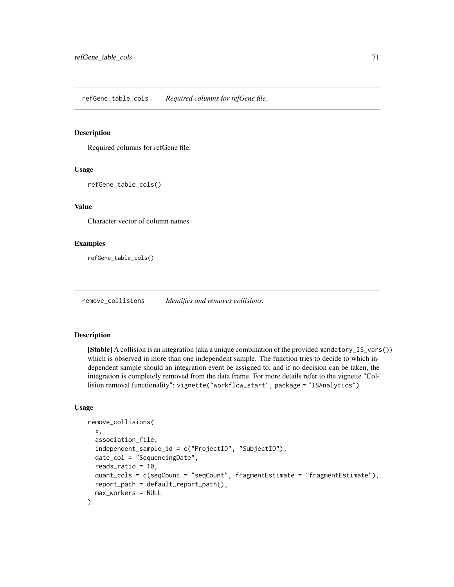### Description

Required columns for refGene file.

### Usage

refGene\_table\_cols()

### Value

Character vector of column names

## Examples

refGene\_table\_cols()

<span id="page-70-0"></span>remove\_collisions *Identifies and removes collisions.*

# Description

[Stable] A collision is an integration (aka a unique combination of the provided mandatory\_IS\_vars()) which is observed in more than one independent sample. The function tries to decide to which independent sample should an integration event be assigned to, and if no decision can be taken, the integration is completely removed from the data frame. For more details refer to the vignette "Collision removal functionality": vignette("workflow\_start", package = "ISAnalytics")

# Usage

```
remove_collisions(
  x,
  association_file,
  independent_sample_id = c("ProjectID", "SubjectID"),
  date_col = "SequencingDate",
  reads_ratio = 10,
  quant_cols = c(seqCount = "seqCount", fragmentEstimate = "fragmentEstimate"),
  report_path = default_report_path(),
  max_workers = NULL
)
```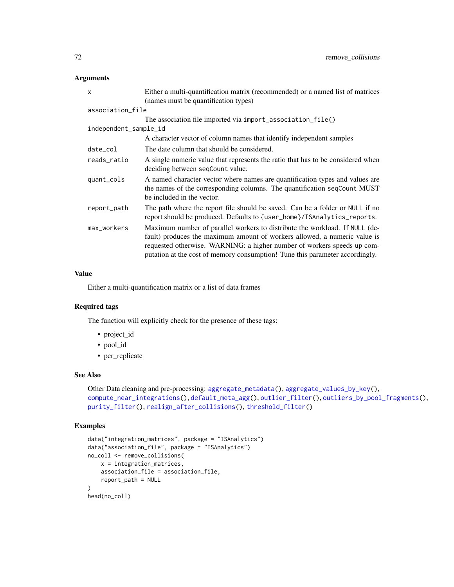# Arguments

| x                     | Either a multi-quantification matrix (recommended) or a named list of matrices                                                                                                                                                                                                                                      |
|-----------------------|---------------------------------------------------------------------------------------------------------------------------------------------------------------------------------------------------------------------------------------------------------------------------------------------------------------------|
|                       | (names must be quantification types)                                                                                                                                                                                                                                                                                |
| association_file      |                                                                                                                                                                                                                                                                                                                     |
|                       | The association file imported via import_association_file()                                                                                                                                                                                                                                                         |
| independent_sample_id |                                                                                                                                                                                                                                                                                                                     |
|                       | A character vector of column names that identify independent samples                                                                                                                                                                                                                                                |
| date_col              | The date column that should be considered.                                                                                                                                                                                                                                                                          |
| reads_ratio           | A single numeric value that represents the ratio that has to be considered when<br>deciding between seqCount value.                                                                                                                                                                                                 |
| quant_cols            | A named character vector where names are quantification types and values are<br>the names of the corresponding columns. The quantification seqCount MUST<br>be included in the vector.                                                                                                                              |
| report_path           | The path where the report file should be saved. Can be a folder or NULL if no<br>report should be produced. Defaults to {user_home}/ISAnalytics_reports.                                                                                                                                                            |
| max_workers           | Maximum number of parallel workers to distribute the workload. If NULL (de-<br>fault) produces the maximum amount of workers allowed, a numeric value is<br>requested otherwise. WARNING: a higher number of workers speeds up com-<br>putation at the cost of memory consumption! Tune this parameter accordingly. |

# Value

Either a multi-quantification matrix or a list of data frames

# Required tags

The function will explicitly check for the presence of these tags:

- project\_id
- pool\_id
- pcr\_replicate

# See Also

```
Other Data cleaning and pre-processing: aggregate_metadata(), aggregate_values_by_key(),
compute_near_integrations(), default_meta_agg(), outlier_filter(), outliers_by_pool_fragments(),
purity_filter(), realign_after_collisions(), threshold_filter()
```
# Examples

```
data("integration_matrices", package = "ISAnalytics")
data("association_file", package = "ISAnalytics")
no_coll <- remove_collisions(
   x = integration_matrices,
   association_file = association_file,
   report_path = NULL
)
head(no_coll)
```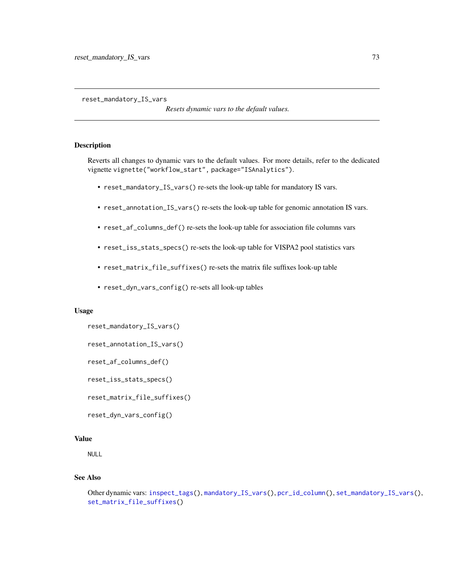<span id="page-72-1"></span><span id="page-72-0"></span>reset\_mandatory\_IS\_vars

*Resets dynamic vars to the default values.*

# Description

Reverts all changes to dynamic vars to the default values. For more details, refer to the dedicated vignette vignette("workflow\_start", package="ISAnalytics").

- reset\_mandatory\_IS\_vars() re-sets the look-up table for mandatory IS vars.
- reset\_annotation\_IS\_vars() re-sets the look-up table for genomic annotation IS vars.
- reset\_af\_columns\_def() re-sets the look-up table for association file columns vars
- reset\_iss\_stats\_specs() re-sets the look-up table for VISPA2 pool statistics vars
- reset\_matrix\_file\_suffixes() re-sets the matrix file suffixes look-up table
- reset\_dyn\_vars\_config() re-sets all look-up tables

#### Usage

```
reset_mandatory_IS_vars()
```

```
reset_annotation_IS_vars()
```

```
reset_af_columns_def()
```

```
reset_iss_stats_specs()
```
reset\_matrix\_file\_suffixes()

```
reset_dyn_vars_config()
```
#### Value

NULL

# See Also

```
Other dynamic vars: inspect_tags(), mandatory_IS_vars(), pcr_id_column(), set_mandatory_IS_vars(),
set_matrix_file_suffixes()
```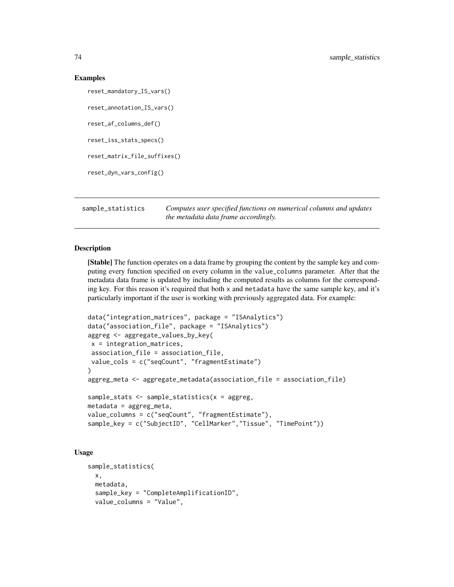#### Examples

```
reset_mandatory_IS_vars()
reset_annotation_IS_vars()
reset_af_columns_def()
reset_iss_stats_specs()
reset_matrix_file_suffixes()
reset_dyn_vars_config()
```
<span id="page-73-0"></span>sample\_statistics *Computes user specified functions on numerical columns and updates the metadata data frame accordingly.*

## Description

[Stable] The function operates on a data frame by grouping the content by the sample key and computing every function specified on every column in the value\_columns parameter. After that the metadata data frame is updated by including the computed results as columns for the corresponding key. For this reason it's required that both x and metadata have the same sample key, and it's particularly important if the user is working with previously aggregated data. For example:

```
data("integration_matrices", package = "ISAnalytics")
data("association_file", package = "ISAnalytics")
aggreg <- aggregate_values_by_key(
x = integration_matrices,
association_file = association_file,
value_cols = c("seqCount", "fragmentEstimate")
)
aggreg_meta <- aggregate_metadata(association_file = association_file)
sample_stats <- sample_statistics(x = aggreg,
metadata = aggreg_meta,
value_columns = c("seqCount", "fragmentEstimate"),
sample_key = c("SubjectID", "CellMarker","Tissue", "TimePoint"))
```
## Usage

```
sample_statistics(
 x,
 metadata,
  sample_key = "CompleteAmplificationID",
  value_columns = "Value",
```
<span id="page-73-1"></span>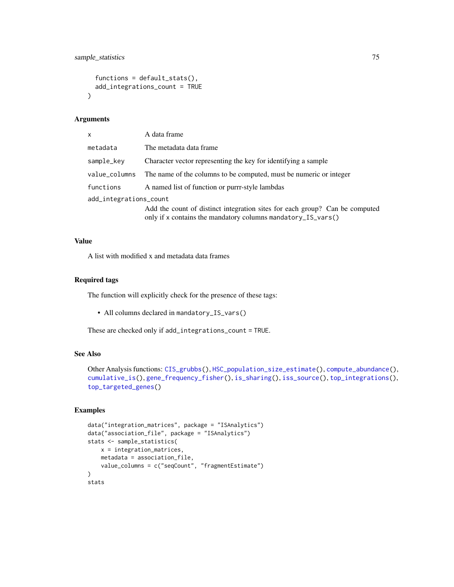```
functions = default\_stats(),add_integrations_count = TRUE
\lambda
```
#### Arguments

| A data frame                                                                                                                                |  |  |
|---------------------------------------------------------------------------------------------------------------------------------------------|--|--|
| The metadata data frame                                                                                                                     |  |  |
| Character vector representing the key for identifying a sample                                                                              |  |  |
| The name of the columns to be computed, must be numeric or integer                                                                          |  |  |
| A named list of function or purrr-style lambdas                                                                                             |  |  |
| add_integrations_count                                                                                                                      |  |  |
| Add the count of distinct integration sites for each group? Can be computed<br>only if x contains the mandatory columns mandatory_IS_vars() |  |  |
|                                                                                                                                             |  |  |

## Value

A list with modified x and metadata data frames

#### Required tags

The function will explicitly check for the presence of these tags:

• All columns declared in mandatory\_IS\_vars()

These are checked only if add\_integrations\_count = TRUE.

# See Also

```
Other Analysis functions: CIS_grubbs(), HSC_population_size_estimate(), compute_abundance(),
cumulative_is(), gene_frequency_fisher(), is_sharing(), iss_source(), top_integrations(),
top_targeted_genes()
```

```
data("integration_matrices", package = "ISAnalytics")
data("association_file", package = "ISAnalytics")
stats <- sample_statistics(
    x = integration_matrices,
    metadata = association_file,
    value_columns = c("seqCount", "fragmentEstimate")
\mathcal{L}stats
```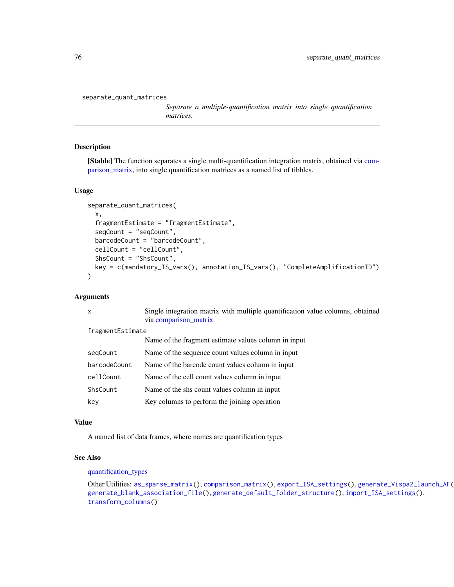```
separate_quant_matrices
```
*Separate a multiple-quantification matrix into single quantification matrices.*

# Description

[Stable] The function separates a single multi-quantification integration matrix, obtained via [com](#page-17-0)[parison\\_matrix,](#page-17-0) into single quantification matrices as a named list of tibbles.

#### Usage

```
separate_quant_matrices(
  x,
  fragmentEstimate = "fragmentEstimate",
  seqCount = "seqCount",
 barcodeCount = "barcodeCount",
  cellCount = "cellCount",
  ShsCount = "ShsCount",
 key = c(mandatory_IS_vars(), annotation_IS_vars(), "CompleteAmplificationID")
\lambda
```
# Arguments

|                  | X            | Single integration matrix with multiple quantification value columns, obtained<br>via comparison_matrix. |
|------------------|--------------|----------------------------------------------------------------------------------------------------------|
| fragmentEstimate |              |                                                                                                          |
|                  |              | Name of the fragment estimate values column in input                                                     |
|                  | segCount     | Name of the sequence count values column in input                                                        |
|                  | barcodeCount | Name of the barcode count values column in input                                                         |
|                  | cellCount    | Name of the cell count values column in input                                                            |
|                  | ShsCount     | Name of the shall count values column in input                                                           |
|                  | key          | Key columns to perform the joining operation                                                             |
|                  |              |                                                                                                          |

#### Value

A named list of data frames, where names are quantification types

#### See Also

# [quantification\\_types](#page-66-0)

Other Utilities: [as\\_sparse\\_matrix\(](#page-7-0)), [comparison\\_matrix\(](#page-17-0)), [export\\_ISA\\_settings\(](#page-29-0)), [generate\\_Vispa2\\_launch\\_AF\(](#page-33-0)), [generate\\_blank\\_association\\_file\(](#page-31-0)), [generate\\_default\\_folder\\_structure\(](#page-32-0)), [import\\_ISA\\_settings\(](#page-42-0)), [transform\\_columns\(](#page-95-0))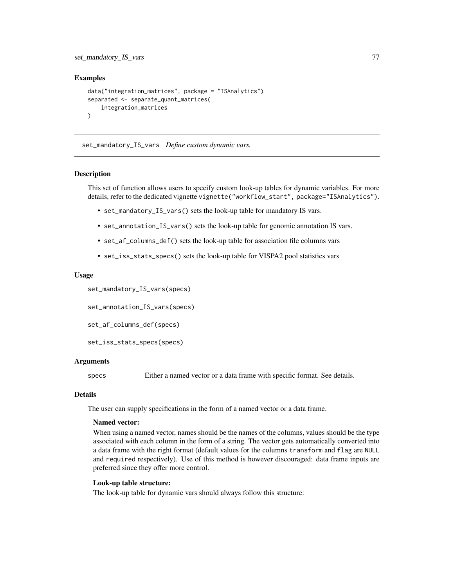# <span id="page-76-1"></span>set\_mandatory\_IS\_vars 77

## Examples

```
data("integration_matrices", package = "ISAnalytics")
separated <- separate_quant_matrices(
    integration_matrices
)
```
<span id="page-76-0"></span>set\_mandatory\_IS\_vars *Define custom dynamic vars.*

#### Description

This set of function allows users to specify custom look-up tables for dynamic variables. For more details, refer to the dedicated vignette vignette("workflow\_start", package="ISAnalytics").

- set\_mandatory\_IS\_vars() sets the look-up table for mandatory IS vars.
- set\_annotation\_IS\_vars() sets the look-up table for genomic annotation IS vars.
- set\_af\_columns\_def() sets the look-up table for association file columns vars
- set\_iss\_stats\_specs() sets the look-up table for VISPA2 pool statistics vars

#### Usage

set\_mandatory\_IS\_vars(specs)

set\_annotation\_IS\_vars(specs)

set\_af\_columns\_def(specs)

set\_iss\_stats\_specs(specs)

# Arguments

specs Either a named vector or a data frame with specific format. See details.

## Details

The user can supply specifications in the form of a named vector or a data frame.

#### Named vector:

When using a named vector, names should be the names of the columns, values should be the type associated with each column in the form of a string. The vector gets automatically converted into a data frame with the right format (default values for the columns transform and flag are NULL and required respectively). Use of this method is however discouraged: data frame inputs are preferred since they offer more control.

#### Look-up table structure:

The look-up table for dynamic vars should always follow this structure: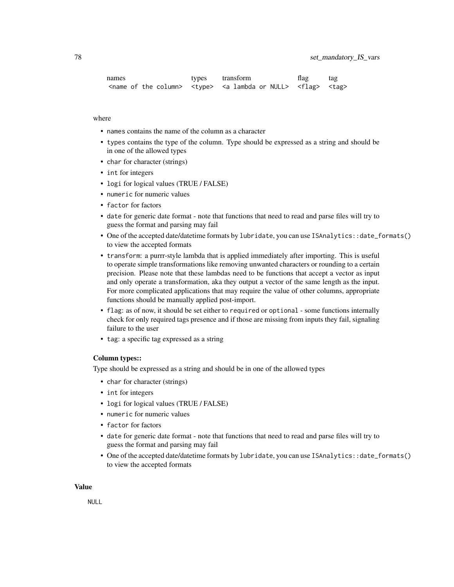| names | types | transform                                                                                                                                                     | flag | tag |
|-------|-------|---------------------------------------------------------------------------------------------------------------------------------------------------------------|------|-----|
|       |       | $\alpha$ <name column="" of="" the=""> <math>\alpha</math> <type> <a lambda="" null="" or=""> <math>\alpha</math> <flag> <tag></tag></flag></a></type></name> |      |     |

## where

- names contains the name of the column as a character
- types contains the type of the column. Type should be expressed as a string and should be in one of the allowed types
- char for character (strings)
- int for integers
- logi for logical values (TRUE / FALSE)
- numeric for numeric values
- factor for factors
- date for generic date format note that functions that need to read and parse files will try to guess the format and parsing may fail
- One of the accepted date/datetime formats by lubridate, you can use ISAnalytics::date\_formats() to view the accepted formats
- transform: a purrr-style lambda that is applied immediately after importing. This is useful to operate simple transformations like removing unwanted characters or rounding to a certain precision. Please note that these lambdas need to be functions that accept a vector as input and only operate a transformation, aka they output a vector of the same length as the input. For more complicated applications that may require the value of other columns, appropriate functions should be manually applied post-import.
- flag: as of now, it should be set either to required or optional some functions internally check for only required tags presence and if those are missing from inputs they fail, signaling failure to the user
- tag: a specific tag expressed as a string

#### Column types::

Type should be expressed as a string and should be in one of the allowed types

- char for character (strings)
- int for integers
- logi for logical values (TRUE / FALSE)
- numeric for numeric values
- factor for factors
- date for generic date format note that functions that need to read and parse files will try to guess the format and parsing may fail
- One of the accepted date/datetime formats by lubridate, you can use ISAnalytics::date\_formats() to view the accepted formats

#### Value

NULL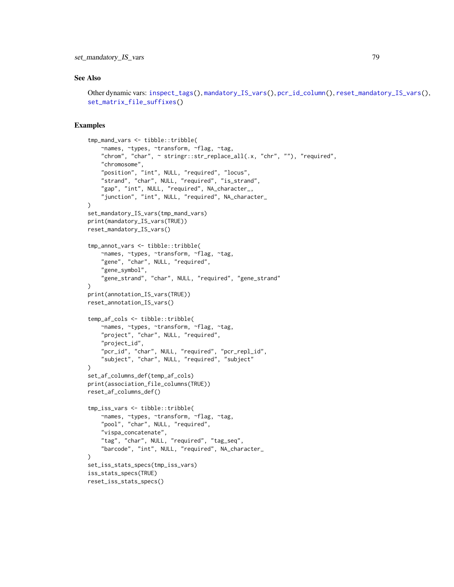## <span id="page-78-0"></span>See Also

```
Other dynamic vars: inspect_tags(), mandatory_IS_vars(), pcr_id_column(), reset_mandatory_IS_vars(),
set_matrix_file_suffixes()
```

```
tmp_mand_vars <- tibble::tribble(
   ~names, ~types, ~transform, ~flag, ~tag,
    "chrom", "char", ~ stringr::str_replace_all(.x, "chr", ""), "required",
    "chromosome",
    "position", "int", NULL, "required", "locus",
    "strand", "char", NULL, "required", "is_strand",
    "gap", "int", NULL, "required", NA_character_,
    "junction", "int", NULL, "required", NA_character_
)
set_mandatory_IS_vars(tmp_mand_vars)
print(mandatory_IS_vars(TRUE))
reset_mandatory_IS_vars()
tmp_annot_vars <- tibble::tribble(
    ~names, ~types, ~transform, ~flag, ~tag,
    "gene", "char", NULL, "required",
    "gene_symbol",
    "gene_strand", "char", NULL, "required", "gene_strand"
)
print(annotation_IS_vars(TRUE))
reset_annotation_IS_vars()
temp_af_cols <- tibble::tribble(
   ~names, ~types, ~transform, ~flag, ~tag,
    "project", "char", NULL, "required",
    "project_id",
    "pcr_id", "char", NULL, "required", "pcr_repl_id",
    "subject", "char", NULL, "required", "subject"
\lambdaset_af_columns_def(temp_af_cols)
print(association_file_columns(TRUE))
reset_af_columns_def()
tmp_iss_vars <- tibble::tribble(
   ~names, ~types, ~transform, ~flag, ~tag,
    "pool", "char", NULL, "required",
    "vispa_concatenate",
    "tag", "char", NULL, "required", "tag_seq",
    "barcode", "int", NULL, "required", NA_character_
)
set_iss_stats_specs(tmp_iss_vars)
iss_stats_specs(TRUE)
reset_iss_stats_specs()
```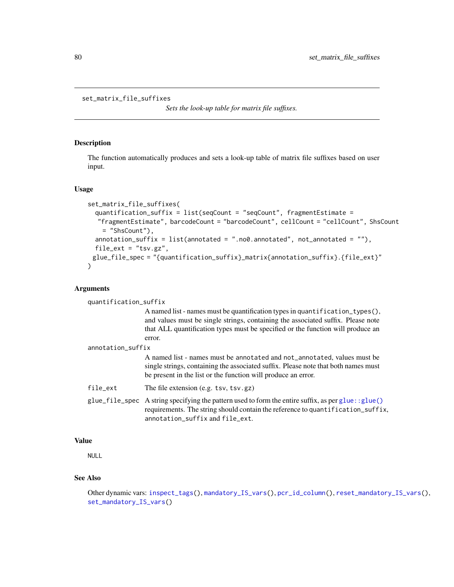```
set_matrix_file_suffixes
```
*Sets the look-up table for matrix file suffixes.*

# Description

The function automatically produces and sets a look-up table of matrix file suffixes based on user input.

#### Usage

```
set_matrix_file_suffixes(
  quantification_suffix = list(seqCount = "seqCount", fragmentEstimate =
  "fragmentEstimate", barcodeCount = "barcodeCount", cellCount = "cellCount", ShsCount
    = "ShsCount"),
  annotation_suffix = list(annotated = "no0.annotation.com), annotated", not_annotated = ""),
  file_ext = "tsv.gz",
 glue_file_spec = "{quantification_suffix}_matrix{annotation_suffix}.{file_ext}"
\mathcal{L}
```
## Arguments

| quantification_suffix |                                                                                                                                                                                                                                                               |
|-----------------------|---------------------------------------------------------------------------------------------------------------------------------------------------------------------------------------------------------------------------------------------------------------|
|                       | A named list - names must be quantification types in quantification_types(),<br>and values must be single strings, containing the associated suffix. Please note<br>that ALL quantification types must be specified or the function will produce an<br>error. |
| annotation_suffix     |                                                                                                                                                                                                                                                               |
|                       | A named list - names must be annotated and not_annotated, values must be<br>single strings, containing the associated suffix. Please note that both names must<br>be present in the list or the function will produce an error.                               |
| file_ext              | The file extension (e.g. $tsv, tsv, gz$ )                                                                                                                                                                                                                     |
|                       | $glue_file_spec$ A string specifying the pattern used to form the entire suffix, as per glue: : glue()<br>requirements. The string should contain the reference to quantification_suffix,<br>annotation_suffix and file_ext.                                  |

# Value

NULL

#### See Also

```
Other dynamic vars: inspect_tags(), mandatory_IS_vars(), pcr_id_column(), reset_mandatory_IS_vars(),
set_mandatory_IS_vars()
```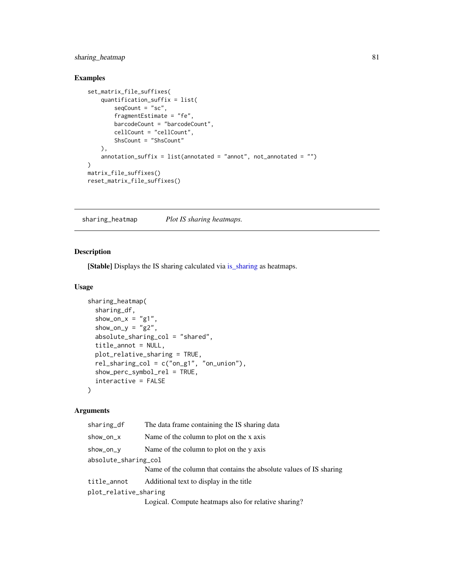# <span id="page-80-1"></span>sharing\_heatmap 81

# Examples

```
set_matrix_file_suffixes(
    quantification_suffix = list(
       seqCount = "sc",fragmentEstimate = "fe",
       barcodeCount = "barcodeCount",
       cellCount = "cellCount",
       ShsCount = "ShsCount"
   ),
   annotation_suffix = list(annotated = "annot", not_annotated = "")
)
matrix_file_suffixes()
reset_matrix_file_suffixes()
```
<span id="page-80-0"></span>sharing\_heatmap *Plot IS sharing heatmaps.*

# Description

[Stable] Displays the IS sharing calculated via [is\\_sharing](#page-53-0) as heatmaps.

# Usage

```
sharing_heatmap(
  sharing_df,
  show_on_x = "g1",show_on_y = "g2",
  absolute_sharing_col = "shared",
  title_annot = NULL,
 plot_relative_sharing = TRUE,
  rel_sharing_col = c("on_g1", "on_union"),
  show_perc_symbol_rel = TRUE,
  interactive = FALSE
\lambda
```
#### Arguments

| sharing_df            | The data frame containing the IS sharing data                      |
|-----------------------|--------------------------------------------------------------------|
| show_on_x             | Name of the column to plot on the x axis                           |
| show_on_y             | Name of the column to plot on the y axis                           |
| absolute_sharing_col  |                                                                    |
|                       | Name of the column that contains the absolute values of IS sharing |
| title_annot           | Additional text to display in the title                            |
| plot_relative_sharing |                                                                    |
|                       | Logical. Compute heatmaps also for relative sharing?               |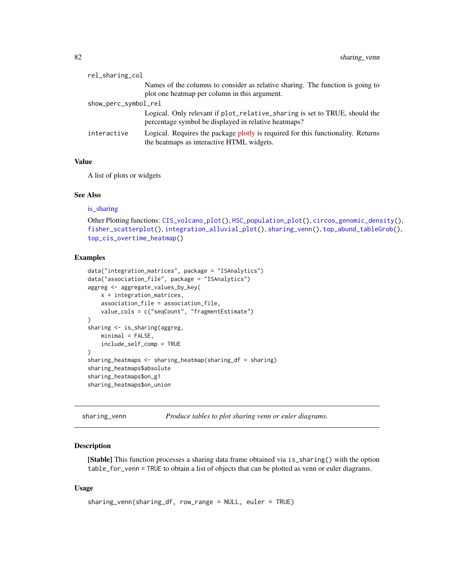<span id="page-81-1"></span>

| rel_sharing_col      |                                                                                                                                    |  |
|----------------------|------------------------------------------------------------------------------------------------------------------------------------|--|
|                      | Names of the columns to consider as relative sharing. The function is going to<br>plot one heatmap per column in this argument.    |  |
| show_perc_symbol_rel |                                                                                                                                    |  |
|                      | Logical. Only relevant if plot_relative_sharing is set to TRUE, should the<br>percentage symbol be displayed in relative heatmaps? |  |
| interactive          | Logical. Requires the package plotly is required for this functionality. Returns<br>the heatmaps as interactive HTML widgets.      |  |

# Value

A list of plots or widgets

# See Also

#### is sharing

```
Other Plotting functions: CIS_volcano_plot(), HSC_population_plot(), circos_genomic_density(),
fisher_scatterplot(), integration_alluvial_plot(), sharing_venn(), top_abund_tableGrob(),
top_cis_overtime_heatmap()
```
# Examples

```
data("integration_matrices", package = "ISAnalytics")
data("association_file", package = "ISAnalytics")
aggreg <- aggregate_values_by_key(
   x = integration_matrices,
   association_file = association_file,
   value_cols = c("seqCount", "fragmentEstimate")
\mathcal{L}sharing <- is_sharing(aggreg,
   minimal = FALSE,
    include_self_comp = TRUE
\lambdasharing_heatmaps <- sharing_heatmap(sharing_df = sharing)
sharing_heatmaps$absolute
sharing_heatmaps$on_g1
sharing_heatmaps$on_union
```
<span id="page-81-0"></span>sharing\_venn *Produce tables to plot sharing venn or euler diagrams.*

## **Description**

[Stable] This function processes a sharing data frame obtained via is\_sharing() with the option table\_for\_venn = TRUE to obtain a list of objects that can be plotted as venn or euler diagrams.

## Usage

```
sharing_venn(sharing_df, row_range = NULL, euler = TRUE)
```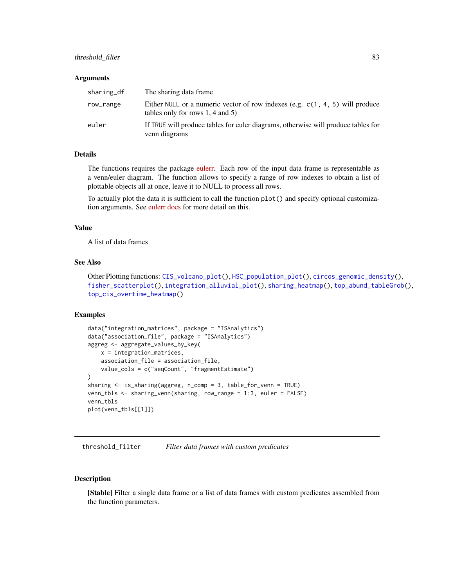# <span id="page-82-0"></span>threshold\_filter 83

#### **Arguments**

| sharing_df | The sharing data frame.                                                                                                 |
|------------|-------------------------------------------------------------------------------------------------------------------------|
| row_range  | Either NULL or a numeric vector of row indexes (e.g. $c(1, 4, 5)$ will produce<br>tables only for rows $1, 4$ and $5$ ) |
| euler      | If TRUE will produce tables for euler diagrams, otherwise will produce tables for<br>venn diagrams                      |

## Details

The functions requires the package [eulerr.](https://jolars.github.io/eulerr/index.html) Each row of the input data frame is representable as a venn/euler diagram. The function allows to specify a range of row indexes to obtain a list of plottable objects all at once, leave it to NULL to process all rows.

To actually plot the data it is sufficient to call the function plot() and specify optional customization arguments. See [eulerr docs](https://jolars.github.io/eulerr/reference/plot.euler.html) for more detail on this.

# Value

A list of data frames

## See Also

```
Other Plotting functions: CIS_volcano_plot(), HSC_population_plot(), circos_genomic_density(),
fisher_scatterplot(), integration_alluvial_plot(), sharing_heatmap(), top_abund_tableGrob(),
top_cis_overtime_heatmap()
```
## Examples

```
data("integration_matrices", package = "ISAnalytics")
data("association_file", package = "ISAnalytics")
aggreg <- aggregate_values_by_key(
   x = integration_matrices,
   association_file = association_file,
   value_cols = c("seqCount", "fragmentEstimate")
)
sharing <- is_sharing(aggreg, n_comp = 3, table_for_venn = TRUE)
venn_tbls <- sharing_venn(sharing, row_range = 1:3, euler = FALSE)
venn_tbls
plot(venn_tbls[[1]])
```
threshold\_filter *Filter data frames with custom predicates*

#### **Description**

[Stable] Filter a single data frame or a list of data frames with custom predicates assembled from the function parameters.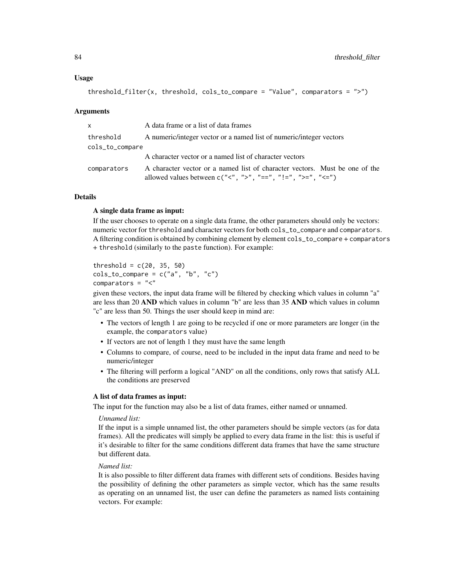#### Usage

```
threshold_filter(x, threshold, cols_to_compare = "Value", comparators = ">")
```
#### Arguments

| <b>X</b>        | A data frame or a list of data frames                                                                                                             |
|-----------------|---------------------------------------------------------------------------------------------------------------------------------------------------|
| threshold       | A numeric/integer vector or a named list of numeric/integer vectors                                                                               |
| cols_to_compare |                                                                                                                                                   |
|                 | A character vector or a named list of character vectors                                                                                           |
| comparators     | A character vector or a named list of character vectors. Must be one of the<br>allowed values between $c("2", "2", "==", "!=", ">=", "<=", "<=")$ |

# Details

#### A single data frame as input:

If the user chooses to operate on a single data frame, the other parameters should only be vectors: numeric vector for threshold and character vectors for both cols\_to\_compare and comparators. A filtering condition is obtained by combining element by element cols\_to\_compare + comparators + threshold (similarly to the paste function). For example:

```
threshold = c(20, 35, 50)cols_tojcompare = c("a", "b", "c")comparators = "<"
```
given these vectors, the input data frame will be filtered by checking which values in column "a" are less than 20 AND which values in column "b" are less than 35 AND which values in column "c" are less than 50. Things the user should keep in mind are:

- The vectors of length 1 are going to be recycled if one or more parameters are longer (in the example, the comparators value)
- If vectors are not of length 1 they must have the same length
- Columns to compare, of course, need to be included in the input data frame and need to be numeric/integer
- The filtering will perform a logical "AND" on all the conditions, only rows that satisfy ALL the conditions are preserved

#### A list of data frames as input:

The input for the function may also be a list of data frames, either named or unnamed.

#### *Unnamed list:*

If the input is a simple unnamed list, the other parameters should be simple vectors (as for data frames). All the predicates will simply be applied to every data frame in the list: this is useful if it's desirable to filter for the same conditions different data frames that have the same structure but different data.

#### *Named list:*

It is also possible to filter different data frames with different sets of conditions. Besides having the possibility of defining the other parameters as simple vector, which has the same results as operating on an unnamed list, the user can define the parameters as named lists containing vectors. For example: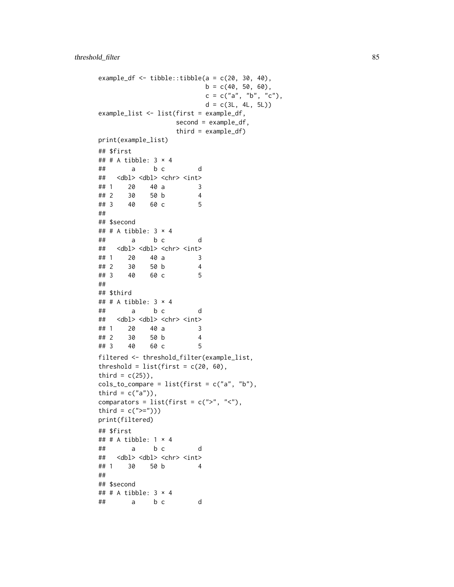```
example_df \le tibble::tibble(a = c(20, 30, 40),
                       b = c(40, 50, 60),
                       c = c("a", "b", "c"),d = c(3L, 4L, 5L)example_list <- list(first = example_df,
                 second = example_df,
                 third = example_df)
print(example_list)
## $first
## # A tibble: 3 \times 4## a b c d
## <dbl> <dbl> <chr> <int>
## 1 20 40 a 3
## 2 30 50 b 4
## 3 40 60 c 5
##
## $second
## # A tibble: 3 \times 4## a b c d
## <dbl> <dbl> <chr> <int>
## 1 20 40 a 3
## 2 30 50 b 4
## 3 40 60 c 5
##
## $third
## # A tibble: 3 × 4
## a b c d
## <dbl> <dbl> <chr> <int>
## 1 20 40 a 3
## 2 30 50 b 4
## 3 40 60 c 5
filtered <- threshold_filter(example_list,
threshold = list(first = c(20, 60)),
third = c(25),
cols_tojcompare = list(first = c("a", "b"),
third = c("a")).
comparators = list(first = c(">", "<"),
third = c(">="))
print(filtered)
## $first
## # A tibble: 1 × 4
## a b c d
## <dbl> <dbl> <chr> <int>
## 1 30 50 b 4
##
## $second
## # A tibble: 3 \times 4## a b c d
```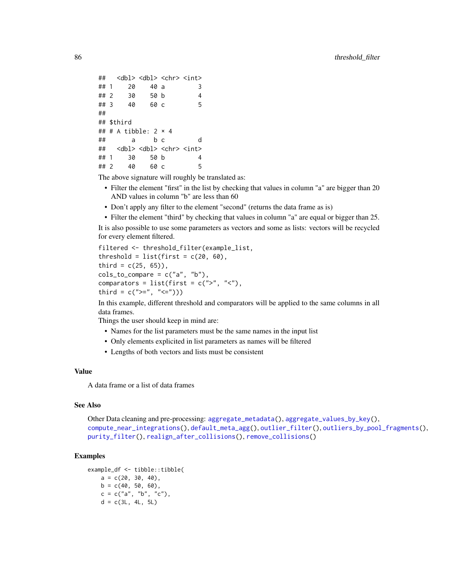```
## <dbl> <dbl> <chr> <int>
## 1 20 40 a 3
## 2 30 50 b 4
## 3 40 60 c 5
##
## $third
## # A tibble: 2 \times 4## a b c d
## <dbl> <dbl> <chr> <int>
## 1 30 50 b 4
## 2 40 60 c 5
```
The above signature will roughly be translated as:

- Filter the element "first" in the list by checking that values in column "a" are bigger than 20 AND values in column "b" are less than 60
- Don't apply any filter to the element "second" (returns the data frame as is)
- Filter the element "third" by checking that values in column "a" are equal or bigger than 25.

It is also possible to use some parameters as vectors and some as lists: vectors will be recycled for every element filtered.

```
filtered <- threshold_filter(example_list,
threshold = list(first = c(20, 60),
third = c(25, 65),
cols_tojcompare = c("a", "b"),
comparators = list(first = c(">", "<"),
third = c(">=", "<=")
```
In this example, different threshold and comparators will be applied to the same columns in all data frames.

Things the user should keep in mind are:

- Names for the list parameters must be the same names in the input list
- Only elements explicited in list parameters as names will be filtered
- Lengths of both vectors and lists must be consistent

## Value

A data frame or a list of data frames

## See Also

Other Data cleaning and pre-processing: [aggregate\\_metadata\(](#page-3-0)), [aggregate\\_values\\_by\\_key\(](#page-4-0)), [compute\\_near\\_integrations\(](#page-20-0)), [default\\_meta\\_agg\(](#page-26-0)), [outlier\\_filter\(](#page-61-0)), [outliers\\_by\\_pool\\_fragments\(](#page-59-0)), [purity\\_filter\(](#page-64-0)), [realign\\_after\\_collisions\(](#page-67-0)), [remove\\_collisions\(](#page-70-0))

```
example_df <- tibble::tibble(
   a = c(20, 30, 40),
   b = c(40, 50, 60),
   c = c("a", "b", "c"),d = c(3L, 4L, 5L)
```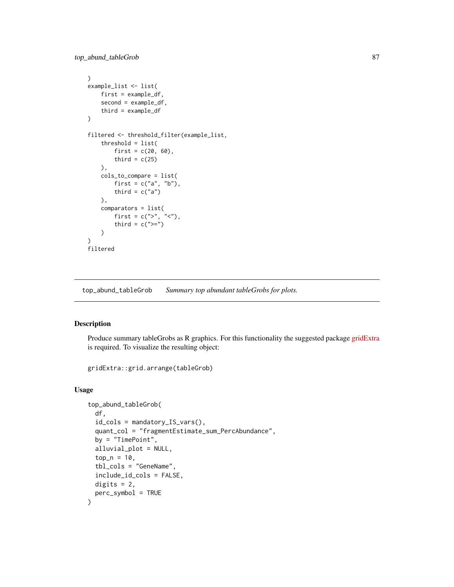<span id="page-86-1"></span>top\_abund\_tableGrob 87

```
\mathcal{L}example_list <- list(
    first = example_df,
    second = example_df,
    third = example_df
\mathcal{L}filtered <- threshold_filter(example_list,
    threshold = list(
        first = c(20, 60),
        third = c(25)),
    cols_to_compare = list(
        first = c("a", "b"),third = c("a")),
    comparators = list(
        first = c(">", "<"),
        third = c(">=")\mathcal{L})
filtered
```
<span id="page-86-0"></span>top\_abund\_tableGrob *Summary top abundant tableGrobs for plots.*

# Description

Produce summary tableGrobs as R graphics. For this functionality the suggested package [gridExtra](https://cran.r-project.org/web/packages/gridExtra/index.html) is required. To visualize the resulting object:

gridExtra::grid.arrange(tableGrob)

## Usage

```
top_abund_tableGrob(
  df,
  id_cols = mandatory_IS_vars(),
  quant_col = "fragmentEstimate_sum_PercAbundance",
 by = "TimePoint",
  alluvial_plot = NULL,
  top_n = 10,
  tbl_cols = "GeneName",
  include_id_cols = FALSE,
 digits = 2,
 perc_symbol = TRUE
)
```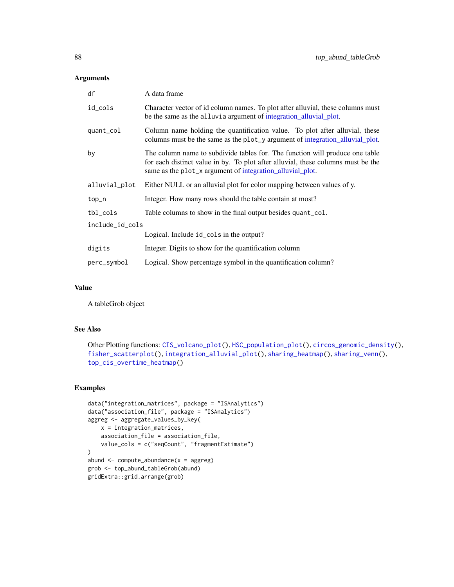# <span id="page-87-0"></span>Arguments

| df              | A data frame                                                                                                                                                                                                                  |
|-----------------|-------------------------------------------------------------------------------------------------------------------------------------------------------------------------------------------------------------------------------|
| id_cols         | Character vector of id column names. To plot after alluvial, these columns must<br>be the same as the alluvia argument of integration alluvial plot.                                                                          |
| quant_col       | Column name holding the quantification value. To plot after alluvial, these<br>columns must be the same as the plot_y argument of integration_alluvial_plot.                                                                  |
| by              | The column name to subdivide tables for. The function will produce one table<br>for each distinct value in by. To plot after alluvial, these columns must be the<br>same as the plot_x argument of integration_alluvial_plot. |
| alluvial_plot   | Either NULL or an alluvial plot for color mapping between values of y.                                                                                                                                                        |
| top_n           | Integer. How many rows should the table contain at most?                                                                                                                                                                      |
| tbl_cols        | Table columns to show in the final output besides quant_col.                                                                                                                                                                  |
| include_id_cols |                                                                                                                                                                                                                               |
|                 | Logical. Include id_cols in the output?                                                                                                                                                                                       |
| digits          | Integer. Digits to show for the quantification column                                                                                                                                                                         |
| perc_symbol     | Logical. Show percentage symbol in the quantification column?                                                                                                                                                                 |

# Value

A tableGrob object

## See Also

```
Other Plotting functions: CIS_volcano_plot(), HSC_population_plot(), circos_genomic_density(),
fisher_scatterplot(), integration_alluvial_plot(), sharing_heatmap(), sharing_venn(),
top_cis_overtime_heatmap()
```

```
data("integration_matrices", package = "ISAnalytics")
data("association_file", package = "ISAnalytics")
aggreg <- aggregate_values_by_key(
   x = integration_matrices,
   association_file = association_file,
   value_cols = c("seqCount", "fragmentEstimate")
\mathcal{L}abund \leq compute_abundance(x = aggreg)
grob <- top_abund_tableGrob(abund)
gridExtra::grid.arrange(grob)
```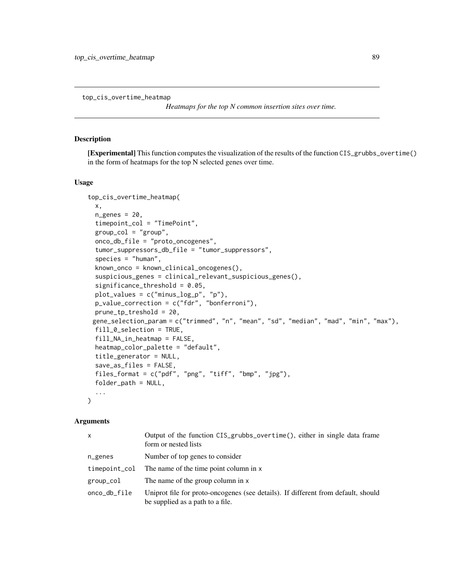<span id="page-88-1"></span><span id="page-88-0"></span>top\_cis\_overtime\_heatmap

*Heatmaps for the top N common insertion sites over time.*

## Description

[Experimental] This function computes the visualization of the results of the function CIS\_grubbs\_overtime() in the form of heatmaps for the top N selected genes over time.

# Usage

```
top_cis_overtime_heatmap(
  x,
  ngenes = 20,
  timepoint_col = "TimePoint",
  group\_col = "group",onco_db_file = "proto_oncogenes",
  tumor_suppressors_db_file = "tumor_suppressors",
  species = "human",
  known_onco = known_clinical_oncogenes(),
  suspicious_genes = clinical_relevant_suspicious_genes(),
  significance_threshold = 0.05,
  plot_values = c("minus_log_p", "p"),
 p_value_correction = c("fdr", "bonferroni"),
 prune_tp_treshold = 20,
 gene_selection_param = c("trimmed", "n", "mean", "sd", "median", "mad", "min", "max"),
  fill_0_selection = TRUE,
  fill_NA_in_heatmap = FALSE,
  heatmap_color_palette = "default",
  title_generator = NULL,
  save_as_files = FALSE,
  files_format = c("pdf", "png", "tiff", "bmp", "jpg"),
  folder_path = NULL,
  ...
\lambda
```
#### Arguments

| x             | Output of the function CIS_grubbs_overtime(), either in single data frame<br>form or nested lists                     |
|---------------|-----------------------------------------------------------------------------------------------------------------------|
| $n$ genes     | Number of top genes to consider                                                                                       |
| timepoint_col | The name of the time point column in x                                                                                |
| group_col     | The name of the group column in x                                                                                     |
| onco_db_file  | Uniprot file for proto-oncogenes (see details). If different from default, should<br>be supplied as a path to a file. |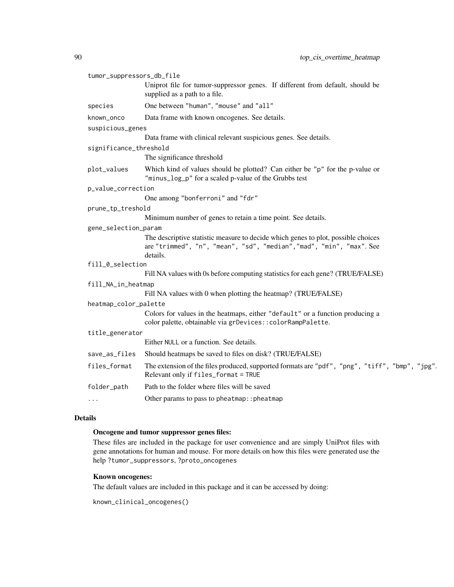| tumor_suppressors_db_file |                                                                                                                                                                       |
|---------------------------|-----------------------------------------------------------------------------------------------------------------------------------------------------------------------|
|                           | Uniprot file for tumor-suppressor genes. If different from default, should be<br>supplied as a path to a file.                                                        |
| species                   | One between "human", "mouse" and "all"                                                                                                                                |
| known_onco                | Data frame with known oncogenes. See details.                                                                                                                         |
| suspicious_genes          |                                                                                                                                                                       |
|                           | Data frame with clinical relevant suspicious genes. See details.                                                                                                      |
| significance_threshold    |                                                                                                                                                                       |
|                           | The significance threshold                                                                                                                                            |
| plot_values               | Which kind of values should be plotted? Can either be "p" for the p-value or<br>"minus_log_p" for a scaled p-value of the Grubbs test                                 |
| p_value_correction        |                                                                                                                                                                       |
|                           | One among "bonferroni" and "fdr"                                                                                                                                      |
| prune_tp_treshold         |                                                                                                                                                                       |
|                           | Minimum number of genes to retain a time point. See details.                                                                                                          |
| gene_selection_param      |                                                                                                                                                                       |
|                           | The descriptive statistic measure to decide which genes to plot, possible choices<br>are "trimmed", "n", "mean", "sd", "median", "mad", "min", "max". See<br>details. |
| fill_0_selection          |                                                                                                                                                                       |
|                           | Fill NA values with 0s before computing statistics for each gene? (TRUE/FALSE)                                                                                        |
| fill_NA_in_heatmap        |                                                                                                                                                                       |
|                           | Fill NA values with 0 when plotting the heatmap? (TRUE/FALSE)                                                                                                         |
| heatmap_color_palette     |                                                                                                                                                                       |
|                           | Colors for values in the heatmaps, either "default" or a function producing a<br>color palette, obtainable via grDevices:: colorRampPalette.                          |
| title_generator           |                                                                                                                                                                       |
|                           | Either NULL or a function. See details.                                                                                                                               |
| save_as_files             | Should heatmaps be saved to files on disk? (TRUE/FALSE)                                                                                                               |
| files_format              | The extension of the files produced, supported formats are "pdf", "png", "tiff", "bmp", "jpg".<br>Relevant only if files_format = TRUE                                |
| folder_path               | Path to the folder where files will be saved                                                                                                                          |
| $\cdots$                  | Other params to pass to pheatmap:: pheatmap                                                                                                                           |
|                           |                                                                                                                                                                       |

# Details

# Oncogene and tumor suppressor genes files:

These files are included in the package for user convenience and are simply UniProt files with gene annotations for human and mouse. For more details on how this files were generated use the help ?tumor\_suppressors, ?proto\_oncogenes

# Known oncogenes:

The default values are included in this package and it can be accessed by doing:

```
known_clinical_oncogenes()
```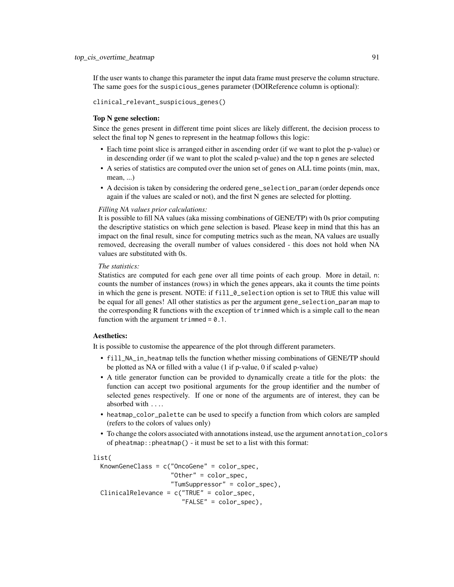If the user wants to change this parameter the input data frame must preserve the column structure. The same goes for the suspicious\_genes parameter (DOIReference column is optional):

clinical\_relevant\_suspicious\_genes()

## Top N gene selection:

Since the genes present in different time point slices are likely different, the decision process to select the final top N genes to represent in the heatmap follows this logic:

- Each time point slice is arranged either in ascending order (if we want to plot the p-value) or in descending order (if we want to plot the scaled p-value) and the top n genes are selected
- A series of statistics are computed over the union set of genes on ALL time points (min, max, mean, ...)
- A decision is taken by considering the ordered gene\_selection\_param (order depends once again if the values are scaled or not), and the first N genes are selected for plotting.

#### *Filling NA values prior calculations:*

It is possible to fill NA values (aka missing combinations of GENE/TP) with 0s prior computing the descriptive statistics on which gene selection is based. Please keep in mind that this has an impact on the final result, since for computing metrics such as the mean, NA values are usually removed, decreasing the overall number of values considered - this does not hold when NA values are substituted with 0s.

## *The statistics:*

Statistics are computed for each gene over all time points of each group. More in detail, n: counts the number of instances (rows) in which the genes appears, aka it counts the time points in which the gene is present. NOTE: if fill\_0\_selection option is set to TRUE this value will be equal for all genes! All other statistics as per the argument gene\_selection\_param map to the corresponding R functions with the exception of trimmed which is a simple call to the mean function with the argument  $triangle = 0.1$ .

#### Aesthetics:

It is possible to customise the appearence of the plot through different parameters.

- fill\_NA\_in\_heatmap tells the function whether missing combinations of GENE/TP should be plotted as NA or filled with a value (1 if p-value, 0 if scaled p-value)
- A title generator function can be provided to dynamically create a title for the plots: the function can accept two positional arguments for the group identifier and the number of selected genes respectively. If one or none of the arguments are of interest, they can be absorbed with ....
- heatmap\_color\_palette can be used to specify a function from which colors are sampled (refers to the colors of values only)
- To change the colors associated with annotations instead, use the argument annotation\_colors of pheatmap::pheatmap() - it must be set to a list with this format:

#### list(

```
KnownGeneClass = c("OncoGene" = color_spec,
                   "Other" = color_spec,
                   "TumSuppressor" = color_spec),
ClinicalRelevance = c("TRUE" = color_spec,
                      "FALSE" = color_spec),
```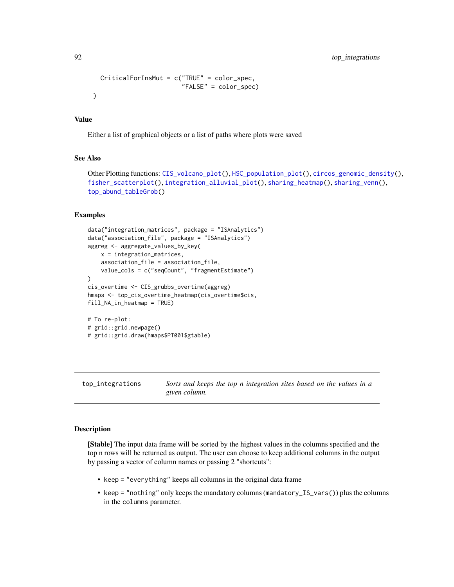```
CriticalForInsMut = c("TRUE" = color_spec,
                      "FALSE" = color_spec)
```
#### Value

)

Either a list of graphical objects or a list of paths where plots were saved

## See Also

```
Other Plotting functions: CIS_volcano_plot(), HSC_population_plot(), circos_genomic_density(),
fisher_scatterplot(), integration_alluvial_plot(), sharing_heatmap(), sharing_venn(),
top_abund_tableGrob()
```
# Examples

```
data("integration_matrices", package = "ISAnalytics")
data("association_file", package = "ISAnalytics")
aggreg <- aggregate_values_by_key(
   x = integration_matrices,
    association_file = association_file,
    value_cols = c("seqCount", "fragmentEstimate")
)
cis_overtime <- CIS_grubbs_overtime(aggreg)
hmaps <- top_cis_overtime_heatmap(cis_overtime$cis,
fill_NA_in_heatmap = TRUE)
# To re-plot:
# grid::grid.newpage()
# grid::grid.draw(hmaps$PT001$gtable)
```
<span id="page-91-0"></span>top\_integrations *Sorts and keeps the top n integration sites based on the values in a given column.*

# **Description**

[Stable] The input data frame will be sorted by the highest values in the columns specified and the top n rows will be returned as output. The user can choose to keep additional columns in the output by passing a vector of column names or passing 2 "shortcuts":

- keep = "everything" keeps all columns in the original data frame
- keep = "nothing" only keeps the mandatory columns (mandatory\_IS\_vars()) plus the columns in the columns parameter.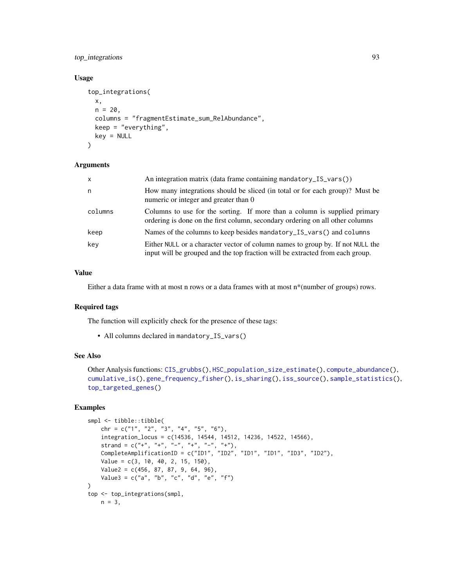# <span id="page-92-0"></span>top\_integrations 93

# Usage

```
top_integrations(
 x,
 n = 20,
 columns = "fragmentEstimate_sum_RelAbundance",
 keep = "everything",
 key = NULL
)
```
# Arguments

| $\mathsf{x}$ | An integration matrix (data frame containing mandatory_IS_vars())                                                                                               |
|--------------|-----------------------------------------------------------------------------------------------------------------------------------------------------------------|
| n.           | How many integrations should be sliced (in total or for each group)? Must be<br>numeric or integer and greater than 0                                           |
| columns      | Columns to use for the sorting. If more than a column is supplied primary<br>ordering is done on the first column, secondary ordering on all other columns      |
| keep         | Names of the columns to keep besides mandatory_IS_vars() and columns                                                                                            |
| key          | Either NULL or a character vector of column names to group by. If not NULL the<br>input will be grouped and the top fraction will be extracted from each group. |

# Value

Either a data frame with at most n rows or a data frames with at most  $n^*$  (number of groups) rows.

#### Required tags

The function will explicitly check for the presence of these tags:

• All columns declared in mandatory\_IS\_vars()

# See Also

```
Other Analysis functions: CIS_grubbs(), HSC_population_size_estimate(), compute_abundance(),
cumulative_is(), gene_frequency_fisher(), is_sharing(), iss_source(), sample_statistics(),
top_targeted_genes()
```

```
smpl <- tibble::tibble(
    chr = c("1", "2", "3", "4", "5", "6"),
    integration_locus = c(14536, 14544, 14512, 14236, 14522, 14566),
    strand = c("+", "+", "-", "+", "-", "+", "+"),
    CompleteAmplificationID = c("ID1", "ID2", "ID1", "ID1", "ID3", "ID2"),
    Value = c(3, 10, 40, 2, 15, 150),
    Value2 = c(456, 87, 87, 9, 64, 96),
    Value3 = c("a", "b", "c", "d", "e", "f")\mathcal{L}top <- top_integrations(smpl,
   n = 3,
```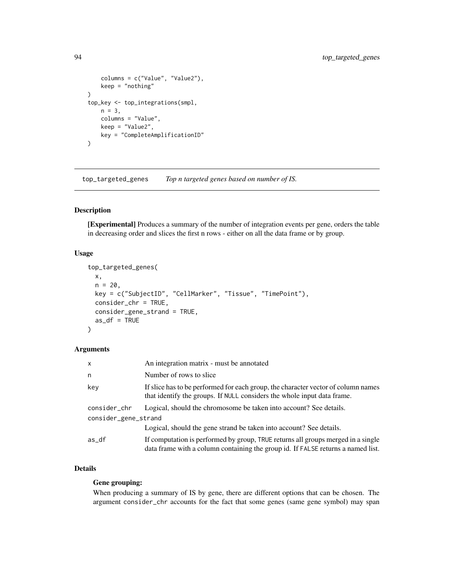```
columns = c("Value", "Value2"),
    keep = "nothing"
)
top_key <- top_integrations(smpl,
    n = 3,
    columns = "Value",
    keep = "Value2",
    key = "CompleteAmplificationID"
\mathcal{L}
```
<span id="page-93-0"></span>top\_targeted\_genes *Top n targeted genes based on number of IS.*

# Description

[Experimental] Produces a summary of the number of integration events per gene, orders the table in decreasing order and slices the first n rows - either on all the data frame or by group.

# Usage

```
top_targeted_genes(
 x,
 n = 20,
 key = c("SubjectID", "CellMarker", "Tissue", "TimePoint"),
 consider_chr = TRUE,
 consider_gene_strand = TRUE,
 as_df = TRUE)
```
## Arguments

| x                                    | An integration matrix - must be annotated                                                                                                                            |
|--------------------------------------|----------------------------------------------------------------------------------------------------------------------------------------------------------------------|
| n                                    | Number of rows to slice.                                                                                                                                             |
| key                                  | If slice has to be performed for each group, the character vector of column names<br>that identify the groups. If NULL considers the whole input data frame.         |
| consider_chr<br>consider_gene_strand | Logical, should the chromosome be taken into account? See details.                                                                                                   |
|                                      | Logical, should the gene strand be taken into account? See details.                                                                                                  |
| as_df                                | If computation is performed by group, TRUE returns all groups merged in a single<br>data frame with a column containing the group id. If FALSE returns a named list. |

# Details

# Gene grouping:

When producing a summary of IS by gene, there are different options that can be chosen. The argument consider\_chr accounts for the fact that some genes (same gene symbol) may span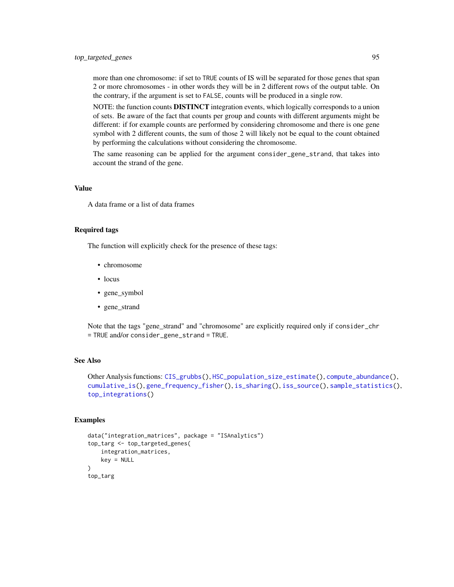<span id="page-94-0"></span>more than one chromosome: if set to TRUE counts of IS will be separated for those genes that span 2 or more chromosomes - in other words they will be in 2 different rows of the output table. On the contrary, if the argument is set to FALSE, counts will be produced in a single row.

NOTE: the function counts DISTINCT integration events, which logically corresponds to a union of sets. Be aware of the fact that counts per group and counts with different arguments might be different: if for example counts are performed by considering chromosome and there is one gene symbol with 2 different counts, the sum of those 2 will likely not be equal to the count obtained by performing the calculations without considering the chromosome.

The same reasoning can be applied for the argument consider\_gene\_strand, that takes into account the strand of the gene.

## Value

A data frame or a list of data frames

#### Required tags

The function will explicitly check for the presence of these tags:

- chromosome
- locus
- gene\_symbol
- gene\_strand

Note that the tags "gene\_strand" and "chromosome" are explicitly required only if consider\_chr = TRUE and/or consider\_gene\_strand = TRUE.

# See Also

```
Other Analysis functions: CIS_grubbs(), HSC_population_size_estimate(), compute_abundance(),
cumulative_is(), gene_frequency_fisher(), is_sharing(), iss_source(), sample_statistics(),
top_integrations()
```

```
data("integration_matrices", package = "ISAnalytics")
top_targ <- top_targeted_genes(
    integration_matrices,
    key = NULL
\lambdatop_targ
```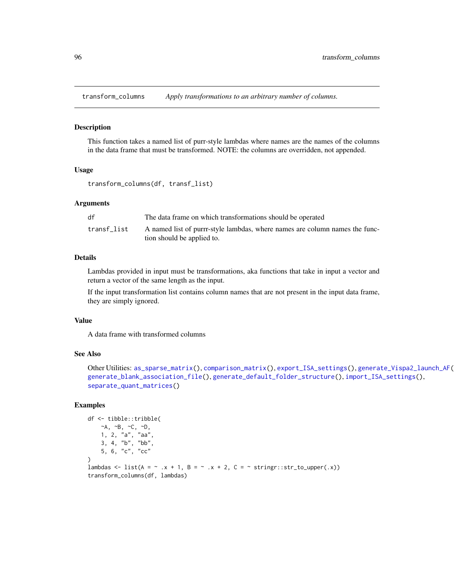<span id="page-95-1"></span><span id="page-95-0"></span>transform\_columns *Apply transformations to an arbitrary number of columns.*

#### Description

This function takes a named list of purr-style lambdas where names are the names of the columns in the data frame that must be transformed. NOTE: the columns are overridden, not appended.

## Usage

```
transform_columns(df, transf_list)
```
## Arguments

| df          | The data frame on which transformations should be operated                  |
|-------------|-----------------------------------------------------------------------------|
| transf list | A named list of purrr-style lambdas, where names are column names the func- |
|             | tion should be applied to.                                                  |

# Details

Lambdas provided in input must be transformations, aka functions that take in input a vector and return a vector of the same length as the input.

If the input transformation list contains column names that are not present in the input data frame, they are simply ignored.

#### Value

A data frame with transformed columns

#### See Also

```
Other Utilities: as_sparse_matrix(), comparison_matrix(), export_ISA_settings(), generate_Vispa2_launch_AF(),
generate_blank_association_file(), generate_default_folder_structure(), import_ISA_settings(),
separate_quant_matrices()
```

```
df <- tibble::tribble(
   ~A, ~B, ~C, ~D,
   1, 2, "a", "aa",
    3, 4, "b", "bb",
    5, 6, "c", "cc"
)
lambdas \le list(A = \sim .x + 1, B = \sim .x + 2, C = \sim stringr::str_to_upper(.x))
transform_columns(df, lambdas)
```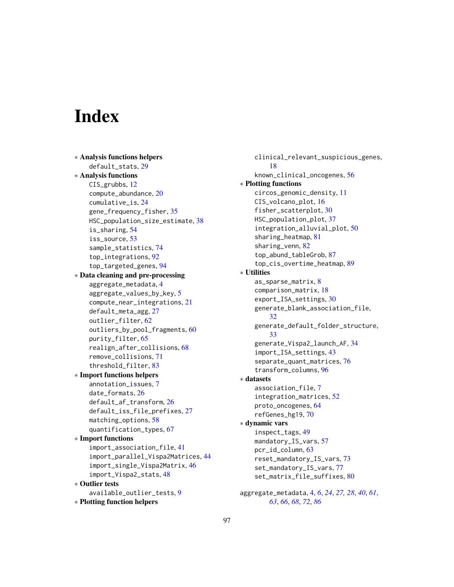# **Index**

```
∗ Analysis functions helpers
    default_stats, 29
∗ Analysis functions
    CIS_grubbs, 12
    compute_abundance, 20
    cumulative_is, 24
    gene_frequency_fisher, 35
    HSC_population_size_estimate, 38
    is_sharing, 54
    53
    sample_statistics, 74
    top_integrations, 92
    top_targeted_genes, 94
∗ Data cleaning and pre-processing
    aggregate_metadata, 4
    aggregate_values_by_key, 5
    compute_near_integrations, 21
    default_meta_agg, 27
    outlier_filter, 62
    outliers_by_pool_fragments, 60
    purity_filter, 65
    realign_after_collisions, 68
    remove_collisions, 71
    threshold_filter, 83
∗ Import functions helpers
    annotation_issues, 7
    date_formats, 26
    default_af_transform, 26
    default_iss_file_prefixes, 27
    matching_options, 58
    quantification_types, 67
∗ Import functions
    import_association_file, 41
    import_parallel_Vispa2Matrices, 44
    import_single_Vispa2Matrix, 46
    import_Vispa2_stats, 48
∗ Outlier tests
    available_outlier_tests, 9
∗ Plotting function helpers
```
clinical\_relevant\_suspicious\_genes, [18](#page-17-1) known\_clinical\_oncogenes, [56](#page-55-0) ∗ Plotting functions circos\_genomic\_density, [11](#page-10-1) CIS\_volcano\_plot, [16](#page-15-1) fisher\_scatterplot, [30](#page-29-2) HSC\_population\_plot, [37](#page-36-1) integration\_alluvial\_plot, [50](#page-49-1) sharing\_heatmap, [81](#page-80-1) sharing\_venn, [82](#page-81-1) top\_abund\_tableGrob, [87](#page-86-1) top\_cis\_overtime\_heatmap, [89](#page-88-1) ∗ Utilities as\_sparse\_matrix, [8](#page-7-1) comparison\_matrix, [18](#page-17-1) export\_ISA\_settings, [30](#page-29-2) generate\_blank\_association\_file, [32](#page-31-1) generate\_default\_folder\_structure, [33](#page-32-1) generate\_Vispa2\_launch\_AF, [34](#page-33-1) import\_ISA\_settings, [43](#page-42-1) separate\_quant\_matrices, [76](#page-75-1) transform\_columns, [96](#page-95-1) ∗ datasets association\_file, [7](#page-6-0) integration\_matrices, [52](#page-51-0) proto\_oncogenes, [64](#page-63-0) refGenes\_hg19, [70](#page-69-0) ∗ dynamic vars inspect\_tags, [49](#page-48-1) mandatory\_IS\_vars, [57](#page-56-1) pcr\_id\_column, [63](#page-62-1) reset\_mandatory\_IS\_vars, [73](#page-72-1) set\_mandatory\_IS\_vars, [77](#page-76-1) set\_matrix\_file\_suffixes, [80](#page-79-1) aggregate\_metadata, [4,](#page-3-1) *[6](#page-5-0)*, *[24](#page-23-1)*, *[27,](#page-26-1) [28](#page-27-0)*, *[40](#page-39-0)*, *[61](#page-60-0)*, *[63](#page-62-1)*, *[66](#page-65-0)*, *[68](#page-67-1)*, *[72](#page-71-0)*, *[86](#page-85-0)*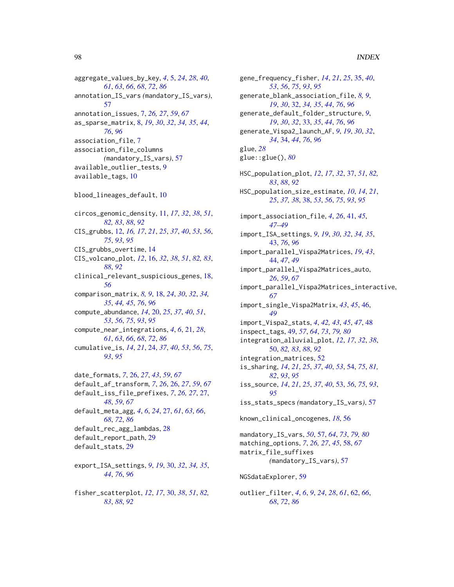aggregate\_values\_by\_key, *[4](#page-3-1)*, [5,](#page-4-1) *[24](#page-23-1)*, *[28](#page-27-0)*, *[40](#page-39-0)*, *[61](#page-60-0)*, *[63](#page-62-1)*, *[66](#page-65-0)*, *[68](#page-67-1)*, *[72](#page-71-0)*, *[86](#page-85-0)* annotation\_IS\_vars *(*mandatory\_IS\_vars*)*, [57](#page-56-1) annotation\_issues, [7,](#page-6-0) *[26,](#page-25-0) [27](#page-26-1)*, *[59](#page-58-0)*, *[67](#page-66-1)* as\_sparse\_matrix, [8,](#page-7-1) *[19](#page-18-0)*, *[30](#page-29-2)*, *[32](#page-31-1)*, *[34,](#page-33-1) [35](#page-34-1)*, *[44](#page-43-0)*, *[76](#page-75-1)*, *[96](#page-95-1)* association\_file, [7](#page-6-0) association\_file\_columns *(*mandatory\_IS\_vars*)*, [57](#page-56-1) available\_outlier\_tests, [9](#page-8-0) available\_tags, [10](#page-9-0) blood\_lineages\_default, [10](#page-9-0) circos\_genomic\_density, [11,](#page-10-1) *[17](#page-16-0)*, *[32](#page-31-1)*, *[38](#page-37-1)*, *[51](#page-50-0)*, *[82,](#page-81-1) [83](#page-82-0)*, *[88](#page-87-0)*, *[92](#page-91-1)* CIS\_grubbs, [12,](#page-11-1) *[16,](#page-15-1) [17](#page-16-0)*, *[21](#page-20-1)*, *[25](#page-24-0)*, *[37](#page-36-1)*, *[40](#page-39-0)*, *[53](#page-52-1)*, *[56](#page-55-0)*, *[75](#page-74-0)*, *[93](#page-92-0)*, *[95](#page-94-0)* CIS\_grubbs\_overtime, [14](#page-13-0) CIS\_volcano\_plot, *[12](#page-11-1)*, [16,](#page-15-1) *[32](#page-31-1)*, *[38](#page-37-1)*, *[51](#page-50-0)*, *[82,](#page-81-1) [83](#page-82-0)*, *[88](#page-87-0)*, *[92](#page-91-1)* clinical\_relevant\_suspicious\_genes, [18,](#page-17-1) *[56](#page-55-0)* comparison\_matrix, *[8,](#page-7-1) [9](#page-8-0)*, [18,](#page-17-1) *[24](#page-23-1)*, *[30](#page-29-2)*, *[32](#page-31-1)*, *[34,](#page-33-1) [35](#page-34-1)*, *[44,](#page-43-0) [45](#page-44-0)*, *[76](#page-75-1)*, *[96](#page-95-1)* compute\_abundance, *[14](#page-13-0)*, [20,](#page-19-1) *[25](#page-24-0)*, *[37](#page-36-1)*, *[40](#page-39-0)*, *[51](#page-50-0)*, *[53](#page-52-1)*, *[56](#page-55-0)*, *[75](#page-74-0)*, *[93](#page-92-0)*, *[95](#page-94-0)* compute\_near\_integrations, *[4](#page-3-1)*, *[6](#page-5-0)*, [21,](#page-20-1) *[28](#page-27-0)*, *[61](#page-60-0)*, *[63](#page-62-1)*, *[66](#page-65-0)*, *[68](#page-67-1)*, *[72](#page-71-0)*, *[86](#page-85-0)* cumulative\_is, *[14](#page-13-0)*, *[21](#page-20-1)*, [24,](#page-23-1) *[37](#page-36-1)*, *[40](#page-39-0)*, *[53](#page-52-1)*, *[56](#page-55-0)*, *[75](#page-74-0)*, *[93](#page-92-0)*, *[95](#page-94-0)* date\_formats, *[7](#page-6-0)*, [26,](#page-25-0) *[27](#page-26-1)*, *[43](#page-42-1)*, *[59](#page-58-0)*, *[67](#page-66-1)* default\_af\_transform, *[7](#page-6-0)*, *[26](#page-25-0)*, [26,](#page-25-0) *[27](#page-26-1)*, *[59](#page-58-0)*, *[67](#page-66-1)* default\_iss\_file\_prefixes, *[7](#page-6-0)*, *[26,](#page-25-0) [27](#page-26-1)*, [27,](#page-26-1) *[48](#page-47-0)*, *[59](#page-58-0)*, *[67](#page-66-1)* default\_meta\_agg, *[4](#page-3-1)*, *[6](#page-5-0)*, *[24](#page-23-1)*, [27,](#page-26-1) *[61](#page-60-0)*, *[63](#page-62-1)*, *[66](#page-65-0)*, *[68](#page-67-1)*, *[72](#page-71-0)*, *[86](#page-85-0)* default\_rec\_agg\_lambdas, [28](#page-27-0) default\_report\_path, [29](#page-28-0) default\_stats, [29](#page-28-0)

export\_ISA\_settings, *[9](#page-8-0)*, *[19](#page-18-0)*, [30,](#page-29-2) *[32](#page-31-1)*, *[34,](#page-33-1) [35](#page-34-1)*, *[44](#page-43-0)*, *[76](#page-75-1)*, *[96](#page-95-1)*

fisher\_scatterplot, *[12](#page-11-1)*, *[17](#page-16-0)*, [30,](#page-29-2) *[38](#page-37-1)*, *[51](#page-50-0)*, *[82,](#page-81-1) [83](#page-82-0)*, *[88](#page-87-0)*, *[92](#page-91-1)*

gene\_frequency\_fisher, *[14](#page-13-0)*, *[21](#page-20-1)*, *[25](#page-24-0)*, [35,](#page-34-1) *[40](#page-39-0)*, *[53](#page-52-1)*, *[56](#page-55-0)*, *[75](#page-74-0)*, *[93](#page-92-0)*, *[95](#page-94-0)* generate\_blank\_association\_file, *[8,](#page-7-1) [9](#page-8-0)*, *[19](#page-18-0)*, *[30](#page-29-2)*, [32,](#page-31-1) *[34,](#page-33-1) [35](#page-34-1)*, *[44](#page-43-0)*, *[76](#page-75-1)*, *[96](#page-95-1)* generate\_default\_folder\_structure, *[9](#page-8-0)*, *[19](#page-18-0)*, *[30](#page-29-2)*, *[32](#page-31-1)*, [33,](#page-32-1) *[35](#page-34-1)*, *[44](#page-43-0)*, *[76](#page-75-1)*, *[96](#page-95-1)* generate\_Vispa2\_launch\_AF, *[9](#page-8-0)*, *[19](#page-18-0)*, *[30](#page-29-2)*, *[32](#page-31-1)*, *[34](#page-33-1)*, [34,](#page-33-1) *[44](#page-43-0)*, *[76](#page-75-1)*, *[96](#page-95-1)* glue, *[28](#page-27-0)* glue::glue(), *[80](#page-79-1)* HSC\_population\_plot, *[12](#page-11-1)*, *[17](#page-16-0)*, *[32](#page-31-1)*, [37,](#page-36-1) *[51](#page-50-0)*, *[82,](#page-81-1) [83](#page-82-0)*, *[88](#page-87-0)*, *[92](#page-91-1)* HSC\_population\_size\_estimate, *[10](#page-9-0)*, *[14](#page-13-0)*, *[21](#page-20-1)*, *[25](#page-24-0)*, *[37,](#page-36-1) [38](#page-37-1)*, [38,](#page-37-1) *[53](#page-52-1)*, *[56](#page-55-0)*, *[75](#page-74-0)*, *[93](#page-92-0)*, *[95](#page-94-0)* import\_association\_file, *[4](#page-3-1)*, *[26](#page-25-0)*, [41,](#page-40-0) *[45](#page-44-0)*, *[47](#page-46-0)[–49](#page-48-1)* import\_ISA\_settings, *[9](#page-8-0)*, *[19](#page-18-0)*, *[30](#page-29-2)*, *[32](#page-31-1)*, *[34,](#page-33-1) [35](#page-34-1)*, [43,](#page-42-1) *[76](#page-75-1)*, *[96](#page-95-1)* import\_parallel\_Vispa2Matrices, *[19](#page-18-0)*, *[43](#page-42-1)*, [44,](#page-43-0) *[47](#page-46-0)*, *[49](#page-48-1)* import\_parallel\_Vispa2Matrices\_auto, *[26](#page-25-0)*, *[59](#page-58-0)*, *[67](#page-66-1)* import\_parallel\_Vispa2Matrices\_interactive, *[67](#page-66-1)* import\_single\_Vispa2Matrix, *[43](#page-42-1)*, *[45](#page-44-0)*, [46,](#page-45-0) *[49](#page-48-1)* import\_Vispa2\_stats, *[4](#page-3-1)*, *[42,](#page-41-0) [43](#page-42-1)*, *[45](#page-44-0)*, *[47](#page-46-0)*, [48](#page-47-0) inspect\_tags, [49,](#page-48-1) *[57](#page-56-1)*, *[64](#page-63-0)*, *[73](#page-72-1)*, *[79,](#page-78-0) [80](#page-79-1)* integration\_alluvial\_plot, *[12](#page-11-1)*, *[17](#page-16-0)*, *[32](#page-31-1)*, *[38](#page-37-1)*, [50,](#page-49-1) *[82,](#page-81-1) [83](#page-82-0)*, *[88](#page-87-0)*, *[92](#page-91-1)* integration\_matrices, [52](#page-51-0) is\_sharing, *[14](#page-13-0)*, *[21](#page-20-1)*, *[25](#page-24-0)*, *[37](#page-36-1)*, *[40](#page-39-0)*, *[53](#page-52-1)*, [54,](#page-53-1) *[75](#page-74-0)*, *[81,](#page-80-1) [82](#page-81-1)*, *[93](#page-92-0)*, *[95](#page-94-0)* iss\_source, *[14](#page-13-0)*, *[21](#page-20-1)*, *[25](#page-24-0)*, *[37](#page-36-1)*, *[40](#page-39-0)*, [53,](#page-52-1) *[56](#page-55-0)*, *[75](#page-74-0)*, *[93](#page-92-0)*, *[95](#page-94-0)* iss\_stats\_specs *(*mandatory\_IS\_vars*)*, [57](#page-56-1) known\_clinical\_oncogenes, *[18](#page-17-1)*, [56](#page-55-0) mandatory\_IS\_vars, *[50](#page-49-1)*, [57,](#page-56-1) *[64](#page-63-0)*, *[73](#page-72-1)*, *[79,](#page-78-0) [80](#page-79-1)* matching\_options, *[7](#page-6-0)*, *[26,](#page-25-0) [27](#page-26-1)*, *[45](#page-44-0)*, [58,](#page-57-0) *[67](#page-66-1)* matrix\_file\_suffixes *(*mandatory\_IS\_vars*)*, [57](#page-56-1) NGSdataExplorer, [59](#page-58-0)

outlier\_filter, *[4](#page-3-1)*, *[6](#page-5-0)*, *[9](#page-8-0)*, *[24](#page-23-1)*, *[28](#page-27-0)*, *[61](#page-60-0)*, [62,](#page-61-1) *[66](#page-65-0)*, *[68](#page-67-1)*, *[72](#page-71-0)*, *[86](#page-85-0)*